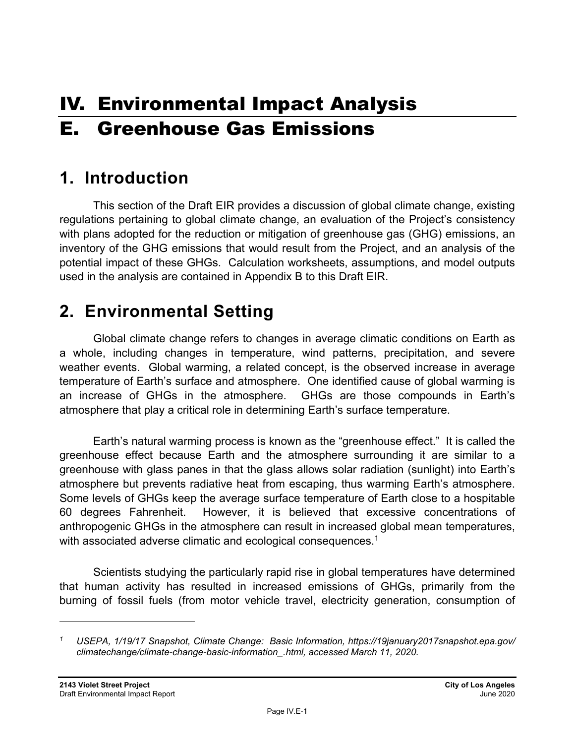# IV. Environmental Impact Analysis E. Greenhouse Gas Emissions

## **1. Introduction**

This section of the Draft EIR provides a discussion of global climate change, existing regulations pertaining to global climate change, an evaluation of the Project's consistency with plans adopted for the reduction or mitigation of greenhouse gas (GHG) emissions, an inventory of the GHG emissions that would result from the Project, and an analysis of the potential impact of these GHGs. Calculation worksheets, assumptions, and model outputs used in the analysis are contained in Appendix B to this Draft EIR.

## **2. Environmental Setting**

Global climate change refers to changes in average climatic conditions on Earth as a whole, including changes in temperature, wind patterns, precipitation, and severe weather events. Global warming, a related concept, is the observed increase in average temperature of Earth's surface and atmosphere. One identified cause of global warming is an increase of GHGs in the atmosphere. GHGs are those compounds in Earth's atmosphere that play a critical role in determining Earth's surface temperature.

Earth's natural warming process is known as the "greenhouse effect." It is called the greenhouse effect because Earth and the atmosphere surrounding it are similar to a greenhouse with glass panes in that the glass allows solar radiation (sunlight) into Earth's atmosphere but prevents radiative heat from escaping, thus warming Earth's atmosphere. Some levels of GHGs keep the average surface temperature of Earth close to a hospitable 60 degrees Fahrenheit. However, it is believed that excessive concentrations of anthropogenic GHGs in the atmosphere can result in increased global mean temperatures, with associated adverse climatic and ecological consequences.<sup>1</sup>

Scientists studying the particularly rapid rise in global temperatures have determined that human activity has resulted in increased emissions of GHGs, primarily from the burning of fossil fuels (from motor vehicle travel, electricity generation, consumption of

*<sup>1</sup> USEPA, 1/19/17 Snapshot, Climate Change: Basic Information, https://19january2017snapshot.epa.gov/ climatechange/climate-change-basic-information\_.html, accessed March 11, 2020.*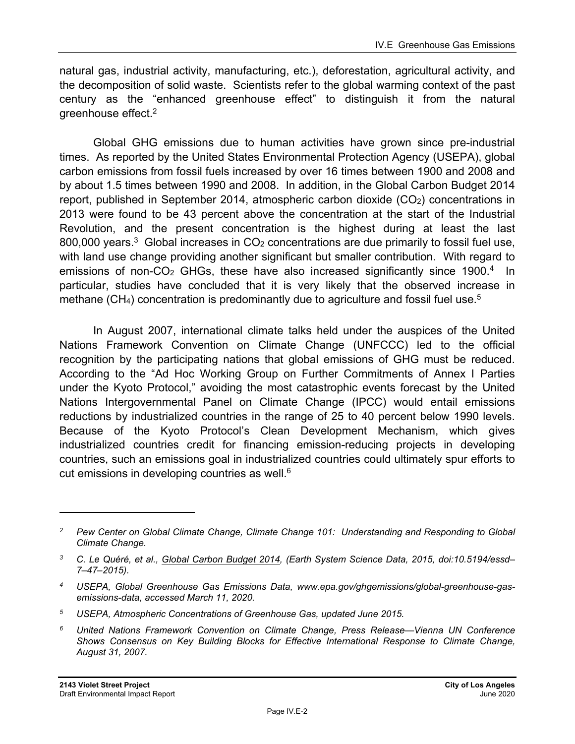natural gas, industrial activity, manufacturing, etc.), deforestation, agricultural activity, and the decomposition of solid waste. Scientists refer to the global warming context of the past century as the "enhanced greenhouse effect" to distinguish it from the natural greenhouse effect.2

Global GHG emissions due to human activities have grown since pre-industrial times. As reported by the United States Environmental Protection Agency (USEPA), global carbon emissions from fossil fuels increased by over 16 times between 1900 and 2008 and by about 1.5 times between 1990 and 2008. In addition, in the Global Carbon Budget 2014 report, published in September 2014, atmospheric carbon dioxide  $(CO<sub>2</sub>)$  concentrations in 2013 were found to be 43 percent above the concentration at the start of the Industrial Revolution, and the present concentration is the highest during at least the last 800,000 years.<sup>3</sup> Global increases in  $CO<sub>2</sub>$  concentrations are due primarily to fossil fuel use, with land use change providing another significant but smaller contribution. With regard to emissions of non-CO<sub>2</sub> GHGs, these have also increased significantly since 1900.<sup>4</sup> In particular, studies have concluded that it is very likely that the observed increase in methane (CH<sub>4</sub>) concentration is predominantly due to agriculture and fossil fuel use.<sup>5</sup>

In August 2007, international climate talks held under the auspices of the United Nations Framework Convention on Climate Change (UNFCCC) led to the official recognition by the participating nations that global emissions of GHG must be reduced. According to the "Ad Hoc Working Group on Further Commitments of Annex I Parties under the Kyoto Protocol," avoiding the most catastrophic events forecast by the United Nations Intergovernmental Panel on Climate Change (IPCC) would entail emissions reductions by industrialized countries in the range of 25 to 40 percent below 1990 levels. Because of the Kyoto Protocol's Clean Development Mechanism, which gives industrialized countries credit for financing emission-reducing projects in developing countries, such an emissions goal in industrialized countries could ultimately spur efforts to cut emissions in developing countries as well.<sup>6</sup>

*<sup>2</sup> Pew Center on Global Climate Change, Climate Change 101: Understanding and Responding to Global Climate Change.* 

*<sup>3</sup> C. Le Quéré, et al., Global Carbon Budget 2014, (Earth System Science Data, 2015, doi:10.5194/essd– 7–47–2015).* 

*<sup>4</sup> USEPA, Global Greenhouse Gas Emissions Data, www.epa.gov/ghgemissions/global-greenhouse-gasemissions-data, accessed March 11, 2020.* 

*<sup>5</sup> USEPA, Atmospheric Concentrations of Greenhouse Gas, updated June 2015.* 

*<sup>6</sup> United Nations Framework Convention on Climate Change, Press Release—Vienna UN Conference Shows Consensus on Key Building Blocks for Effective International Response to Climate Change, August 31, 2007.*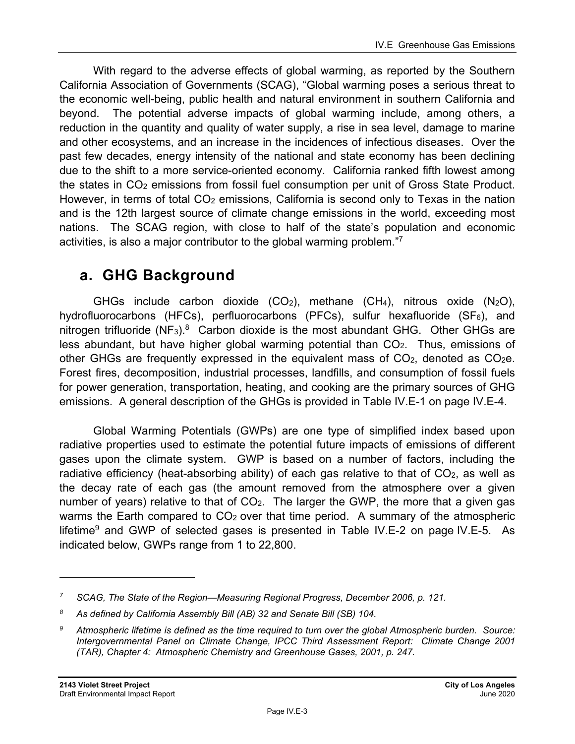With regard to the adverse effects of global warming, as reported by the Southern California Association of Governments (SCAG), "Global warming poses a serious threat to the economic well-being, public health and natural environment in southern California and beyond. The potential adverse impacts of global warming include, among others, a reduction in the quantity and quality of water supply, a rise in sea level, damage to marine and other ecosystems, and an increase in the incidences of infectious diseases. Over the past few decades, energy intensity of the national and state economy has been declining due to the shift to a more service-oriented economy. California ranked fifth lowest among the states in CO2 emissions from fossil fuel consumption per unit of Gross State Product. However, in terms of total CO<sub>2</sub> emissions, California is second only to Texas in the nation and is the 12th largest source of climate change emissions in the world, exceeding most nations. The SCAG region, with close to half of the state's population and economic activities, is also a major contributor to the global warming problem."7

## **a. GHG Background**

GHGs include carbon dioxide  $(CO_2)$ , methane  $(CH_4)$ , nitrous oxide  $(N_2O)$ , hydrofluorocarbons (HFCs), perfluorocarbons (PFCs), sulfur hexafluoride (SF6), and nitrogen trifluoride (NF<sub>3</sub>).<sup>8</sup> Carbon dioxide is the most abundant GHG. Other GHGs are less abundant, but have higher global warming potential than  $CO<sub>2</sub>$ . Thus, emissions of other GHGs are frequently expressed in the equivalent mass of  $CO<sub>2</sub>$ , denoted as  $CO<sub>2</sub>e$ . Forest fires, decomposition, industrial processes, landfills, and consumption of fossil fuels for power generation, transportation, heating, and cooking are the primary sources of GHG emissions. A general description of the GHGs is provided in Table IV.E-1 on page IV.E-4.

Global Warming Potentials (GWPs) are one type of simplified index based upon radiative properties used to estimate the potential future impacts of emissions of different gases upon the climate system. GWP is based on a number of factors, including the radiative efficiency (heat-absorbing ability) of each gas relative to that of  $CO<sub>2</sub>$ , as well as the decay rate of each gas (the amount removed from the atmosphere over a given number of years) relative to that of  $CO<sub>2</sub>$ . The larger the GWP, the more that a given gas warms the Earth compared to  $CO<sub>2</sub>$  over that time period. A summary of the atmospheric lifetime<sup>9</sup> and GWP of selected gases is presented in Table IV.E-2 on page IV.E-5. As indicated below, GWPs range from 1 to 22,800.

*<sup>7</sup> SCAG, The State of the Region—Measuring Regional Progress, December 2006, p. 121.* 

*<sup>8</sup> As defined by California Assembly Bill (AB) 32 and Senate Bill (SB) 104.* 

*<sup>9</sup> Atmospheric lifetime is defined as the time required to turn over the global Atmospheric burden. Source: Intergovernmental Panel on Climate Change, IPCC Third Assessment Report: Climate Change 2001 (TAR), Chapter 4: Atmospheric Chemistry and Greenhouse Gases, 2001, p. 247.*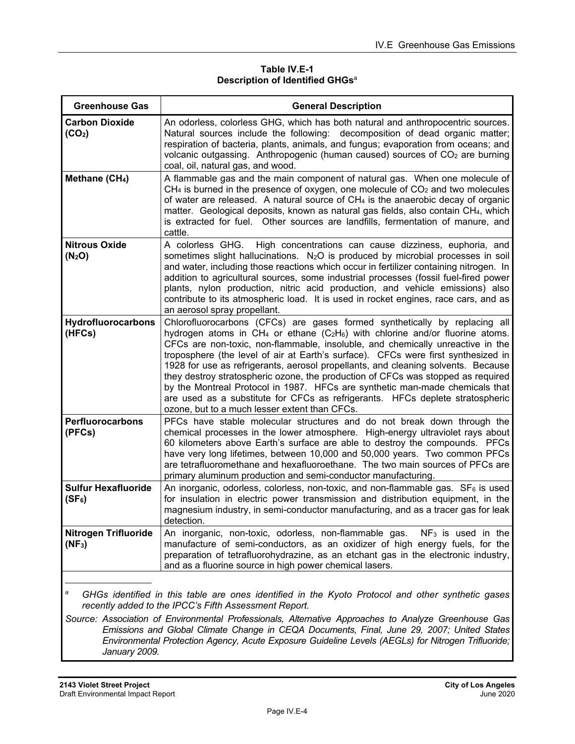#### **Table IV.E-1 Description of Identified GHGs**<sup>a</sup>

| <b>Greenhouse Gas</b>                                                                                                                                                                                                                                                                                                                                                 | <b>General Description</b>                                                                                                                                                                                                                                                                                                                                                                                                                                                                                                                                                                                                                                                                                                                  |  |  |  |
|-----------------------------------------------------------------------------------------------------------------------------------------------------------------------------------------------------------------------------------------------------------------------------------------------------------------------------------------------------------------------|---------------------------------------------------------------------------------------------------------------------------------------------------------------------------------------------------------------------------------------------------------------------------------------------------------------------------------------------------------------------------------------------------------------------------------------------------------------------------------------------------------------------------------------------------------------------------------------------------------------------------------------------------------------------------------------------------------------------------------------------|--|--|--|
| <b>Carbon Dioxide</b><br>(CO <sub>2</sub> )                                                                                                                                                                                                                                                                                                                           | An odorless, colorless GHG, which has both natural and anthropocentric sources.<br>Natural sources include the following: decomposition of dead organic matter;<br>respiration of bacteria, plants, animals, and fungus; evaporation from oceans; and<br>volcanic outgassing. Anthropogenic (human caused) sources of CO <sub>2</sub> are burning<br>coal, oil, natural gas, and wood.                                                                                                                                                                                                                                                                                                                                                      |  |  |  |
| Methane (CH <sub>4</sub> )                                                                                                                                                                                                                                                                                                                                            | A flammable gas and the main component of natural gas. When one molecule of<br>$CH4$ is burned in the presence of oxygen, one molecule of $CO2$ and two molecules<br>of water are released. A natural source of CH <sub>4</sub> is the anaerobic decay of organic<br>matter. Geological deposits, known as natural gas fields, also contain CH4, which<br>is extracted for fuel. Other sources are landfills, fermentation of manure, and<br>cattle.                                                                                                                                                                                                                                                                                        |  |  |  |
| <b>Nitrous Oxide</b><br>(N <sub>2</sub> O)                                                                                                                                                                                                                                                                                                                            | A colorless GHG.<br>High concentrations can cause dizziness, euphoria, and<br>sometimes slight hallucinations. N <sub>2</sub> O is produced by microbial processes in soil<br>and water, including those reactions which occur in fertilizer containing nitrogen. In<br>addition to agricultural sources, some industrial processes (fossil fuel-fired power<br>plants, nylon production, nitric acid production, and vehicle emissions) also<br>contribute to its atmospheric load. It is used in rocket engines, race cars, and as<br>an aerosol spray propellant.                                                                                                                                                                        |  |  |  |
| Hydrofluorocarbons<br>(HFCs)                                                                                                                                                                                                                                                                                                                                          | Chlorofluorocarbons (CFCs) are gases formed synthetically by replacing all<br>hydrogen atoms in CH <sub>4</sub> or ethane $(C_2H_6)$ with chlorine and/or fluorine atoms.<br>CFCs are non-toxic, non-flammable, insoluble, and chemically unreactive in the<br>troposphere (the level of air at Earth's surface). CFCs were first synthesized in<br>1928 for use as refrigerants, aerosol propellants, and cleaning solvents. Because<br>they destroy stratospheric ozone, the production of CFCs was stopped as required<br>by the Montreal Protocol in 1987. HFCs are synthetic man-made chemicals that<br>are used as a substitute for CFCs as refrigerants. HFCs deplete stratospheric<br>ozone, but to a much lesser extent than CFCs. |  |  |  |
| <b>Perfluorocarbons</b><br>(PFCs)                                                                                                                                                                                                                                                                                                                                     | PFCs have stable molecular structures and do not break down through the<br>chemical processes in the lower atmosphere. High-energy ultraviolet rays about<br>60 kilometers above Earth's surface are able to destroy the compounds. PFCs<br>have very long lifetimes, between 10,000 and 50,000 years. Two common PFCs<br>are tetrafluoromethane and hexafluoroethane. The two main sources of PFCs are<br>primary aluminum production and semi-conductor manufacturing.                                                                                                                                                                                                                                                                    |  |  |  |
| <b>Sulfur Hexafluoride</b><br>$(SF_6)$                                                                                                                                                                                                                                                                                                                                | An inorganic, odorless, colorless, non-toxic, and non-flammable gas. SF <sub>6</sub> is used<br>for insulation in electric power transmission and distribution equipment, in the<br>magnesium industry, in semi-conductor manufacturing, and as a tracer gas for leak<br>detection.                                                                                                                                                                                                                                                                                                                                                                                                                                                         |  |  |  |
| <b>Nitrogen Trifluoride</b><br>$(NF_3)$                                                                                                                                                                                                                                                                                                                               | An inorganic, non-toxic, odorless, non-flammable gas. $NF_3$ is used in the<br>manufacture of semi-conductors, as an oxidizer of high energy fuels, for the<br>preparation of tetrafluorohydrazine, as an etchant gas in the electronic industry,<br>and as a fluorine source in high power chemical lasers.                                                                                                                                                                                                                                                                                                                                                                                                                                |  |  |  |
| а<br>GHGs identified in this table are ones identified in the Kyoto Protocol and other synthetic gases<br>recently added to the IPCC's Fifth Assessment Report.<br>Source: Association of Environmental Professionals, Alternative Approaches to Analyze Greenhouse Gas<br>Emissions and Clobal Climate Change in CEOA Documents, Final, June 20, 2007; United States |                                                                                                                                                                                                                                                                                                                                                                                                                                                                                                                                                                                                                                                                                                                                             |  |  |  |

*Emissions and Global Climate Change in CEQA Documents, Final, June 29, 2007; United States Environmental Protection Agency, Acute Exposure Guideline Levels (AEGLs) for Nitrogen Trifluoride; January 2009.*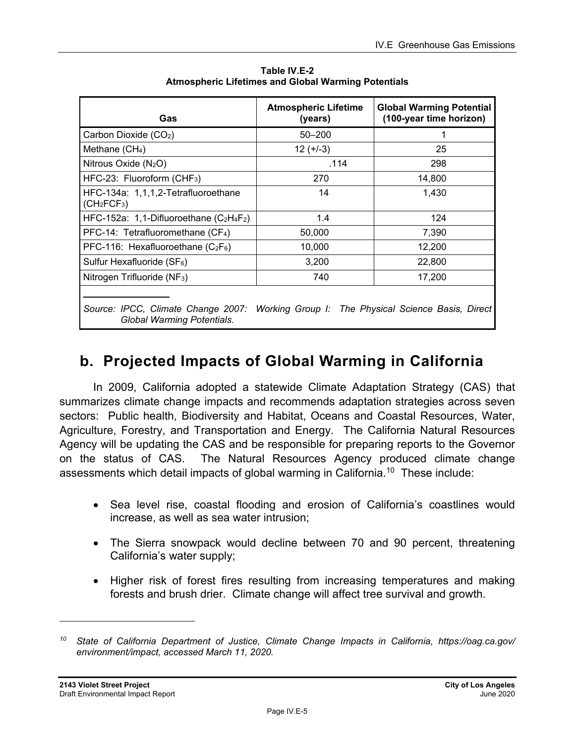| Gas                                                                                                                  | <b>Atmospheric Lifetime</b><br>(years) | <b>Global Warming Potential</b><br>(100-year time horizon) |
|----------------------------------------------------------------------------------------------------------------------|----------------------------------------|------------------------------------------------------------|
| Carbon Dioxide (CO2)                                                                                                 | $50 - 200$                             |                                                            |
| Methane $(CH_4)$                                                                                                     | $12 (+-3)$                             | 25                                                         |
| Nitrous Oxide $(N_2O)$                                                                                               | .114                                   | 298                                                        |
| HFC-23: Fluoroform (CHF <sub>3</sub> )                                                                               | 270                                    | 14,800                                                     |
| HFC-134a: 1,1,1,2-Tetrafluoroethane<br>(CH <sub>2</sub> FCF <sub>3</sub> )                                           | 14                                     | 1,430                                                      |
| HFC-152a: 1,1-Difluoroethane $(C_2H_4F_2)$                                                                           | 1.4                                    | 124                                                        |
| PFC-14: Tetrafluoromethane (CF <sub>4</sub> )                                                                        | 50,000                                 | 7,390                                                      |
| PFC-116: Hexafluoroethane $(C_2F_6)$                                                                                 | 10,000                                 | 12,200                                                     |
| Sulfur Hexafluoride (SF <sub>6</sub> )                                                                               | 3,200                                  | 22,800                                                     |
| Nitrogen Trifluoride (NF <sub>3</sub> )                                                                              | 740                                    | 17,200                                                     |
| Source: IPCC, Climate Change 2007: Working Group I: The Physical Science Basis, Direct<br>Global Warming Potentials. |                                        |                                                            |

**Table IV.E-2 Atmospheric Lifetimes and Global Warming Potentials** 

## **b. Projected Impacts of Global Warming in California**

In 2009, California adopted a statewide Climate Adaptation Strategy (CAS) that summarizes climate change impacts and recommends adaptation strategies across seven sectors: Public health, Biodiversity and Habitat, Oceans and Coastal Resources, Water, Agriculture, Forestry, and Transportation and Energy. The California Natural Resources Agency will be updating the CAS and be responsible for preparing reports to the Governor on the status of CAS. The Natural Resources Agency produced climate change assessments which detail impacts of global warming in California.<sup>10</sup> These include:

- Sea level rise, coastal flooding and erosion of California's coastlines would increase, as well as sea water intrusion;
- The Sierra snowpack would decline between 70 and 90 percent, threatening California's water supply;
- Higher risk of forest fires resulting from increasing temperatures and making forests and brush drier. Climate change will affect tree survival and growth.

*<sup>10</sup> State of California Department of Justice, Climate Change Impacts in California, https://oag.ca.gov/ environment/impact, accessed March 11, 2020.*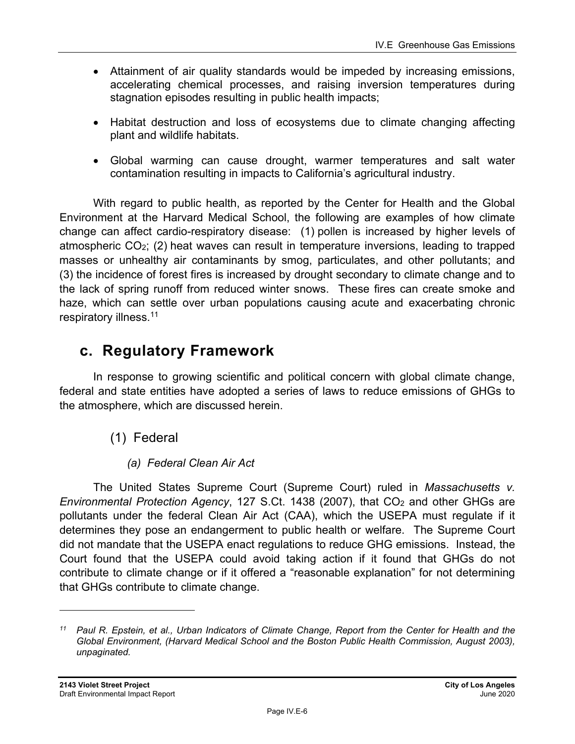- Attainment of air quality standards would be impeded by increasing emissions, accelerating chemical processes, and raising inversion temperatures during stagnation episodes resulting in public health impacts;
- Habitat destruction and loss of ecosystems due to climate changing affecting plant and wildlife habitats.
- Global warming can cause drought, warmer temperatures and salt water contamination resulting in impacts to California's agricultural industry.

With regard to public health, as reported by the Center for Health and the Global Environment at the Harvard Medical School, the following are examples of how climate change can affect cardio-respiratory disease: (1) pollen is increased by higher levels of atmospheric  $CO<sub>2</sub>$ ; (2) heat waves can result in temperature inversions, leading to trapped masses or unhealthy air contaminants by smog, particulates, and other pollutants; and (3) the incidence of forest fires is increased by drought secondary to climate change and to the lack of spring runoff from reduced winter snows. These fires can create smoke and haze, which can settle over urban populations causing acute and exacerbating chronic respiratory illness.11

## **c. Regulatory Framework**

In response to growing scientific and political concern with global climate change, federal and state entities have adopted a series of laws to reduce emissions of GHGs to the atmosphere, which are discussed herein.

- (1) Federal
	- *(a) Federal Clean Air Act*

The United States Supreme Court (Supreme Court) ruled in *Massachusetts v. Environmental Protection Agency*, 127 S.Ct. 1438 (2007), that CO<sub>2</sub> and other GHGs are pollutants under the federal Clean Air Act (CAA), which the USEPA must regulate if it determines they pose an endangerment to public health or welfare. The Supreme Court did not mandate that the USEPA enact regulations to reduce GHG emissions. Instead, the Court found that the USEPA could avoid taking action if it found that GHGs do not contribute to climate change or if it offered a "reasonable explanation" for not determining that GHGs contribute to climate change.

*<sup>11</sup> Paul R. Epstein, et al., Urban Indicators of Climate Change, Report from the Center for Health and the Global Environment, (Harvard Medical School and the Boston Public Health Commission, August 2003), unpaginated.*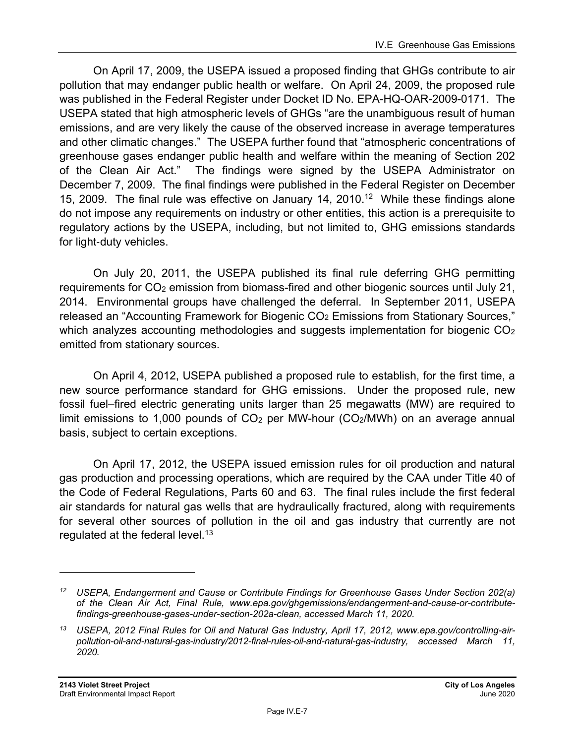On April 17, 2009, the USEPA issued a proposed finding that GHGs contribute to air pollution that may endanger public health or welfare. On April 24, 2009, the proposed rule was published in the Federal Register under Docket ID No. EPA-HQ-OAR-2009-0171. The USEPA stated that high atmospheric levels of GHGs "are the unambiguous result of human emissions, and are very likely the cause of the observed increase in average temperatures and other climatic changes." The USEPA further found that "atmospheric concentrations of greenhouse gases endanger public health and welfare within the meaning of Section 202 of the Clean Air Act." The findings were signed by the USEPA Administrator on December 7, 2009. The final findings were published in the Federal Register on December 15, 2009. The final rule was effective on January 14, 2010.<sup>12</sup> While these findings alone do not impose any requirements on industry or other entities, this action is a prerequisite to regulatory actions by the USEPA, including, but not limited to, GHG emissions standards for light-duty vehicles.

On July 20, 2011, the USEPA published its final rule deferring GHG permitting requirements for CO<sub>2</sub> emission from biomass-fired and other biogenic sources until July 21, 2014. Environmental groups have challenged the deferral. In September 2011, USEPA released an "Accounting Framework for Biogenic CO<sub>2</sub> Emissions from Stationary Sources," which analyzes accounting methodologies and suggests implementation for biogenic CO<sub>2</sub> emitted from stationary sources.

On April 4, 2012, USEPA published a proposed rule to establish, for the first time, a new source performance standard for GHG emissions. Under the proposed rule, new fossil fuel–fired electric generating units larger than 25 megawatts (MW) are required to limit emissions to 1,000 pounds of  $CO<sub>2</sub>$  per MW-hour ( $CO<sub>2</sub>/MWh$ ) on an average annual basis, subject to certain exceptions.

On April 17, 2012, the USEPA issued emission rules for oil production and natural gas production and processing operations, which are required by the CAA under Title 40 of the Code of Federal Regulations, Parts 60 and 63. The final rules include the first federal air standards for natural gas wells that are hydraulically fractured, along with requirements for several other sources of pollution in the oil and gas industry that currently are not regulated at the federal level.<sup>13</sup>

*<sup>12</sup> USEPA, Endangerment and Cause or Contribute Findings for Greenhouse Gases Under Section 202(a) of the Clean Air Act, Final Rule, www.epa.gov/ghgemissions/endangerment-and-cause-or-contributefindings-greenhouse-gases-under-section-202a-clean, accessed March 11, 2020.* 

*<sup>13</sup> USEPA, 2012 Final Rules for Oil and Natural Gas Industry, April 17, 2012, www.epa.gov/controlling-airpollution-oil-and-natural-gas-industry/2012-final-rules-oil-and-natural-gas-industry, accessed March 11, 2020.*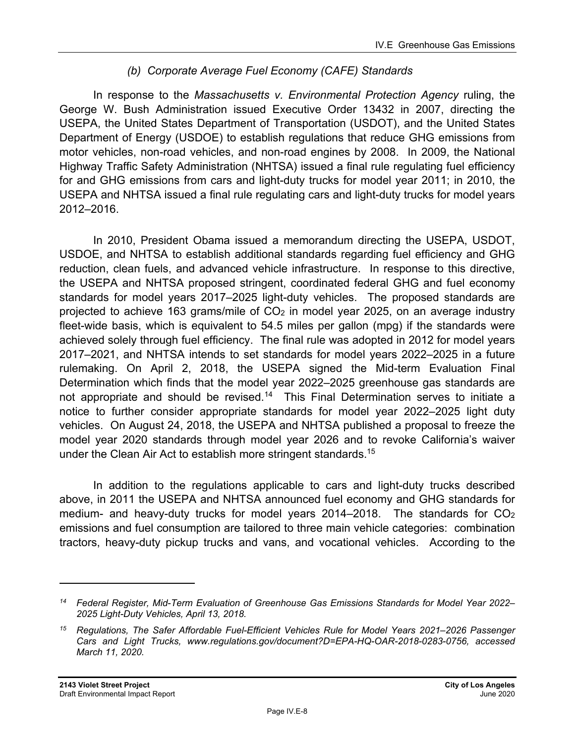### *(b) Corporate Average Fuel Economy (CAFE) Standards*

In response to the *Massachusetts v. Environmental Protection Agency* ruling, the George W. Bush Administration issued Executive Order 13432 in 2007, directing the USEPA, the United States Department of Transportation (USDOT), and the United States Department of Energy (USDOE) to establish regulations that reduce GHG emissions from motor vehicles, non-road vehicles, and non-road engines by 2008. In 2009, the National Highway Traffic Safety Administration (NHTSA) issued a final rule regulating fuel efficiency for and GHG emissions from cars and light-duty trucks for model year 2011; in 2010, the USEPA and NHTSA issued a final rule regulating cars and light-duty trucks for model years 2012–2016.

In 2010, President Obama issued a memorandum directing the USEPA, USDOT, USDOE, and NHTSA to establish additional standards regarding fuel efficiency and GHG reduction, clean fuels, and advanced vehicle infrastructure. In response to this directive, the USEPA and NHTSA proposed stringent, coordinated federal GHG and fuel economy standards for model years 2017–2025 light-duty vehicles. The proposed standards are projected to achieve 163 grams/mile of  $CO<sub>2</sub>$  in model year 2025, on an average industry fleet-wide basis, which is equivalent to 54.5 miles per gallon (mpg) if the standards were achieved solely through fuel efficiency. The final rule was adopted in 2012 for model years 2017–2021, and NHTSA intends to set standards for model years 2022–2025 in a future rulemaking. On April 2, 2018, the USEPA signed the Mid-term Evaluation Final Determination which finds that the model year 2022–2025 greenhouse gas standards are not appropriate and should be revised.<sup>14</sup> This Final Determination serves to initiate a notice to further consider appropriate standards for model year 2022–2025 light duty vehicles. On August 24, 2018, the USEPA and NHTSA published a proposal to freeze the model year 2020 standards through model year 2026 and to revoke California's waiver under the Clean Air Act to establish more stringent standards.<sup>15</sup>

In addition to the regulations applicable to cars and light-duty trucks described above, in 2011 the USEPA and NHTSA announced fuel economy and GHG standards for medium- and heavy-duty trucks for model years  $2014-2018$ . The standards for  $CO<sub>2</sub>$ emissions and fuel consumption are tailored to three main vehicle categories: combination tractors, heavy-duty pickup trucks and vans, and vocational vehicles. According to the

*<sup>14</sup> Federal Register, Mid-Term Evaluation of Greenhouse Gas Emissions Standards for Model Year 2022– 2025 Light-Duty Vehicles, April 13, 2018.* 

*<sup>15</sup> Regulations, The Safer Affordable Fuel-Efficient Vehicles Rule for Model Years 2021–2026 Passenger Cars and Light Trucks, www.regulations.gov/document?D=EPA-HQ-OAR-2018-0283-0756, accessed March 11, 2020.*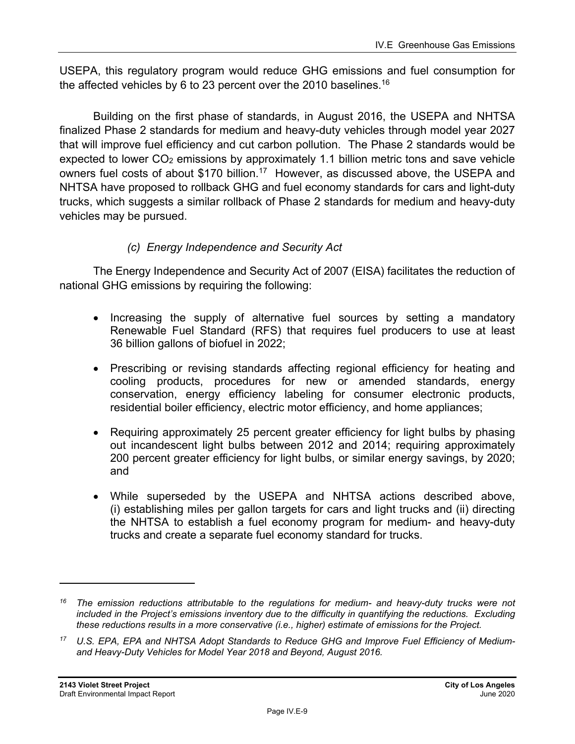USEPA, this regulatory program would reduce GHG emissions and fuel consumption for the affected vehicles by 6 to 23 percent over the 2010 baselines.<sup>16</sup>

Building on the first phase of standards, in August 2016, the USEPA and NHTSA finalized Phase 2 standards for medium and heavy-duty vehicles through model year 2027 that will improve fuel efficiency and cut carbon pollution. The Phase 2 standards would be expected to lower  $CO<sub>2</sub>$  emissions by approximately 1.1 billion metric tons and save vehicle owners fuel costs of about \$170 billion.<sup>17</sup> However, as discussed above, the USEPA and NHTSA have proposed to rollback GHG and fuel economy standards for cars and light-duty trucks, which suggests a similar rollback of Phase 2 standards for medium and heavy-duty vehicles may be pursued.

### *(c) Energy Independence and Security Act*

The Energy Independence and Security Act of 2007 (EISA) facilitates the reduction of national GHG emissions by requiring the following:

- Increasing the supply of alternative fuel sources by setting a mandatory Renewable Fuel Standard (RFS) that requires fuel producers to use at least 36 billion gallons of biofuel in 2022;
- Prescribing or revising standards affecting regional efficiency for heating and cooling products, procedures for new or amended standards, energy conservation, energy efficiency labeling for consumer electronic products, residential boiler efficiency, electric motor efficiency, and home appliances;
- Requiring approximately 25 percent greater efficiency for light bulbs by phasing out incandescent light bulbs between 2012 and 2014; requiring approximately 200 percent greater efficiency for light bulbs, or similar energy savings, by 2020; and
- While superseded by the USEPA and NHTSA actions described above, (i) establishing miles per gallon targets for cars and light trucks and (ii) directing the NHTSA to establish a fuel economy program for medium- and heavy-duty trucks and create a separate fuel economy standard for trucks.

*<sup>16</sup> The emission reductions attributable to the regulations for medium- and heavy-duty trucks were not included in the Project's emissions inventory due to the difficulty in quantifying the reductions. Excluding these reductions results in a more conservative (i.e., higher) estimate of emissions for the Project.* 

*<sup>17</sup> U.S. EPA, EPA and NHTSA Adopt Standards to Reduce GHG and Improve Fuel Efficiency of Mediumand Heavy-Duty Vehicles for Model Year 2018 and Beyond, August 2016.*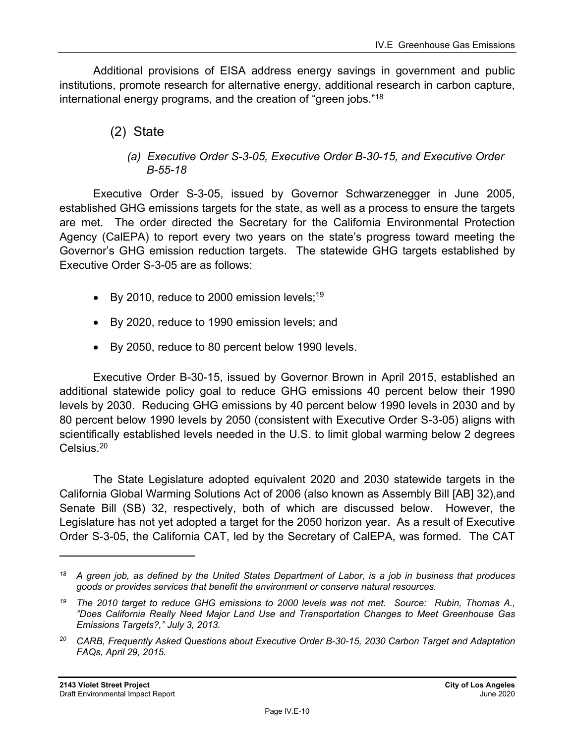Additional provisions of EISA address energy savings in government and public institutions, promote research for alternative energy, additional research in carbon capture, international energy programs, and the creation of "green jobs."18

- (2) State
	- *(a) Executive Order S-3-05, Executive Order B-30-15, and Executive Order B-55-18*

Executive Order S-3-05, issued by Governor Schwarzenegger in June 2005, established GHG emissions targets for the state, as well as a process to ensure the targets are met. The order directed the Secretary for the California Environmental Protection Agency (CalEPA) to report every two years on the state's progress toward meeting the Governor's GHG emission reduction targets. The statewide GHG targets established by Executive Order S-3-05 are as follows:

- $\bullet$  By 2010, reduce to 2000 emission levels;<sup>19</sup>
- By 2020, reduce to 1990 emission levels; and
- By 2050, reduce to 80 percent below 1990 levels.

Executive Order B-30-15, issued by Governor Brown in April 2015, established an additional statewide policy goal to reduce GHG emissions 40 percent below their 1990 levels by 2030. Reducing GHG emissions by 40 percent below 1990 levels in 2030 and by 80 percent below 1990 levels by 2050 (consistent with Executive Order S-3-05) aligns with scientifically established levels needed in the U.S. to limit global warming below 2 degrees Celsius.20

The State Legislature adopted equivalent 2020 and 2030 statewide targets in the California Global Warming Solutions Act of 2006 (also known as Assembly Bill [AB] 32),and Senate Bill (SB) 32, respectively, both of which are discussed below. However, the Legislature has not yet adopted a target for the 2050 horizon year. As a result of Executive Order S-3-05, the California CAT, led by the Secretary of CalEPA, was formed. The CAT

*<sup>18</sup> A green job, as defined by the United States Department of Labor, is a job in business that produces goods or provides services that benefit the environment or conserve natural resources.* 

*<sup>19</sup> The 2010 target to reduce GHG emissions to 2000 levels was not met. Source: Rubin, Thomas A., "Does California Really Need Major Land Use and Transportation Changes to Meet Greenhouse Gas Emissions Targets?," July 3, 2013.* 

*<sup>20</sup> CARB, Frequently Asked Questions about Executive Order B-30-15, 2030 Carbon Target and Adaptation FAQs, April 29, 2015.*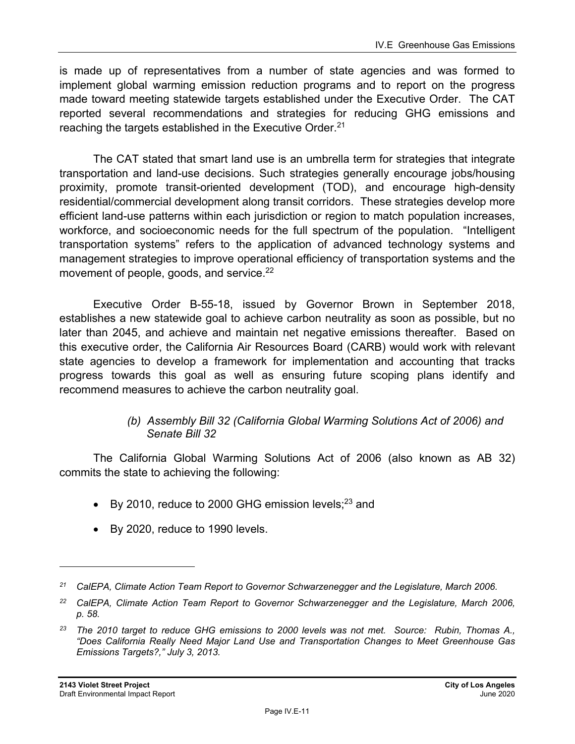is made up of representatives from a number of state agencies and was formed to implement global warming emission reduction programs and to report on the progress made toward meeting statewide targets established under the Executive Order. The CAT reported several recommendations and strategies for reducing GHG emissions and reaching the targets established in the Executive Order.<sup>21</sup>

The CAT stated that smart land use is an umbrella term for strategies that integrate transportation and land-use decisions. Such strategies generally encourage jobs/housing proximity, promote transit-oriented development (TOD), and encourage high-density residential/commercial development along transit corridors. These strategies develop more efficient land-use patterns within each jurisdiction or region to match population increases, workforce, and socioeconomic needs for the full spectrum of the population. "Intelligent transportation systems" refers to the application of advanced technology systems and management strategies to improve operational efficiency of transportation systems and the movement of people, goods, and service.<sup>22</sup>

Executive Order B-55-18, issued by Governor Brown in September 2018, establishes a new statewide goal to achieve carbon neutrality as soon as possible, but no later than 2045, and achieve and maintain net negative emissions thereafter. Based on this executive order, the California Air Resources Board (CARB) would work with relevant state agencies to develop a framework for implementation and accounting that tracks progress towards this goal as well as ensuring future scoping plans identify and recommend measures to achieve the carbon neutrality goal.

#### *(b) Assembly Bill 32 (California Global Warming Solutions Act of 2006) and Senate Bill 32*

The California Global Warming Solutions Act of 2006 (also known as AB 32) commits the state to achieving the following:

- $\bullet$  By 2010, reduce to 2000 GHG emission levels;<sup>23</sup> and
- By 2020, reduce to 1990 levels.

*<sup>21</sup> CalEPA, Climate Action Team Report to Governor Schwarzenegger and the Legislature, March 2006.* 

*<sup>22</sup> CalEPA, Climate Action Team Report to Governor Schwarzenegger and the Legislature, March 2006, p. 58.* 

*<sup>23</sup> The 2010 target to reduce GHG emissions to 2000 levels was not met. Source: Rubin, Thomas A., "Does California Really Need Major Land Use and Transportation Changes to Meet Greenhouse Gas Emissions Targets?," July 3, 2013.*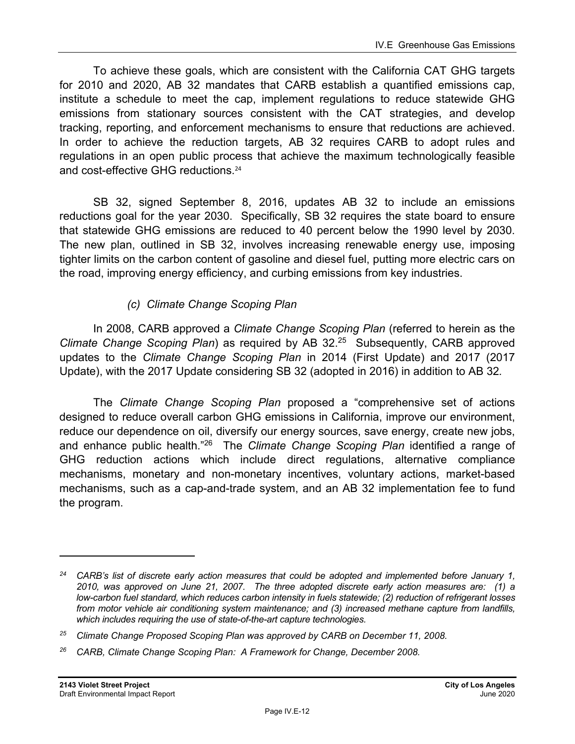To achieve these goals, which are consistent with the California CAT GHG targets for 2010 and 2020, AB 32 mandates that CARB establish a quantified emissions cap, institute a schedule to meet the cap, implement regulations to reduce statewide GHG emissions from stationary sources consistent with the CAT strategies, and develop tracking, reporting, and enforcement mechanisms to ensure that reductions are achieved. In order to achieve the reduction targets, AB 32 requires CARB to adopt rules and regulations in an open public process that achieve the maximum technologically feasible and cost-effective GHG reductions.<sup>24</sup>

SB 32, signed September 8, 2016, updates AB 32 to include an emissions reductions goal for the year 2030. Specifically, SB 32 requires the state board to ensure that statewide GHG emissions are reduced to 40 percent below the 1990 level by 2030. The new plan, outlined in SB 32, involves increasing renewable energy use, imposing tighter limits on the carbon content of gasoline and diesel fuel, putting more electric cars on the road, improving energy efficiency, and curbing emissions from key industries.

### *(c) Climate Change Scoping Plan*

In 2008, CARB approved a *Climate Change Scoping Plan* (referred to herein as the *Climate Change Scoping Plan*) as required by AB 32.25 Subsequently, CARB approved updates to the *Climate Change Scoping Plan* in 2014 (First Update) and 2017 (2017 Update), with the 2017 Update considering SB 32 (adopted in 2016) in addition to AB 32*.* 

The *Climate Change Scoping Plan* proposed a "comprehensive set of actions designed to reduce overall carbon GHG emissions in California, improve our environment, reduce our dependence on oil, diversify our energy sources, save energy, create new jobs, and enhance public health."26 The *Climate Change Scoping Plan* identified a range of GHG reduction actions which include direct regulations, alternative compliance mechanisms, monetary and non-monetary incentives, voluntary actions, market-based mechanisms, such as a cap-and-trade system, and an AB 32 implementation fee to fund the program.

*<sup>24</sup> CARB's list of discrete early action measures that could be adopted and implemented before January 1, 2010, was approved on June 21, 2007. The three adopted discrete early action measures are: (1) a low-carbon fuel standard, which reduces carbon intensity in fuels statewide; (2) reduction of refrigerant losses from motor vehicle air conditioning system maintenance; and (3) increased methane capture from landfills, which includes requiring the use of state-of-the-art capture technologies.* 

*<sup>25</sup> Climate Change Proposed Scoping Plan was approved by CARB on December 11, 2008.* 

*<sup>26</sup> CARB, Climate Change Scoping Plan: A Framework for Change, December 2008.*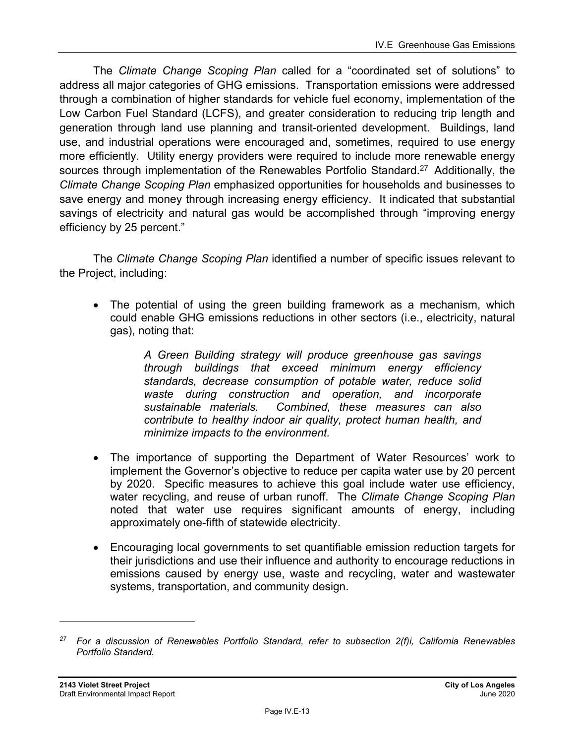The *Climate Change Scoping Plan* called for a "coordinated set of solutions" to address all major categories of GHG emissions. Transportation emissions were addressed through a combination of higher standards for vehicle fuel economy, implementation of the Low Carbon Fuel Standard (LCFS), and greater consideration to reducing trip length and generation through land use planning and transit-oriented development. Buildings, land use, and industrial operations were encouraged and, sometimes, required to use energy more efficiently. Utility energy providers were required to include more renewable energy sources through implementation of the Renewables Portfolio Standard.<sup>27</sup> Additionally, the *Climate Change Scoping Plan* emphasized opportunities for households and businesses to save energy and money through increasing energy efficiency. It indicated that substantial savings of electricity and natural gas would be accomplished through "improving energy efficiency by 25 percent."

The *Climate Change Scoping Plan* identified a number of specific issues relevant to the Project, including:

• The potential of using the green building framework as a mechanism, which could enable GHG emissions reductions in other sectors (i.e., electricity, natural gas), noting that:

> *A Green Building strategy will produce greenhouse gas savings through buildings that exceed minimum energy efficiency standards, decrease consumption of potable water, reduce solid waste during construction and operation, and incorporate sustainable materials. Combined, these measures can also contribute to healthy indoor air quality, protect human health, and minimize impacts to the environment.*

- The importance of supporting the Department of Water Resources' work to implement the Governor's objective to reduce per capita water use by 20 percent by 2020. Specific measures to achieve this goal include water use efficiency, water recycling, and reuse of urban runoff. The *Climate Change Scoping Plan* noted that water use requires significant amounts of energy, including approximately one-fifth of statewide electricity.
- Encouraging local governments to set quantifiable emission reduction targets for their jurisdictions and use their influence and authority to encourage reductions in emissions caused by energy use, waste and recycling, water and wastewater systems, transportation, and community design.

*<sup>27</sup> For a discussion of Renewables Portfolio Standard, refer to subsection 2(f)i, California Renewables Portfolio Standard.*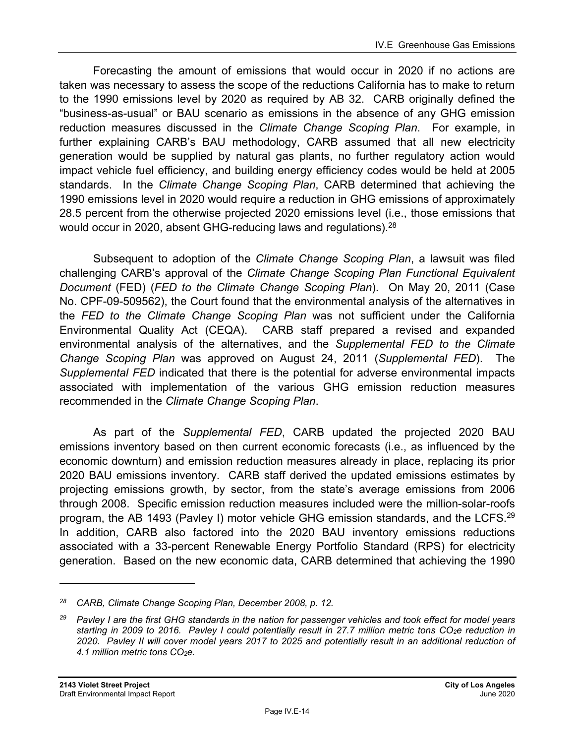Forecasting the amount of emissions that would occur in 2020 if no actions are taken was necessary to assess the scope of the reductions California has to make to return to the 1990 emissions level by 2020 as required by AB 32. CARB originally defined the "business-as-usual" or BAU scenario as emissions in the absence of any GHG emission reduction measures discussed in the *Climate Change Scoping Plan*. For example, in further explaining CARB's BAU methodology, CARB assumed that all new electricity generation would be supplied by natural gas plants, no further regulatory action would impact vehicle fuel efficiency, and building energy efficiency codes would be held at 2005 standards. In the *Climate Change Scoping Plan*, CARB determined that achieving the 1990 emissions level in 2020 would require a reduction in GHG emissions of approximately 28.5 percent from the otherwise projected 2020 emissions level (i.e., those emissions that would occur in 2020, absent GHG-reducing laws and regulations).<sup>28</sup>

Subsequent to adoption of the *Climate Change Scoping Plan*, a lawsuit was filed challenging CARB's approval of the *Climate Change Scoping Plan Functional Equivalent Document* (FED) (*FED to the Climate Change Scoping Plan*). On May 20, 2011 (Case No. CPF-09-509562), the Court found that the environmental analysis of the alternatives in the *FED to the Climate Change Scoping Plan* was not sufficient under the California Environmental Quality Act (CEQA). CARB staff prepared a revised and expanded environmental analysis of the alternatives, and the *Supplemental FED to the Climate Change Scoping Plan* was approved on August 24, 2011 (*Supplemental FED*). The *Supplemental FED* indicated that there is the potential for adverse environmental impacts associated with implementation of the various GHG emission reduction measures recommended in the *Climate Change Scoping Plan*.

As part of the *Supplemental FED*, CARB updated the projected 2020 BAU emissions inventory based on then current economic forecasts (i.e., as influenced by the economic downturn) and emission reduction measures already in place, replacing its prior 2020 BAU emissions inventory. CARB staff derived the updated emissions estimates by projecting emissions growth, by sector, from the state's average emissions from 2006 through 2008. Specific emission reduction measures included were the million-solar-roofs program, the AB 1493 (Pavley I) motor vehicle GHG emission standards, and the LCFS.<sup>29</sup> In addition, CARB also factored into the 2020 BAU inventory emissions reductions associated with a 33-percent Renewable Energy Portfolio Standard (RPS) for electricity generation. Based on the new economic data, CARB determined that achieving the 1990

*<sup>28</sup> CARB, Climate Change Scoping Plan, December 2008, p. 12.* 

*<sup>29</sup> Pavley I are the first GHG standards in the nation for passenger vehicles and took effect for model years*  starting in 2009 to 2016. Pavley I could potentially result in 27.7 million metric tons CO<sub>2</sub>e reduction in *2020. Pavley II will cover model years 2017 to 2025 and potentially result in an additional reduction of 4.1 million metric tons CO2e.*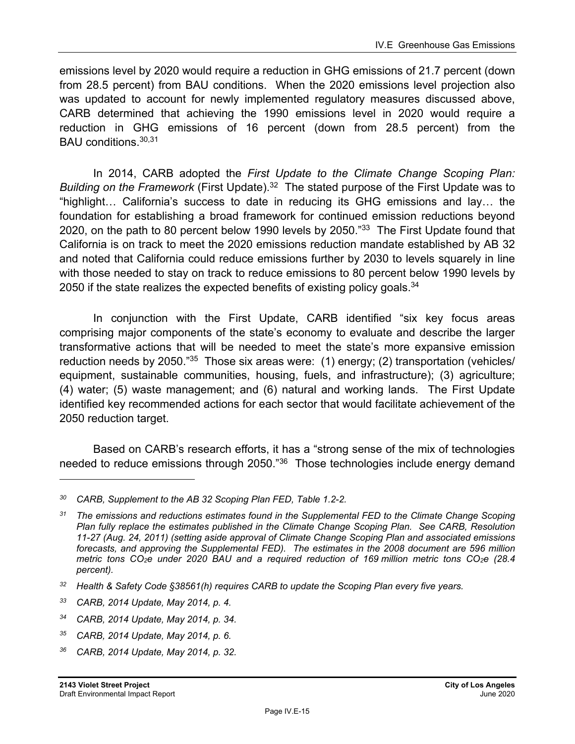emissions level by 2020 would require a reduction in GHG emissions of 21.7 percent (down from 28.5 percent) from BAU conditions. When the 2020 emissions level projection also was updated to account for newly implemented regulatory measures discussed above, CARB determined that achieving the 1990 emissions level in 2020 would require a reduction in GHG emissions of 16 percent (down from 28.5 percent) from the BAU conditions.30,31

In 2014, CARB adopted the *First Update to the Climate Change Scoping Plan: Building on the Framework* (First Update).32 The stated purpose of the First Update was to "highlight… California's success to date in reducing its GHG emissions and lay… the foundation for establishing a broad framework for continued emission reductions beyond 2020, on the path to 80 percent below 1990 levels by 2050."<sup>33</sup> The First Update found that California is on track to meet the 2020 emissions reduction mandate established by AB 32 and noted that California could reduce emissions further by 2030 to levels squarely in line with those needed to stay on track to reduce emissions to 80 percent below 1990 levels by 2050 if the state realizes the expected benefits of existing policy goals.<sup>34</sup>

In conjunction with the First Update, CARB identified "six key focus areas comprising major components of the state's economy to evaluate and describe the larger transformative actions that will be needed to meet the state's more expansive emission reduction needs by 2050."<sup>35</sup> Those six areas were: (1) energy; (2) transportation (vehicles/ equipment, sustainable communities, housing, fuels, and infrastructure); (3) agriculture; (4) water; (5) waste management; and (6) natural and working lands. The First Update identified key recommended actions for each sector that would facilitate achievement of the 2050 reduction target.

Based on CARB's research efforts, it has a "strong sense of the mix of technologies needed to reduce emissions through 2050."<sup>36</sup> Those technologies include energy demand

- *35 CARB, 2014 Update, May 2014, p. 6.*
- *36 CARB, 2014 Update, May 2014, p. 32.*

*<sup>30</sup> CARB, Supplement to the AB 32 Scoping Plan FED, Table 1.2-2.* 

*<sup>31</sup> The emissions and reductions estimates found in the Supplemental FED to the Climate Change Scoping Plan fully replace the estimates published in the Climate Change Scoping Plan. See CARB, Resolution 11-27 (Aug. 24, 2011) (setting aside approval of Climate Change Scoping Plan and associated emissions forecasts, and approving the Supplemental FED). The estimates in the 2008 document are 596 million metric tons CO2e under 2020 BAU and a required reduction of 169 million metric tons CO2e (28.4 percent).* 

*<sup>32</sup> Health & Safety Code §38561(h) requires CARB to update the Scoping Plan every five years.* 

*<sup>33</sup> CARB, 2014 Update, May 2014, p. 4.* 

*<sup>34</sup> CARB, 2014 Update, May 2014, p. 34.*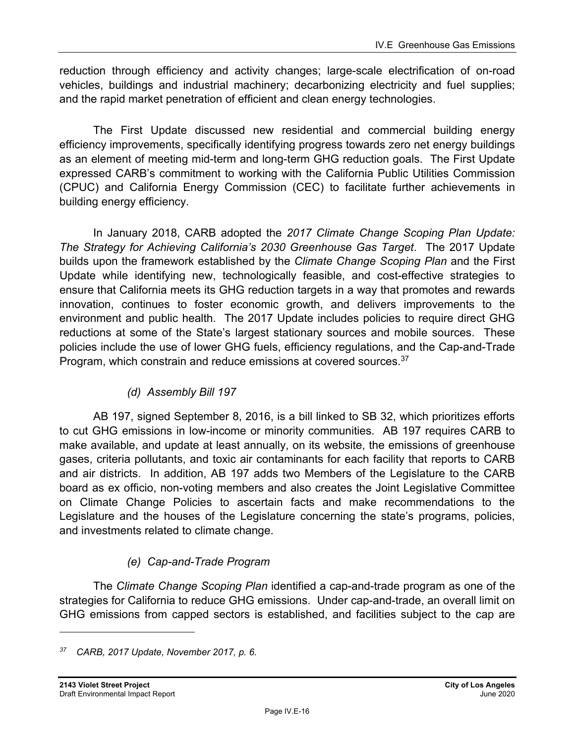reduction through efficiency and activity changes; large-scale electrification of on-road vehicles, buildings and industrial machinery; decarbonizing electricity and fuel supplies; and the rapid market penetration of efficient and clean energy technologies.

The First Update discussed new residential and commercial building energy efficiency improvements, specifically identifying progress towards zero net energy buildings as an element of meeting mid-term and long-term GHG reduction goals. The First Update expressed CARB's commitment to working with the California Public Utilities Commission (CPUC) and California Energy Commission (CEC) to facilitate further achievements in building energy efficiency.

In January 2018, CARB adopted the *2017 Climate Change Scoping Plan Update: The Strategy for Achieving California's 2030 Greenhouse Gas Target*. The 2017 Update builds upon the framework established by the *Climate Change Scoping Plan* and the First Update while identifying new, technologically feasible, and cost-effective strategies to ensure that California meets its GHG reduction targets in a way that promotes and rewards innovation, continues to foster economic growth, and delivers improvements to the environment and public health. The 2017 Update includes policies to require direct GHG reductions at some of the State's largest stationary sources and mobile sources. These policies include the use of lower GHG fuels, efficiency regulations, and the Cap-and-Trade Program, which constrain and reduce emissions at covered sources.<sup>37</sup>

## *(d) Assembly Bill 197*

AB 197, signed September 8, 2016, is a bill linked to SB 32, which prioritizes efforts to cut GHG emissions in low-income or minority communities. AB 197 requires CARB to make available, and update at least annually, on its website, the emissions of greenhouse gases, criteria pollutants, and toxic air contaminants for each facility that reports to CARB and air districts. In addition, AB 197 adds two Members of the Legislature to the CARB board as ex officio, non-voting members and also creates the Joint Legislative Committee on Climate Change Policies to ascertain facts and make recommendations to the Legislature and the houses of the Legislature concerning the state's programs, policies, and investments related to climate change.

## *(e) Cap-and-Trade Program*

The *Climate Change Scoping Plan* identified a cap-and-trade program as one of the strategies for California to reduce GHG emissions. Under cap-and-trade, an overall limit on GHG emissions from capped sectors is established, and facilities subject to the cap are

*<sup>37</sup> CARB, 2017 Update, November 2017, p. 6.*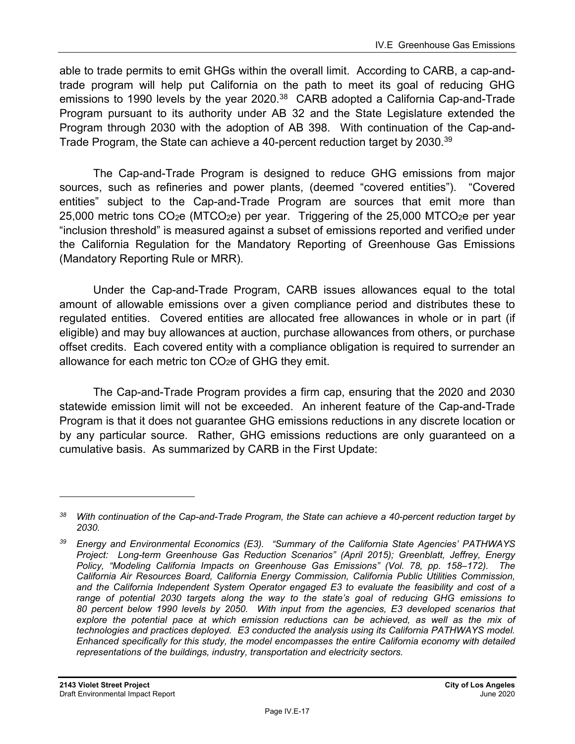able to trade permits to emit GHGs within the overall limit. According to CARB, a cap-andtrade program will help put California on the path to meet its goal of reducing GHG emissions to 1990 levels by the year 2020.<sup>38</sup> CARB adopted a California Cap-and-Trade Program pursuant to its authority under AB 32 and the State Legislature extended the Program through 2030 with the adoption of AB 398. With continuation of the Cap-and-Trade Program, the State can achieve a 40-percent reduction target by 2030.<sup>39</sup>

The Cap-and-Trade Program is designed to reduce GHG emissions from major sources, such as refineries and power plants, (deemed "covered entities"). "Covered entities" subject to the Cap-and-Trade Program are sources that emit more than  $25,000$  metric tons CO<sub>2</sub>e (MTCO<sub>2</sub>e) per year. Triggering of the 25,000 MTCO<sub>2</sub>e per year "inclusion threshold" is measured against a subset of emissions reported and verified under the California Regulation for the Mandatory Reporting of Greenhouse Gas Emissions (Mandatory Reporting Rule or MRR).

Under the Cap-and-Trade Program, CARB issues allowances equal to the total amount of allowable emissions over a given compliance period and distributes these to regulated entities. Covered entities are allocated free allowances in whole or in part (if eligible) and may buy allowances at auction, purchase allowances from others, or purchase offset credits. Each covered entity with a compliance obligation is required to surrender an allowance for each metric ton  $CO<sub>2</sub>e$  of GHG they emit.

The Cap-and-Trade Program provides a firm cap, ensuring that the 2020 and 2030 statewide emission limit will not be exceeded. An inherent feature of the Cap-and-Trade Program is that it does not guarantee GHG emissions reductions in any discrete location or by any particular source. Rather, GHG emissions reductions are only guaranteed on a cumulative basis. As summarized by CARB in the First Update:

*<sup>38</sup> With continuation of the Cap-and-Trade Program, the State can achieve a 40-percent reduction target by 2030.* 

*<sup>39</sup> Energy and Environmental Economics (E3). "Summary of the California State Agencies' PATHWAYS Project: Long-term Greenhouse Gas Reduction Scenarios" (April 2015); Greenblatt, Jeffrey, Energy Policy, "Modeling California Impacts on Greenhouse Gas Emissions" (Vol. 78, pp. 158–172). The California Air Resources Board, California Energy Commission, California Public Utilities Commission, and the California Independent System Operator engaged E3 to evaluate the feasibility and cost of a range of potential 2030 targets along the way to the state's goal of reducing GHG emissions to 80 percent below 1990 levels by 2050. With input from the agencies, E3 developed scenarios that*  explore the potential pace at which emission reductions can be achieved, as well as the mix of *technologies and practices deployed. E3 conducted the analysis using its California PATHWAYS model. Enhanced specifically for this study, the model encompasses the entire California economy with detailed representations of the buildings, industry, transportation and electricity sectors.*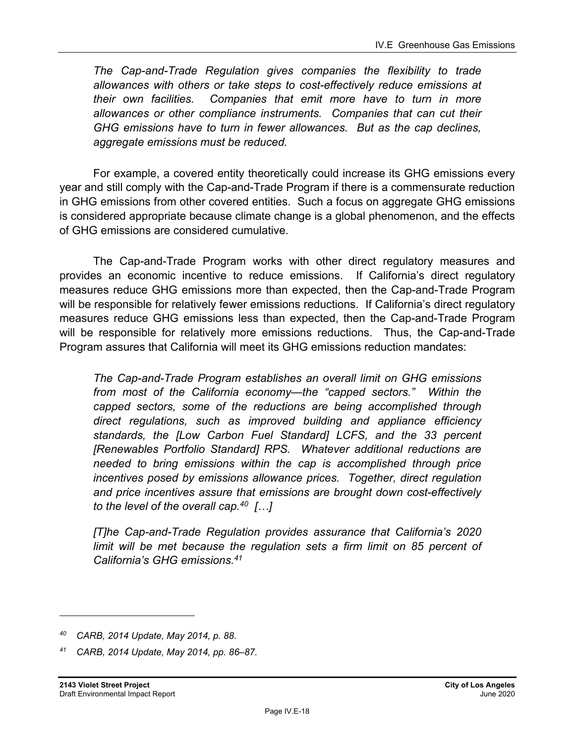*The Cap-and-Trade Regulation gives companies the flexibility to trade allowances with others or take steps to cost-effectively reduce emissions at their own facilities. Companies that emit more have to turn in more allowances or other compliance instruments. Companies that can cut their GHG emissions have to turn in fewer allowances. But as the cap declines, aggregate emissions must be reduced.* 

For example, a covered entity theoretically could increase its GHG emissions every year and still comply with the Cap-and-Trade Program if there is a commensurate reduction in GHG emissions from other covered entities. Such a focus on aggregate GHG emissions is considered appropriate because climate change is a global phenomenon, and the effects of GHG emissions are considered cumulative.

The Cap-and-Trade Program works with other direct regulatory measures and provides an economic incentive to reduce emissions. If California's direct regulatory measures reduce GHG emissions more than expected, then the Cap-and-Trade Program will be responsible for relatively fewer emissions reductions. If California's direct regulatory measures reduce GHG emissions less than expected, then the Cap-and-Trade Program will be responsible for relatively more emissions reductions. Thus, the Cap-and-Trade Program assures that California will meet its GHG emissions reduction mandates:

*The Cap-and-Trade Program establishes an overall limit on GHG emissions from most of the California economy—the "capped sectors." Within the capped sectors, some of the reductions are being accomplished through direct regulations, such as improved building and appliance efficiency standards, the [Low Carbon Fuel Standard] LCFS, and the 33 percent [Renewables Portfolio Standard] RPS. Whatever additional reductions are needed to bring emissions within the cap is accomplished through price incentives posed by emissions allowance prices. Together, direct regulation and price incentives assure that emissions are brought down cost-effectively to the level of the overall cap.40 […]* 

*[T]he Cap-and-Trade Regulation provides assurance that California's 2020*  limit will be met because the regulation sets a firm limit on 85 percent of *California's GHG emissions.41*

*<sup>40</sup> CARB, 2014 Update, May 2014, p. 88.* 

*<sup>41</sup> CARB, 2014 Update, May 2014, pp. 86–87.*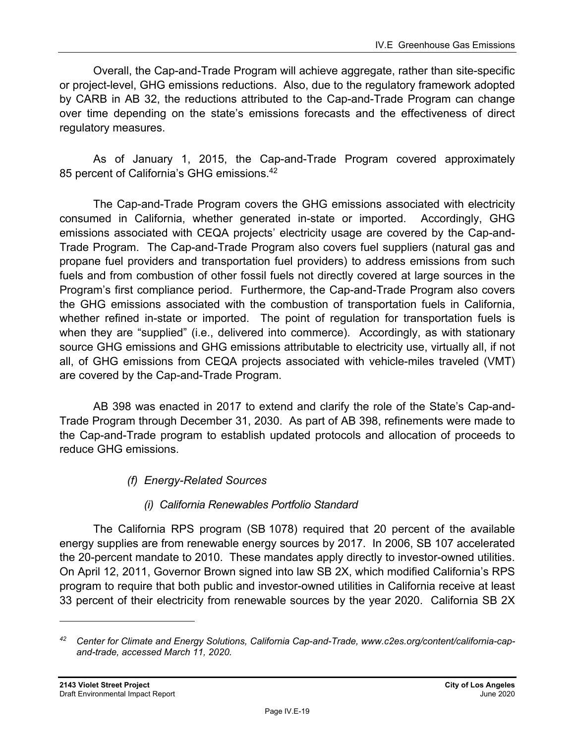Overall, the Cap-and-Trade Program will achieve aggregate, rather than site-specific or project-level, GHG emissions reductions. Also, due to the regulatory framework adopted by CARB in AB 32, the reductions attributed to the Cap-and-Trade Program can change over time depending on the state's emissions forecasts and the effectiveness of direct regulatory measures.

As of January 1, 2015, the Cap-and-Trade Program covered approximately 85 percent of California's GHG emissions.<sup>42</sup>

The Cap-and-Trade Program covers the GHG emissions associated with electricity consumed in California, whether generated in-state or imported. Accordingly, GHG emissions associated with CEQA projects' electricity usage are covered by the Cap-and-Trade Program. The Cap-and-Trade Program also covers fuel suppliers (natural gas and propane fuel providers and transportation fuel providers) to address emissions from such fuels and from combustion of other fossil fuels not directly covered at large sources in the Program's first compliance period. Furthermore, the Cap-and-Trade Program also covers the GHG emissions associated with the combustion of transportation fuels in California, whether refined in-state or imported. The point of regulation for transportation fuels is when they are "supplied" (i.e., delivered into commerce). Accordingly, as with stationary source GHG emissions and GHG emissions attributable to electricity use, virtually all, if not all, of GHG emissions from CEQA projects associated with vehicle-miles traveled (VMT) are covered by the Cap-and-Trade Program.

AB 398 was enacted in 2017 to extend and clarify the role of the State's Cap-and-Trade Program through December 31, 2030. As part of AB 398, refinements were made to the Cap-and-Trade program to establish updated protocols and allocation of proceeds to reduce GHG emissions.

*(f) Energy-Related Sources* 

## *(i) California Renewables Portfolio Standard*

The California RPS program (SB 1078) required that 20 percent of the available energy supplies are from renewable energy sources by 2017. In 2006, SB 107 accelerated the 20-percent mandate to 2010. These mandates apply directly to investor-owned utilities. On April 12, 2011, Governor Brown signed into law SB 2X, which modified California's RPS program to require that both public and investor-owned utilities in California receive at least 33 percent of their electricity from renewable sources by the year 2020. California SB 2X

*<sup>42</sup> Center for Climate and Energy Solutions, California Cap-and-Trade, www.c2es.org/content/california-capand-trade, accessed March 11, 2020.*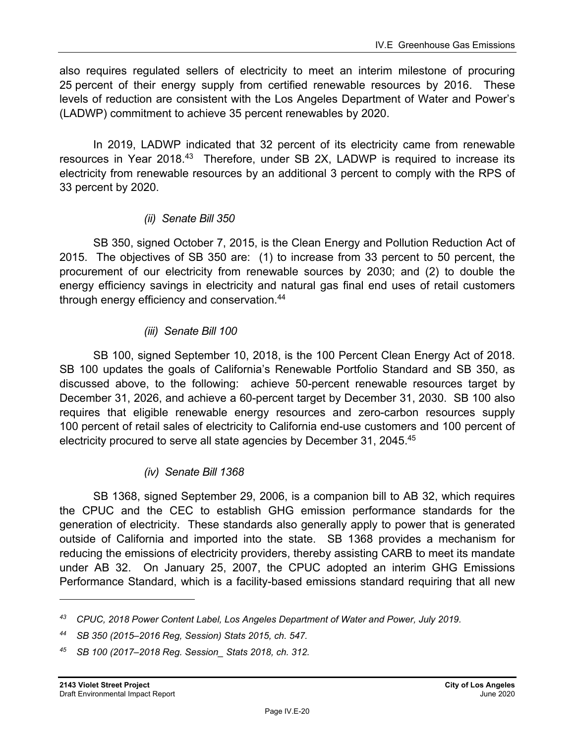also requires regulated sellers of electricity to meet an interim milestone of procuring 25 percent of their energy supply from certified renewable resources by 2016. These levels of reduction are consistent with the Los Angeles Department of Water and Power's (LADWP) commitment to achieve 35 percent renewables by 2020.

In 2019, LADWP indicated that 32 percent of its electricity came from renewable resources in Year 2018.<sup>43</sup> Therefore, under SB 2X, LADWP is required to increase its electricity from renewable resources by an additional 3 percent to comply with the RPS of 33 percent by 2020.

### *(ii) Senate Bill 350*

SB 350, signed October 7, 2015, is the Clean Energy and Pollution Reduction Act of 2015. The objectives of SB 350 are: (1) to increase from 33 percent to 50 percent, the procurement of our electricity from renewable sources by 2030; and (2) to double the energy efficiency savings in electricity and natural gas final end uses of retail customers through energy efficiency and conservation.44

### *(iii) Senate Bill 100*

SB 100, signed September 10, 2018, is the 100 Percent Clean Energy Act of 2018. SB 100 updates the goals of California's Renewable Portfolio Standard and SB 350, as discussed above, to the following: achieve 50-percent renewable resources target by December 31, 2026, and achieve a 60-percent target by December 31, 2030. SB 100 also requires that eligible renewable energy resources and zero-carbon resources supply 100 percent of retail sales of electricity to California end-use customers and 100 percent of electricity procured to serve all state agencies by December 31, 2045.45

### *(iv) Senate Bill 1368*

SB 1368, signed September 29, 2006, is a companion bill to AB 32, which requires the CPUC and the CEC to establish GHG emission performance standards for the generation of electricity. These standards also generally apply to power that is generated outside of California and imported into the state. SB 1368 provides a mechanism for reducing the emissions of electricity providers, thereby assisting CARB to meet its mandate under AB 32. On January 25, 2007, the CPUC adopted an interim GHG Emissions Performance Standard, which is a facility-based emissions standard requiring that all new

*<sup>43</sup> CPUC, 2018 Power Content Label, Los Angeles Department of Water and Power, July 2019.* 

*<sup>44</sup> SB 350 (2015–2016 Reg, Session) Stats 2015, ch. 547.* 

*<sup>45</sup> SB 100 (2017–2018 Reg. Session\_ Stats 2018, ch. 312.*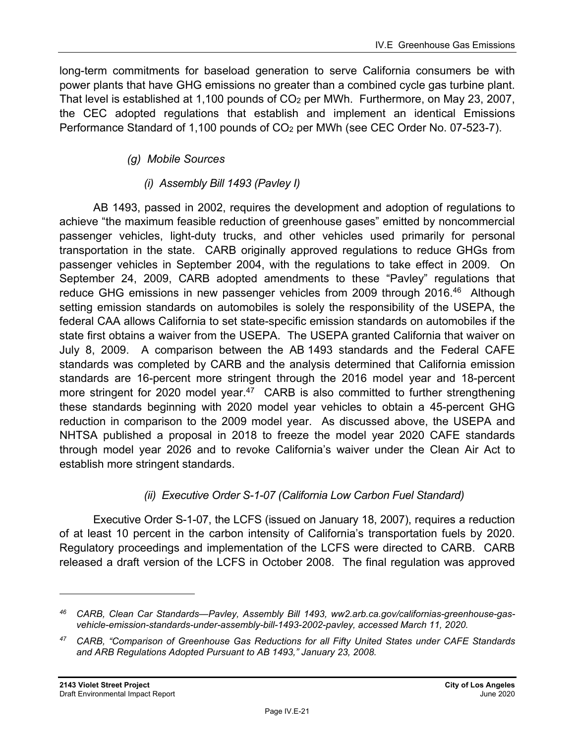long-term commitments for baseload generation to serve California consumers be with power plants that have GHG emissions no greater than a combined cycle gas turbine plant. That level is established at 1,100 pounds of CO2 per MWh. Furthermore, on May 23, 2007, the CEC adopted regulations that establish and implement an identical Emissions Performance Standard of 1,100 pounds of CO<sub>2</sub> per MWh (see CEC Order No. 07-523-7).

## *(g) Mobile Sources*

## *(i) Assembly Bill 1493 (Pavley I)*

AB 1493, passed in 2002, requires the development and adoption of regulations to achieve "the maximum feasible reduction of greenhouse gases" emitted by noncommercial passenger vehicles, light-duty trucks, and other vehicles used primarily for personal transportation in the state. CARB originally approved regulations to reduce GHGs from passenger vehicles in September 2004, with the regulations to take effect in 2009. On September 24, 2009, CARB adopted amendments to these "Pavley" regulations that reduce GHG emissions in new passenger vehicles from 2009 through 2016.<sup>46</sup> Although setting emission standards on automobiles is solely the responsibility of the USEPA, the federal CAA allows California to set state-specific emission standards on automobiles if the state first obtains a waiver from the USEPA. The USEPA granted California that waiver on July 8, 2009. A comparison between the AB 1493 standards and the Federal CAFE standards was completed by CARB and the analysis determined that California emission standards are 16-percent more stringent through the 2016 model year and 18-percent more stringent for 2020 model year.<sup>47</sup> CARB is also committed to further strengthening these standards beginning with 2020 model year vehicles to obtain a 45-percent GHG reduction in comparison to the 2009 model year. As discussed above, the USEPA and NHTSA published a proposal in 2018 to freeze the model year 2020 CAFE standards through model year 2026 and to revoke California's waiver under the Clean Air Act to establish more stringent standards.

## *(ii) Executive Order S-1-07 (California Low Carbon Fuel Standard)*

Executive Order S-1-07, the LCFS (issued on January 18, 2007), requires a reduction of at least 10 percent in the carbon intensity of California's transportation fuels by 2020. Regulatory proceedings and implementation of the LCFS were directed to CARB. CARB released a draft version of the LCFS in October 2008. The final regulation was approved

*<sup>46</sup> CARB, Clean Car Standards—Pavley, Assembly Bill 1493, ww2.arb.ca.gov/californias-greenhouse-gasvehicle-emission-standards-under-assembly-bill-1493-2002-pavley, accessed March 11, 2020.* 

*<sup>47</sup> CARB, "Comparison of Greenhouse Gas Reductions for all Fifty United States under CAFE Standards and ARB Regulations Adopted Pursuant to AB 1493," January 23, 2008.*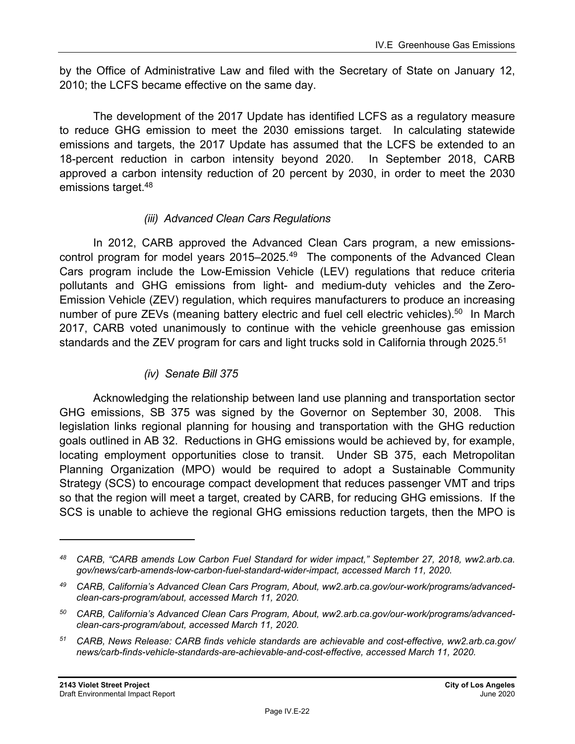by the Office of Administrative Law and filed with the Secretary of State on January 12, 2010; the LCFS became effective on the same day.

The development of the 2017 Update has identified LCFS as a regulatory measure to reduce GHG emission to meet the 2030 emissions target. In calculating statewide emissions and targets, the 2017 Update has assumed that the LCFS be extended to an 18-percent reduction in carbon intensity beyond 2020. In September 2018, CARB approved a carbon intensity reduction of 20 percent by 2030, in order to meet the 2030 emissions target.48

#### *(iii) Advanced Clean Cars Regulations*

In 2012, CARB approved the Advanced Clean Cars program, a new emissionscontrol program for model years 2015–2025.<sup>49</sup> The components of the Advanced Clean Cars program include the Low-Emission Vehicle (LEV) regulations that reduce criteria pollutants and GHG emissions from light- and medium-duty vehicles and the Zero-Emission Vehicle (ZEV) regulation, which requires manufacturers to produce an increasing number of pure ZEVs (meaning battery electric and fuel cell electric vehicles).<sup>50</sup> In March 2017, CARB voted unanimously to continue with the vehicle greenhouse gas emission standards and the ZEV program for cars and light trucks sold in California through 2025.<sup>51</sup>

#### *(iv) Senate Bill 375*

Acknowledging the relationship between land use planning and transportation sector GHG emissions, SB 375 was signed by the Governor on September 30, 2008. This legislation links regional planning for housing and transportation with the GHG reduction goals outlined in AB 32. Reductions in GHG emissions would be achieved by, for example, locating employment opportunities close to transit. Under SB 375, each Metropolitan Planning Organization (MPO) would be required to adopt a Sustainable Community Strategy (SCS) to encourage compact development that reduces passenger VMT and trips so that the region will meet a target, created by CARB, for reducing GHG emissions. If the SCS is unable to achieve the regional GHG emissions reduction targets, then the MPO is

*<sup>48</sup> CARB, "CARB amends Low Carbon Fuel Standard for wider impact," September 27, 2018, ww2.arb.ca. gov/news/carb-amends-low-carbon-fuel-standard-wider-impact, accessed March 11, 2020.* 

*<sup>49</sup> CARB, California's Advanced Clean Cars Program, About, ww2.arb.ca.gov/our-work/programs/advancedclean-cars-program/about, accessed March 11, 2020.*

*<sup>50</sup> CARB, California's Advanced Clean Cars Program, About, ww2.arb.ca.gov/our-work/programs/advancedclean-cars-program/about, accessed March 11, 2020.* 

*<sup>51</sup> CARB, News Release: CARB finds vehicle standards are achievable and cost-effective, ww2.arb.ca.gov/ news/carb-finds-vehicle-standards-are-achievable-and-cost-effective, accessed March 11, 2020.*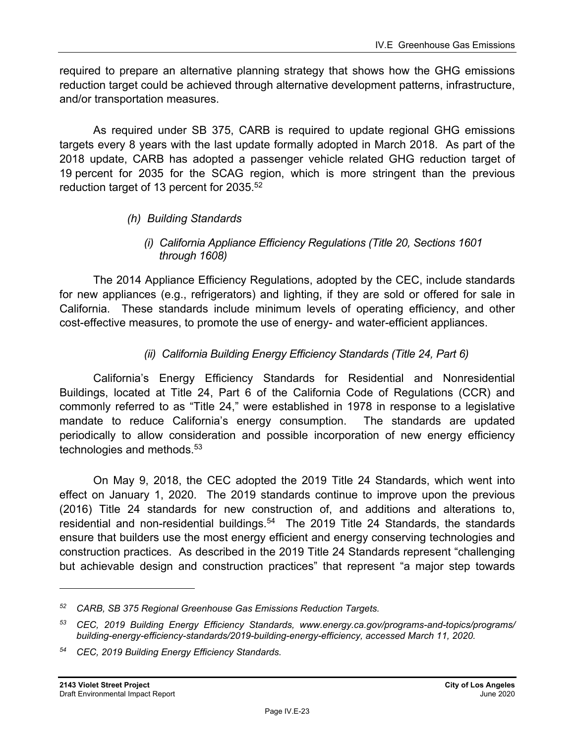required to prepare an alternative planning strategy that shows how the GHG emissions reduction target could be achieved through alternative development patterns, infrastructure, and/or transportation measures.

As required under SB 375, CARB is required to update regional GHG emissions targets every 8 years with the last update formally adopted in March 2018. As part of the 2018 update, CARB has adopted a passenger vehicle related GHG reduction target of 19 percent for 2035 for the SCAG region, which is more stringent than the previous reduction target of 13 percent for 2035.<sup>52</sup>

#### *(h) Building Standards*

#### *(i) California Appliance Efficiency Regulations (Title 20, Sections 1601 through 1608)*

The 2014 Appliance Efficiency Regulations, adopted by the CEC, include standards for new appliances (e.g., refrigerators) and lighting, if they are sold or offered for sale in California. These standards include minimum levels of operating efficiency, and other cost-effective measures, to promote the use of energy- and water-efficient appliances.

#### *(ii) California Building Energy Efficiency Standards (Title 24, Part 6)*

California's Energy Efficiency Standards for Residential and Nonresidential Buildings, located at Title 24, Part 6 of the California Code of Regulations (CCR) and commonly referred to as "Title 24," were established in 1978 in response to a legislative mandate to reduce California's energy consumption. The standards are updated periodically to allow consideration and possible incorporation of new energy efficiency technologies and methods.<sup>53</sup>

On May 9, 2018, the CEC adopted the 2019 Title 24 Standards, which went into effect on January 1, 2020. The 2019 standards continue to improve upon the previous (2016) Title 24 standards for new construction of, and additions and alterations to, residential and non-residential buildings.<sup>54</sup> The 2019 Title 24 Standards, the standards ensure that builders use the most energy efficient and energy conserving technologies and construction practices. As described in the 2019 Title 24 Standards represent "challenging but achievable design and construction practices" that represent "a major step towards

*<sup>52</sup> CARB, SB 375 Regional Greenhouse Gas Emissions Reduction Targets.* 

*<sup>53</sup> CEC, 2019 Building Energy Efficiency Standards, www.energy.ca.gov/programs-and-topics/programs/ building-energy-efficiency-standards/2019-building-energy-efficiency, accessed March 11, 2020.* 

*<sup>54</sup> CEC, 2019 Building Energy Efficiency Standards.*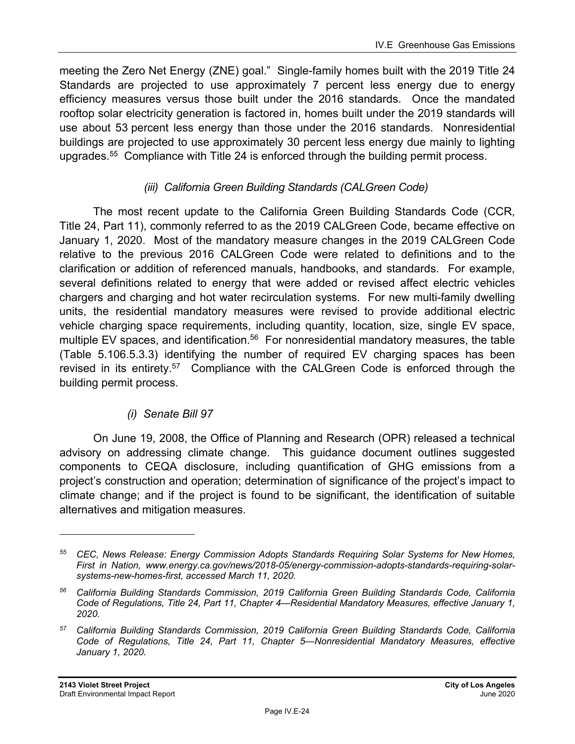meeting the Zero Net Energy (ZNE) goal." Single-family homes built with the 2019 Title 24 Standards are projected to use approximately 7 percent less energy due to energy efficiency measures versus those built under the 2016 standards. Once the mandated rooftop solar electricity generation is factored in, homes built under the 2019 standards will use about 53 percent less energy than those under the 2016 standards. Nonresidential buildings are projected to use approximately 30 percent less energy due mainly to lighting upgrades.55 Compliance with Title 24 is enforced through the building permit process.

#### *(iii) California Green Building Standards (CALGreen Code)*

The most recent update to the California Green Building Standards Code (CCR, Title 24, Part 11), commonly referred to as the 2019 CALGreen Code, became effective on January 1, 2020. Most of the mandatory measure changes in the 2019 CALGreen Code relative to the previous 2016 CALGreen Code were related to definitions and to the clarification or addition of referenced manuals, handbooks, and standards. For example, several definitions related to energy that were added or revised affect electric vehicles chargers and charging and hot water recirculation systems. For new multi-family dwelling units, the residential mandatory measures were revised to provide additional electric vehicle charging space requirements, including quantity, location, size, single EV space, multiple EV spaces, and identification.<sup>56</sup> For nonresidential mandatory measures, the table (Table 5.106.5.3.3) identifying the number of required EV charging spaces has been revised in its entirety.<sup>57</sup> Compliance with the CALGreen Code is enforced through the building permit process.

### *(i) Senate Bill 97*

On June 19, 2008, the Office of Planning and Research (OPR) released a technical advisory on addressing climate change. This guidance document outlines suggested components to CEQA disclosure, including quantification of GHG emissions from a project's construction and operation; determination of significance of the project's impact to climate change; and if the project is found to be significant, the identification of suitable alternatives and mitigation measures.

*<sup>55</sup> CEC, News Release: Energy Commission Adopts Standards Requiring Solar Systems for New Homes, First in Nation, www.energy.ca.gov/news/2018-05/energy-commission-adopts-standards-requiring-solarsystems-new-homes-first, accessed March 11, 2020.* 

*<sup>56</sup> California Building Standards Commission, 2019 California Green Building Standards Code, California Code of Regulations, Title 24, Part 11, Chapter 4—Residential Mandatory Measures, effective January 1, 2020.* 

*<sup>57</sup> California Building Standards Commission, 2019 California Green Building Standards Code, California Code of Regulations, Title 24, Part 11, Chapter 5—Nonresidential Mandatory Measures, effective January 1, 2020.*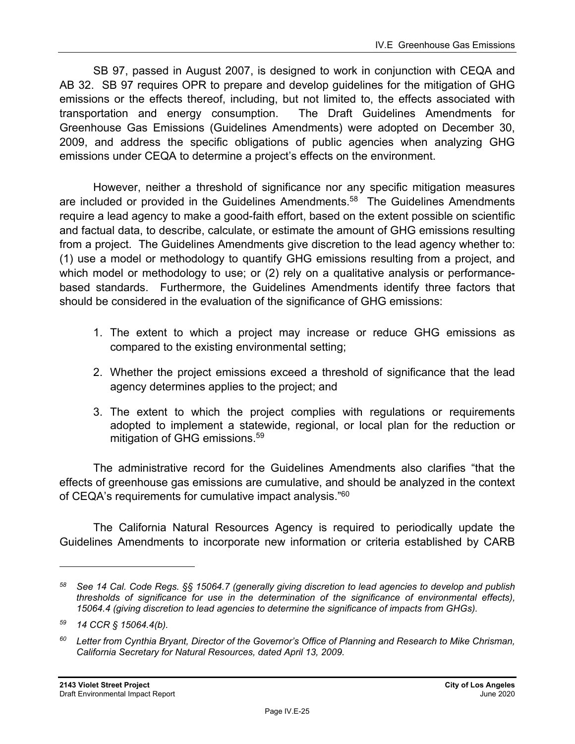SB 97, passed in August 2007, is designed to work in conjunction with CEQA and AB 32. SB 97 requires OPR to prepare and develop guidelines for the mitigation of GHG emissions or the effects thereof, including, but not limited to, the effects associated with transportation and energy consumption. The Draft Guidelines Amendments for Greenhouse Gas Emissions (Guidelines Amendments) were adopted on December 30, 2009, and address the specific obligations of public agencies when analyzing GHG emissions under CEQA to determine a project's effects on the environment.

However, neither a threshold of significance nor any specific mitigation measures are included or provided in the Guidelines Amendments.<sup>58</sup> The Guidelines Amendments require a lead agency to make a good-faith effort, based on the extent possible on scientific and factual data, to describe, calculate, or estimate the amount of GHG emissions resulting from a project. The Guidelines Amendments give discretion to the lead agency whether to: (1) use a model or methodology to quantify GHG emissions resulting from a project, and which model or methodology to use; or (2) rely on a qualitative analysis or performancebased standards. Furthermore, the Guidelines Amendments identify three factors that should be considered in the evaluation of the significance of GHG emissions:

- 1. The extent to which a project may increase or reduce GHG emissions as compared to the existing environmental setting;
- 2. Whether the project emissions exceed a threshold of significance that the lead agency determines applies to the project; and
- 3. The extent to which the project complies with regulations or requirements adopted to implement a statewide, regional, or local plan for the reduction or mitigation of GHG emissions.<sup>59</sup>

The administrative record for the Guidelines Amendments also clarifies "that the effects of greenhouse gas emissions are cumulative, and should be analyzed in the context of CEQA's requirements for cumulative impact analysis."<sup>60</sup>

The California Natural Resources Agency is required to periodically update the Guidelines Amendments to incorporate new information or criteria established by CARB

*<sup>58</sup> See 14 Cal. Code Regs. §§ 15064.7 (generally giving discretion to lead agencies to develop and publish thresholds of significance for use in the determination of the significance of environmental effects), 15064.4 (giving discretion to lead agencies to determine the significance of impacts from GHGs).* 

*<sup>59 14</sup> CCR § 15064.4(b).* 

*<sup>60</sup> Letter from Cynthia Bryant, Director of the Governor's Office of Planning and Research to Mike Chrisman, California Secretary for Natural Resources, dated April 13, 2009.*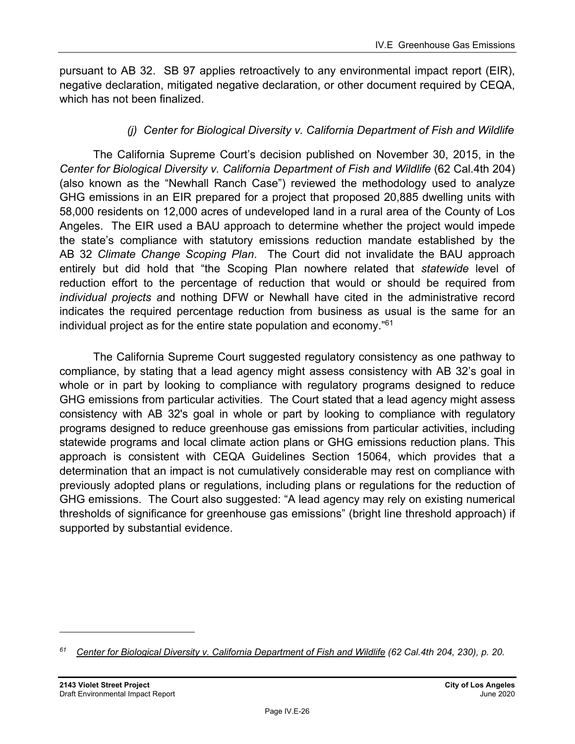pursuant to AB 32. SB 97 applies retroactively to any environmental impact report (EIR), negative declaration, mitigated negative declaration, or other document required by CEQA, which has not been finalized.

### *(j) Center for Biological Diversity v. California Department of Fish and Wildlife*

The California Supreme Court's decision published on November 30, 2015, in the *Center for Biological Diversity v. California Department of Fish and Wildlife* (62 Cal.4th 204) (also known as the "Newhall Ranch Case") reviewed the methodology used to analyze GHG emissions in an EIR prepared for a project that proposed 20,885 dwelling units with 58,000 residents on 12,000 acres of undeveloped land in a rural area of the County of Los Angeles. The EIR used a BAU approach to determine whether the project would impede the state's compliance with statutory emissions reduction mandate established by the AB 32 *Climate Change Scoping Plan*. The Court did not invalidate the BAU approach entirely but did hold that "the Scoping Plan nowhere related that *statewide* level of reduction effort to the percentage of reduction that would or should be required from *individual projects a*nd nothing DFW or Newhall have cited in the administrative record indicates the required percentage reduction from business as usual is the same for an individual project as for the entire state population and economy."61

The California Supreme Court suggested regulatory consistency as one pathway to compliance, by stating that a lead agency might assess consistency with AB 32's goal in whole or in part by looking to compliance with regulatory programs designed to reduce GHG emissions from particular activities. The Court stated that a lead agency might assess consistency with AB 32's goal in whole or part by looking to compliance with regulatory programs designed to reduce greenhouse gas emissions from particular activities, including statewide programs and local climate action plans or GHG emissions reduction plans. This approach is consistent with CEQA Guidelines Section 15064, which provides that a determination that an impact is not cumulatively considerable may rest on compliance with previously adopted plans or regulations, including plans or regulations for the reduction of GHG emissions. The Court also suggested: "A lead agency may rely on existing numerical thresholds of significance for greenhouse gas emissions" (bright line threshold approach) if supported by substantial evidence.

*<sup>61</sup> Center for Biological Diversity v. California Department of Fish and Wildlife (62 Cal.4th 204, 230), p. 20.*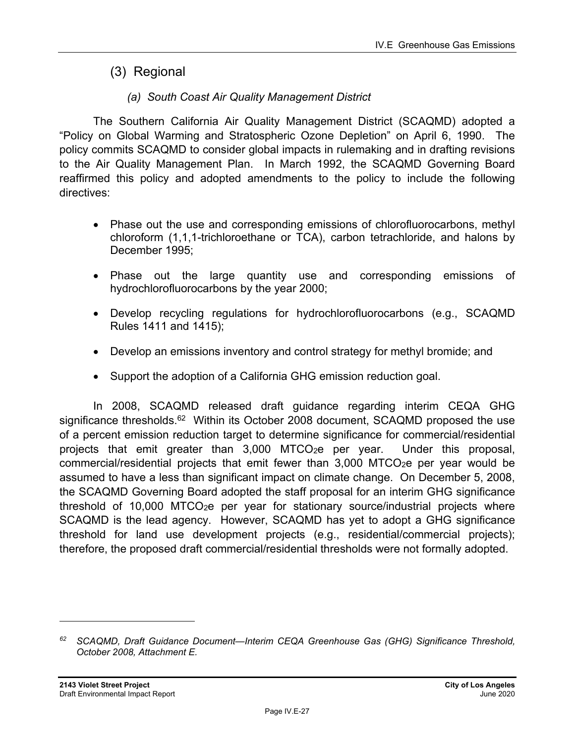## (3) Regional

## *(a) South Coast Air Quality Management District*

The Southern California Air Quality Management District (SCAQMD) adopted a "Policy on Global Warming and Stratospheric Ozone Depletion" on April 6, 1990. The policy commits SCAQMD to consider global impacts in rulemaking and in drafting revisions to the Air Quality Management Plan. In March 1992, the SCAQMD Governing Board reaffirmed this policy and adopted amendments to the policy to include the following directives:

- Phase out the use and corresponding emissions of chlorofluorocarbons, methyl chloroform (1,1,1-trichloroethane or TCA), carbon tetrachloride, and halons by December 1995;
- Phase out the large quantity use and corresponding emissions of hydrochlorofluorocarbons by the year 2000;
- Develop recycling regulations for hydrochlorofluorocarbons (e.g., SCAQMD Rules 1411 and 1415);
- Develop an emissions inventory and control strategy for methyl bromide; and
- Support the adoption of a California GHG emission reduction goal.

In 2008, SCAQMD released draft guidance regarding interim CEQA GHG significance thresholds.<sup>62</sup> Within its October 2008 document, SCAQMD proposed the use of a percent emission reduction target to determine significance for commercial/residential projects that emit greater than 3,000 MTCO<sub>2</sub>e per year. Under this proposal, commercial/residential projects that emit fewer than  $3,000$  MTCO<sub>2</sub>e per year would be assumed to have a less than significant impact on climate change. On December 5, 2008, the SCAQMD Governing Board adopted the staff proposal for an interim GHG significance threshold of 10,000 MTCO2e per year for stationary source/industrial projects where SCAQMD is the lead agency. However, SCAQMD has yet to adopt a GHG significance threshold for land use development projects (e.g., residential/commercial projects); therefore, the proposed draft commercial/residential thresholds were not formally adopted.

*<sup>62</sup> SCAQMD, Draft Guidance Document—Interim CEQA Greenhouse Gas (GHG) Significance Threshold, October 2008, Attachment E.*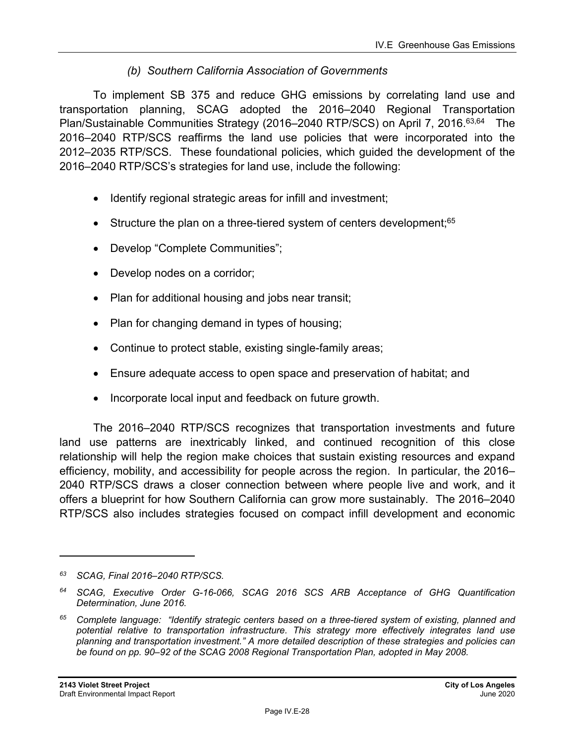### *(b) Southern California Association of Governments*

To implement SB 375 and reduce GHG emissions by correlating land use and transportation planning, SCAG adopted the 2016–2040 Regional Transportation Plan/Sustainable Communities Strategy (2016–2040 RTP/SCS) on April 7, 2016.<sup>63,64</sup> The 2016–2040 RTP/SCS reaffirms the land use policies that were incorporated into the 2012–2035 RTP/SCS. These foundational policies, which guided the development of the 2016–2040 RTP/SCS's strategies for land use, include the following:

- Identify regional strategic areas for infill and investment;
- Structure the plan on a three-tiered system of centers development;<sup>65</sup>
- Develop "Complete Communities";
- Develop nodes on a corridor;
- Plan for additional housing and jobs near transit;
- Plan for changing demand in types of housing;
- Continue to protect stable, existing single-family areas;
- Ensure adequate access to open space and preservation of habitat; and
- Incorporate local input and feedback on future growth.

The 2016–2040 RTP/SCS recognizes that transportation investments and future land use patterns are inextricably linked, and continued recognition of this close relationship will help the region make choices that sustain existing resources and expand efficiency, mobility, and accessibility for people across the region. In particular, the 2016– 2040 RTP/SCS draws a closer connection between where people live and work, and it offers a blueprint for how Southern California can grow more sustainably. The 2016–2040 RTP/SCS also includes strategies focused on compact infill development and economic

*<sup>63</sup> SCAG, Final 2016–2040 RTP/SCS.* 

*<sup>64</sup> SCAG, Executive Order G-16-066, SCAG 2016 SCS ARB Acceptance of GHG Quantification Determination, June 2016.* 

*<sup>65</sup> Complete language: "Identify strategic centers based on a three-tiered system of existing, planned and potential relative to transportation infrastructure. This strategy more effectively integrates land use planning and transportation investment." A more detailed description of these strategies and policies can be found on pp. 90–92 of the SCAG 2008 Regional Transportation Plan, adopted in May 2008.*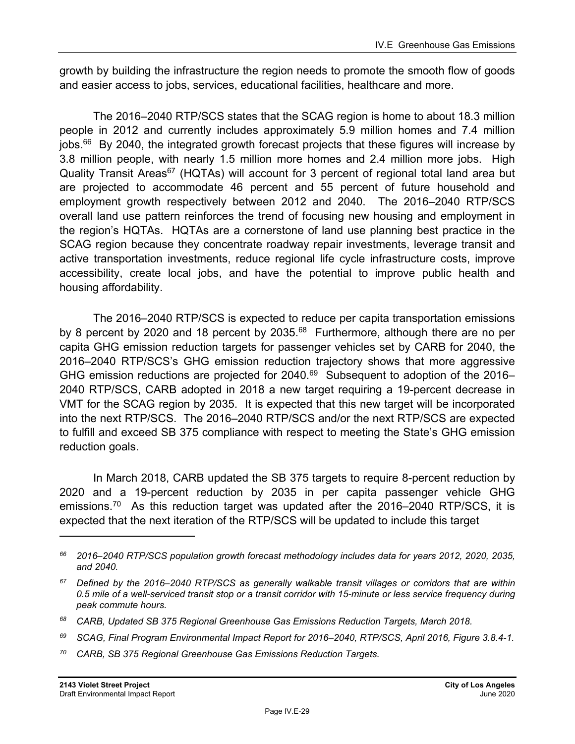growth by building the infrastructure the region needs to promote the smooth flow of goods and easier access to jobs, services, educational facilities, healthcare and more.

The 2016–2040 RTP/SCS states that the SCAG region is home to about 18.3 million people in 2012 and currently includes approximately 5.9 million homes and 7.4 million jobs. $66$  By 2040, the integrated growth forecast projects that these figures will increase by 3.8 million people, with nearly 1.5 million more homes and 2.4 million more jobs. High Quality Transit Areas<sup>67</sup> (HQTAs) will account for 3 percent of regional total land area but are projected to accommodate 46 percent and 55 percent of future household and employment growth respectively between 2012 and 2040. The 2016–2040 RTP/SCS overall land use pattern reinforces the trend of focusing new housing and employment in the region's HQTAs. HQTAs are a cornerstone of land use planning best practice in the SCAG region because they concentrate roadway repair investments, leverage transit and active transportation investments, reduce regional life cycle infrastructure costs, improve accessibility, create local jobs, and have the potential to improve public health and housing affordability.

The 2016–2040 RTP/SCS is expected to reduce per capita transportation emissions by 8 percent by 2020 and 18 percent by 2035.<sup>68</sup> Furthermore, although there are no per capita GHG emission reduction targets for passenger vehicles set by CARB for 2040, the 2016–2040 RTP/SCS's GHG emission reduction trajectory shows that more aggressive GHG emission reductions are projected for  $2040.^{69}$  Subsequent to adoption of the 2016– 2040 RTP/SCS, CARB adopted in 2018 a new target requiring a 19-percent decrease in VMT for the SCAG region by 2035. It is expected that this new target will be incorporated into the next RTP/SCS. The 2016–2040 RTP/SCS and/or the next RTP/SCS are expected to fulfill and exceed SB 375 compliance with respect to meeting the State's GHG emission reduction goals.

In March 2018, CARB updated the SB 375 targets to require 8-percent reduction by 2020 and a 19-percent reduction by 2035 in per capita passenger vehicle GHG emissions.<sup>70</sup> As this reduction target was updated after the 2016–2040 RTP/SCS, it is expected that the next iteration of the RTP/SCS will be updated to include this target

*70 CARB, SB 375 Regional Greenhouse Gas Emissions Reduction Targets.* 

*<sup>66 2016–2040</sup> RTP/SCS population growth forecast methodology includes data for years 2012, 2020, 2035, and 2040.* 

*<sup>67</sup> Defined by the 2016–2040 RTP/SCS as generally walkable transit villages or corridors that are within 0.5 mile of a well-serviced transit stop or a transit corridor with 15-minute or less service frequency during peak commute hours.* 

*<sup>68</sup> CARB, Updated SB 375 Regional Greenhouse Gas Emissions Reduction Targets, March 2018.* 

*<sup>69</sup> SCAG, Final Program Environmental Impact Report for 2016–2040, RTP/SCS, April 2016, Figure 3.8.4-1.*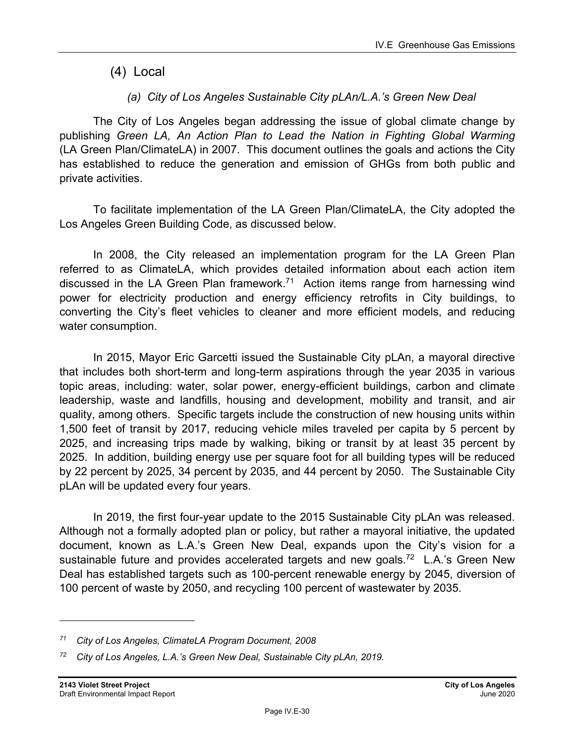(4) Local

## *(a) City of Los Angeles Sustainable City pLAn/L.A.'s Green New Deal*

The City of Los Angeles began addressing the issue of global climate change by publishing *Green LA, An Action Plan to Lead the Nation in Fighting Global Warming*  (LA Green Plan/ClimateLA) in 2007. This document outlines the goals and actions the City has established to reduce the generation and emission of GHGs from both public and private activities.

To facilitate implementation of the LA Green Plan/ClimateLA, the City adopted the Los Angeles Green Building Code, as discussed below.

In 2008, the City released an implementation program for the LA Green Plan referred to as ClimateLA, which provides detailed information about each action item discussed in the LA Green Plan framework.<sup>71</sup> Action items range from harnessing wind power for electricity production and energy efficiency retrofits in City buildings, to converting the City's fleet vehicles to cleaner and more efficient models, and reducing water consumption.

In 2015, Mayor Eric Garcetti issued the Sustainable City pLAn, a mayoral directive that includes both short-term and long-term aspirations through the year 2035 in various topic areas, including: water, solar power, energy-efficient buildings, carbon and climate leadership, waste and landfills, housing and development, mobility and transit, and air quality, among others. Specific targets include the construction of new housing units within 1,500 feet of transit by 2017, reducing vehicle miles traveled per capita by 5 percent by 2025, and increasing trips made by walking, biking or transit by at least 35 percent by 2025. In addition, building energy use per square foot for all building types will be reduced by 22 percent by 2025, 34 percent by 2035, and 44 percent by 2050. The Sustainable City pLAn will be updated every four years.

In 2019, the first four-year update to the 2015 Sustainable City pLAn was released. Although not a formally adopted plan or policy, but rather a mayoral initiative, the updated document, known as L.A.'s Green New Deal, expands upon the City's vision for a sustainable future and provides accelerated targets and new goals.<sup>72</sup> L.A.'s Green New Deal has established targets such as 100-percent renewable energy by 2045, diversion of 100 percent of waste by 2050, and recycling 100 percent of wastewater by 2035.

*<sup>71</sup> City of Los Angeles, ClimateLA Program Document, 2008* 

*<sup>72</sup> City of Los Angeles, L.A.'s Green New Deal, Sustainable City pLAn, 2019.*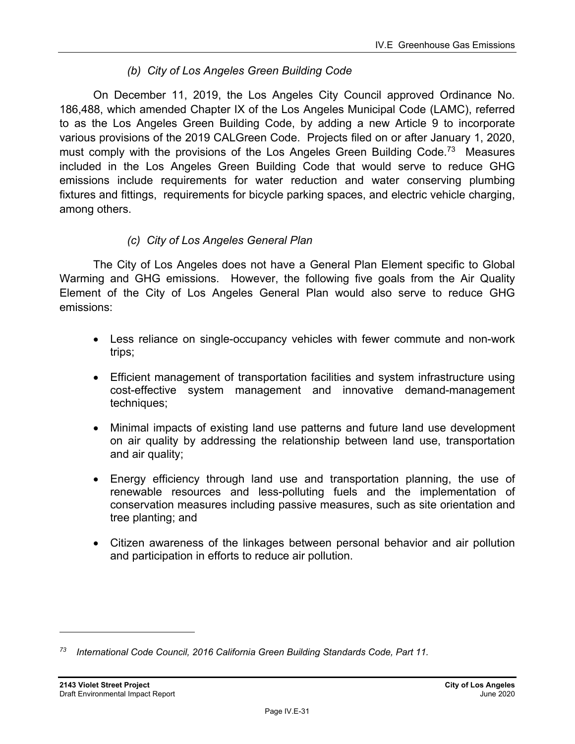## *(b) City of Los Angeles Green Building Code*

On December 11, 2019, the Los Angeles City Council approved Ordinance No. 186,488, which amended Chapter IX of the Los Angeles Municipal Code (LAMC), referred to as the Los Angeles Green Building Code, by adding a new Article 9 to incorporate various provisions of the 2019 CALGreen Code. Projects filed on or after January 1, 2020, must comply with the provisions of the Los Angeles Green Building Code.<sup>73</sup> Measures included in the Los Angeles Green Building Code that would serve to reduce GHG emissions include requirements for water reduction and water conserving plumbing fixtures and fittings, requirements for bicycle parking spaces, and electric vehicle charging, among others.

### *(c) City of Los Angeles General Plan*

The City of Los Angeles does not have a General Plan Element specific to Global Warming and GHG emissions. However, the following five goals from the Air Quality Element of the City of Los Angeles General Plan would also serve to reduce GHG emissions:

- Less reliance on single-occupancy vehicles with fewer commute and non-work trips;
- Efficient management of transportation facilities and system infrastructure using cost-effective system management and innovative demand-management techniques;
- Minimal impacts of existing land use patterns and future land use development on air quality by addressing the relationship between land use, transportation and air quality;
- Energy efficiency through land use and transportation planning, the use of renewable resources and less-polluting fuels and the implementation of conservation measures including passive measures, such as site orientation and tree planting; and
- Citizen awareness of the linkages between personal behavior and air pollution and participation in efforts to reduce air pollution.

*<sup>73</sup> International Code Council, 2016 California Green Building Standards Code, Part 11.*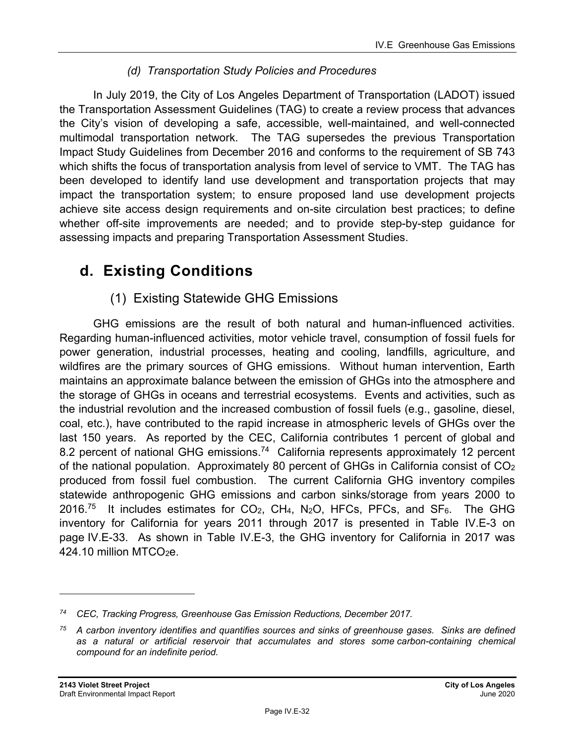## *(d) Transportation Study Policies and Procedures*

In July 2019, the City of Los Angeles Department of Transportation (LADOT) issued the Transportation Assessment Guidelines (TAG) to create a review process that advances the City's vision of developing a safe, accessible, well-maintained, and well-connected multimodal transportation network. The TAG supersedes the previous Transportation Impact Study Guidelines from December 2016 and conforms to the requirement of SB 743 which shifts the focus of transportation analysis from level of service to VMT. The TAG has been developed to identify land use development and transportation projects that may impact the transportation system; to ensure proposed land use development projects achieve site access design requirements and on-site circulation best practices; to define whether off-site improvements are needed; and to provide step-by-step guidance for assessing impacts and preparing Transportation Assessment Studies.

## **d. Existing Conditions**

## (1) Existing Statewide GHG Emissions

GHG emissions are the result of both natural and human-influenced activities. Regarding human-influenced activities, motor vehicle travel, consumption of fossil fuels for power generation, industrial processes, heating and cooling, landfills, agriculture, and wildfires are the primary sources of GHG emissions. Without human intervention, Earth maintains an approximate balance between the emission of GHGs into the atmosphere and the storage of GHGs in oceans and terrestrial ecosystems. Events and activities, such as the industrial revolution and the increased combustion of fossil fuels (e.g., gasoline, diesel, coal, etc.), have contributed to the rapid increase in atmospheric levels of GHGs over the last 150 years. As reported by the CEC, California contributes 1 percent of global and 8.2 percent of national GHG emissions.<sup>74</sup> California represents approximately 12 percent of the national population. Approximately 80 percent of GHGs in California consist of CO2 produced from fossil fuel combustion. The current California GHG inventory compiles statewide anthropogenic GHG emissions and carbon sinks/storage from years 2000 to 2016.<sup>75</sup> It includes estimates for CO<sub>2</sub>, CH<sub>4</sub>, N<sub>2</sub>O, HFCs, PFCs, and SF<sub>6</sub>. The GHG inventory for California for years 2011 through 2017 is presented in Table IV.E-3 on page IV.E-33. As shown in Table IV.E-3, the GHG inventory for California in 2017 was  $424.10$  million MTCO<sub>2</sub>e.

*<sup>74</sup> CEC, Tracking Progress, Greenhouse Gas Emission Reductions, December 2017.* 

*<sup>75</sup> A carbon inventory identifies and quantifies sources and sinks of greenhouse gases. Sinks are defined as a natural or artificial reservoir that accumulates and stores some carbon-containing chemical compound for an indefinite period.*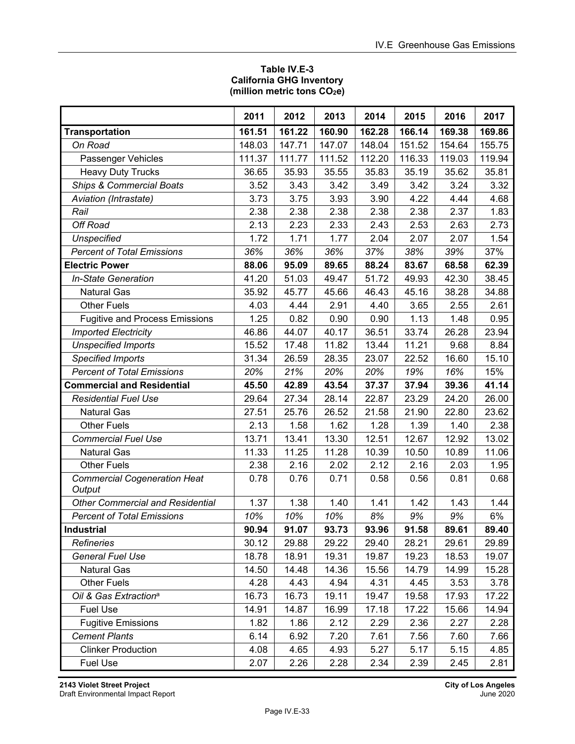#### **Table IV.E-3 California GHG Inventory (million metric tons CO2e)**

|                                               | 2011   | 2012   | 2013   | 2014   | 2015   | 2016   | 2017   |
|-----------------------------------------------|--------|--------|--------|--------|--------|--------|--------|
| <b>Transportation</b>                         | 161.51 | 161.22 | 160.90 | 162.28 | 166.14 | 169.38 | 169.86 |
| On Road                                       | 148.03 | 147.71 | 147.07 | 148.04 | 151.52 | 154.64 | 155.75 |
| Passenger Vehicles                            | 111.37 | 111.77 | 111.52 | 112.20 | 116.33 | 119.03 | 119.94 |
| <b>Heavy Duty Trucks</b>                      | 36.65  | 35.93  | 35.55  | 35.83  | 35.19  | 35.62  | 35.81  |
| <b>Ships &amp; Commercial Boats</b>           | 3.52   | 3.43   | 3.42   | 3.49   | 3.42   | 3.24   | 3.32   |
| Aviation (Intrastate)                         | 3.73   | 3.75   | 3.93   | 3.90   | 4.22   | 4.44   | 4.68   |
| Rail                                          | 2.38   | 2.38   | 2.38   | 2.38   | 2.38   | 2.37   | 1.83   |
| Off Road                                      | 2.13   | 2.23   | 2.33   | 2.43   | 2.53   | 2.63   | 2.73   |
| <b>Unspecified</b>                            | 1.72   | 1.71   | 1.77   | 2.04   | 2.07   | 2.07   | 1.54   |
| <b>Percent of Total Emissions</b>             | 36%    | 36%    | 36%    | 37%    | 38%    | 39%    | 37%    |
| <b>Electric Power</b>                         | 88.06  | 95.09  | 89.65  | 88.24  | 83.67  | 68.58  | 62.39  |
| <b>In-State Generation</b>                    | 41.20  | 51.03  | 49.47  | 51.72  | 49.93  | 42.30  | 38.45  |
| <b>Natural Gas</b>                            | 35.92  | 45.77  | 45.66  | 46.43  | 45.16  | 38.28  | 34.88  |
| <b>Other Fuels</b>                            | 4.03   | 4.44   | 2.91   | 4.40   | 3.65   | 2.55   | 2.61   |
| <b>Fugitive and Process Emissions</b>         | 1.25   | 0.82   | 0.90   | 0.90   | 1.13   | 1.48   | 0.95   |
| <b>Imported Electricity</b>                   | 46.86  | 44.07  | 40.17  | 36.51  | 33.74  | 26.28  | 23.94  |
| <b>Unspecified Imports</b>                    | 15.52  | 17.48  | 11.82  | 13.44  | 11.21  | 9.68   | 8.84   |
| <b>Specified Imports</b>                      | 31.34  | 26.59  | 28.35  | 23.07  | 22.52  | 16.60  | 15.10  |
| <b>Percent of Total Emissions</b>             | 20%    | 21%    | 20%    | 20%    | 19%    | 16%    | 15%    |
| <b>Commercial and Residential</b>             | 45.50  | 42.89  | 43.54  | 37.37  | 37.94  | 39.36  | 41.14  |
| <b>Residential Fuel Use</b>                   | 29.64  | 27.34  | 28.14  | 22.87  | 23.29  | 24.20  | 26.00  |
| <b>Natural Gas</b>                            | 27.51  | 25.76  | 26.52  | 21.58  | 21.90  | 22.80  | 23.62  |
| <b>Other Fuels</b>                            | 2.13   | 1.58   | 1.62   | 1.28   | 1.39   | 1.40   | 2.38   |
| <b>Commercial Fuel Use</b>                    | 13.71  | 13.41  | 13.30  | 12.51  | 12.67  | 12.92  | 13.02  |
| <b>Natural Gas</b>                            | 11.33  | 11.25  | 11.28  | 10.39  | 10.50  | 10.89  | 11.06  |
| <b>Other Fuels</b>                            | 2.38   | 2.16   | 2.02   | 2.12   | 2.16   | 2.03   | 1.95   |
| <b>Commercial Cogeneration Heat</b><br>Output | 0.78   | 0.76   | 0.71   | 0.58   | 0.56   | 0.81   | 0.68   |
| <b>Other Commercial and Residential</b>       | 1.37   | 1.38   | 1.40   | 1.41   | 1.42   | 1.43   | 1.44   |
| <b>Percent of Total Emissions</b>             | 10%    | 10%    | 10%    | 8%     | 9%     | 9%     | 6%     |
| <b>Industrial</b>                             | 90.94  | 91.07  | 93.73  | 93.96  | 91.58  | 89.61  | 89.40  |
| <b>Refineries</b>                             | 30.12  | 29.88  | 29.22  | 29.40  | 28.21  | 29.61  | 29.89  |
| <b>General Fuel Use</b>                       | 18.78  | 18.91  | 19.31  | 19.87  | 19.23  | 18.53  | 19.07  |
| <b>Natural Gas</b>                            | 14.50  | 14.48  | 14.36  | 15.56  | 14.79  | 14.99  | 15.28  |
| <b>Other Fuels</b>                            | 4.28   | 4.43   | 4.94   | 4.31   | 4.45   | 3.53   | 3.78   |
| Oil & Gas Extraction <sup>a</sup>             | 16.73  | 16.73  | 19.11  | 19.47  | 19.58  | 17.93  | 17.22  |
| <b>Fuel Use</b>                               | 14.91  | 14.87  | 16.99  | 17.18  | 17.22  | 15.66  | 14.94  |
| <b>Fugitive Emissions</b>                     | 1.82   | 1.86   | 2.12   | 2.29   | 2.36   | 2.27   | 2.28   |
| <b>Cement Plants</b>                          | 6.14   | 6.92   | 7.20   | 7.61   | 7.56   | 7.60   | 7.66   |
| <b>Clinker Production</b>                     | 4.08   | 4.65   | 4.93   | 5.27   | 5.17   | 5.15   | 4.85   |
| <b>Fuel Use</b>                               | 2.07   | 2.26   | 2.28   | 2.34   | 2.39   | 2.45   | 2.81   |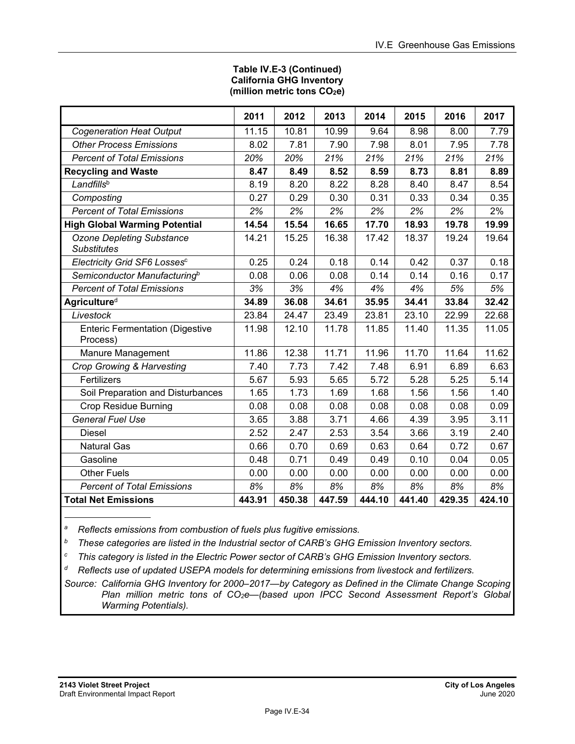#### **Table IV.E-3 (Continued) California GHG Inventory (million metric tons CO2e)**

|                                                        | 2011   | 2012   | 2013   | 2014   | 2015   | 2016   | 2017   |
|--------------------------------------------------------|--------|--------|--------|--------|--------|--------|--------|
| <b>Cogeneration Heat Output</b>                        | 11.15  | 10.81  | 10.99  | 9.64   | 8.98   | 8.00   | 7.79   |
| <b>Other Process Emissions</b>                         | 8.02   | 7.81   | 7.90   | 7.98   | 8.01   | 7.95   | 7.78   |
| <b>Percent of Total Emissions</b>                      | 20%    | 20%    | 21%    | 21%    | 21%    | 21%    | 21%    |
| <b>Recycling and Waste</b>                             | 8.47   | 8.49   | 8.52   | 8.59   | 8.73   | 8.81   | 8.89   |
| Landfillsb                                             | 8.19   | 8.20   | 8.22   | 8.28   | 8.40   | 8.47   | 8.54   |
| Composting                                             | 0.27   | 0.29   | 0.30   | 0.31   | 0.33   | 0.34   | 0.35   |
| <b>Percent of Total Emissions</b>                      | 2%     | 2%     | 2%     | 2%     | 2%     | 2%     | 2%     |
| <b>High Global Warming Potential</b>                   | 14.54  | 15.54  | 16.65  | 17.70  | 18.93  | 19.78  | 19.99  |
| <b>Ozone Depleting Substance</b><br><b>Substitutes</b> | 14.21  | 15.25  | 16.38  | 17.42  | 18.37  | 19.24  | 19.64  |
| Electricity Grid SF6 Losses <sup>c</sup>               | 0.25   | 0.24   | 0.18   | 0.14   | 0.42   | 0.37   | 0.18   |
| Semiconductor Manufacturing <sup>b</sup>               | 0.08   | 0.06   | 0.08   | 0.14   | 0.14   | 0.16   | 0.17   |
| <b>Percent of Total Emissions</b>                      | 3%     | 3%     | 4%     | 4%     | 4%     | 5%     | 5%     |
| <b>Agricultured</b>                                    | 34.89  | 36.08  | 34.61  | 35.95  | 34.41  | 33.84  | 32.42  |
| Livestock                                              | 23.84  | 24.47  | 23.49  | 23.81  | 23.10  | 22.99  | 22.68  |
| <b>Enteric Fermentation (Digestive</b><br>Process)     | 11.98  | 12.10  | 11.78  | 11.85  | 11.40  | 11.35  | 11.05  |
| Manure Management                                      | 11.86  | 12.38  | 11.71  | 11.96  | 11.70  | 11.64  | 11.62  |
| Crop Growing & Harvesting                              | 7.40   | 7.73   | 7.42   | 7.48   | 6.91   | 6.89   | 6.63   |
| Fertilizers                                            | 5.67   | 5.93   | 5.65   | 5.72   | 5.28   | 5.25   | 5.14   |
| Soil Preparation and Disturbances                      | 1.65   | 1.73   | 1.69   | 1.68   | 1.56   | 1.56   | 1.40   |
| <b>Crop Residue Burning</b>                            | 0.08   | 0.08   | 0.08   | 0.08   | 0.08   | 0.08   | 0.09   |
| <b>General Fuel Use</b>                                | 3.65   | 3.88   | 3.71   | 4.66   | 4.39   | 3.95   | 3.11   |
| Diesel                                                 | 2.52   | 2.47   | 2.53   | 3.54   | 3.66   | 3.19   | 2.40   |
| <b>Natural Gas</b>                                     | 0.66   | 0.70   | 0.69   | 0.63   | 0.64   | 0.72   | 0.67   |
| Gasoline                                               | 0.48   | 0.71   | 0.49   | 0.49   | 0.10   | 0.04   | 0.05   |
| <b>Other Fuels</b>                                     | 0.00   | 0.00   | 0.00   | 0.00   | 0.00   | 0.00   | 0.00   |
| <b>Percent of Total Emissions</b>                      | 8%     | 8%     | 8%     | 8%     | 8%     | 8%     | 8%     |
| <b>Total Net Emissions</b>                             | 443.91 | 450.38 | 447.59 | 444.10 | 441.40 | 429.35 | 424.10 |

*a Reflects emissions from combustion of fuels plus fugitive emissions.* 

*b These categories are listed in the Industrial sector of CARB's GHG Emission Inventory sectors.* 

*c This category is listed in the Electric Power sector of CARB's GHG Emission Inventory sectors.* 

*d Reflects use of updated USEPA models for determining emissions from livestock and fertilizers.* 

*Source: California GHG Inventory for 2000–2017—by Category as Defined in the Climate Change Scoping Plan million metric tons of CO2e—(based upon IPCC Second Assessment Report's Global Warming Potentials).*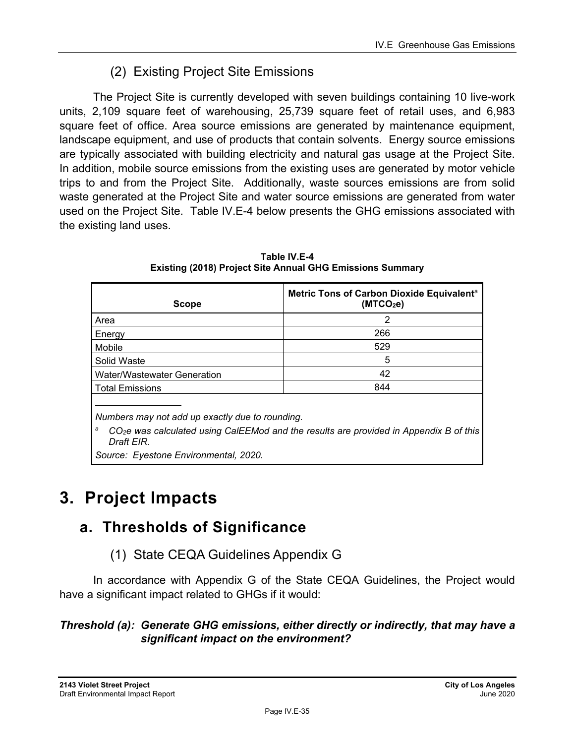## (2) Existing Project Site Emissions

The Project Site is currently developed with seven buildings containing 10 live-work units, 2,109 square feet of warehousing, 25,739 square feet of retail uses, and 6,983 square feet of office. Area source emissions are generated by maintenance equipment, landscape equipment, and use of products that contain solvents. Energy source emissions are typically associated with building electricity and natural gas usage at the Project Site. In addition, mobile source emissions from the existing uses are generated by motor vehicle trips to and from the Project Site. Additionally, waste sources emissions are from solid waste generated at the Project Site and water source emissions are generated from water used on the Project Site. Table IV.E-4 below presents the GHG emissions associated with the existing land uses.

| <b>Scope</b>                | Metric Tons of Carbon Dioxide Equivalent <sup>a</sup><br>(MTCO <sub>2</sub> e) |
|-----------------------------|--------------------------------------------------------------------------------|
| Area                        | 2                                                                              |
| Energy                      | 266                                                                            |
| Mobile                      | 529                                                                            |
| Solid Waste                 | 5                                                                              |
| Water/Wastewater Generation | 42                                                                             |
| <b>Total Emissions</b>      | 844                                                                            |
|                             |                                                                                |

**Table IV.E-4 Existing (2018) Project Site Annual GHG Emissions Summary** 

*Numbers may not add up exactly due to rounding.* 

*a CO2e was calculated using CalEEMod and the results are provided in Appendix B of this Draft EIR.* 

*Source: Eyestone Environmental, 2020.* 

# **3. Project Impacts**

## **a. Thresholds of Significance**

(1) State CEQA Guidelines Appendix G

In accordance with Appendix G of the State CEQA Guidelines, the Project would have a significant impact related to GHGs if it would:

### *Threshold (a): Generate GHG emissions, either directly or indirectly, that may have a significant impact on the environment?*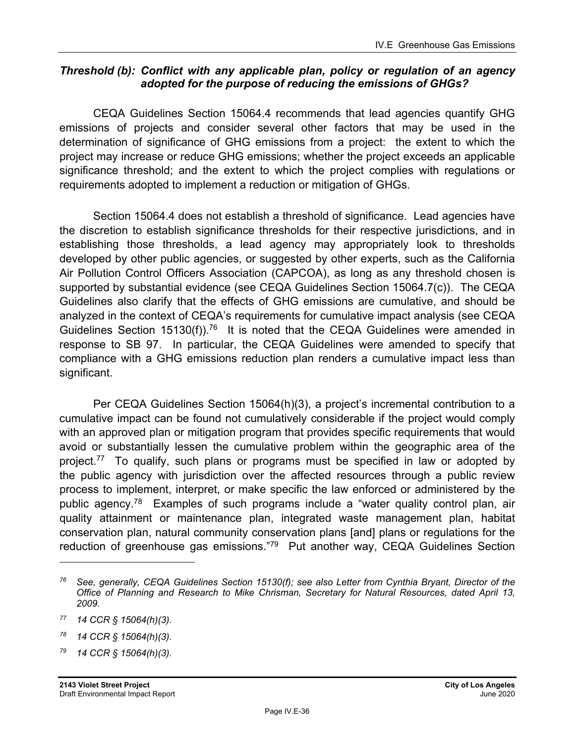#### *Threshold (b): Conflict with any applicable plan, policy or regulation of an agency adopted for the purpose of reducing the emissions of GHGs?*

CEQA Guidelines Section 15064.4 recommends that lead agencies quantify GHG emissions of projects and consider several other factors that may be used in the determination of significance of GHG emissions from a project: the extent to which the project may increase or reduce GHG emissions; whether the project exceeds an applicable significance threshold; and the extent to which the project complies with regulations or requirements adopted to implement a reduction or mitigation of GHGs.

Section 15064.4 does not establish a threshold of significance. Lead agencies have the discretion to establish significance thresholds for their respective jurisdictions, and in establishing those thresholds, a lead agency may appropriately look to thresholds developed by other public agencies, or suggested by other experts, such as the California Air Pollution Control Officers Association (CAPCOA), as long as any threshold chosen is supported by substantial evidence (see CEQA Guidelines Section 15064.7(c)). The CEQA Guidelines also clarify that the effects of GHG emissions are cumulative, and should be analyzed in the context of CEQA's requirements for cumulative impact analysis (see CEQA Guidelines Section 15130(f)).<sup>76</sup> It is noted that the CEQA Guidelines were amended in response to SB 97. In particular, the CEQA Guidelines were amended to specify that compliance with a GHG emissions reduction plan renders a cumulative impact less than significant.

Per CEQA Guidelines Section 15064(h)(3), a project's incremental contribution to a cumulative impact can be found not cumulatively considerable if the project would comply with an approved plan or mitigation program that provides specific requirements that would avoid or substantially lessen the cumulative problem within the geographic area of the project.<sup>77</sup> To qualify, such plans or programs must be specified in law or adopted by the public agency with jurisdiction over the affected resources through a public review process to implement, interpret, or make specific the law enforced or administered by the public agency.78 Examples of such programs include a "water quality control plan, air quality attainment or maintenance plan, integrated waste management plan, habitat conservation plan, natural community conservation plans [and] plans or regulations for the reduction of greenhouse gas emissions."79 Put another way, CEQA Guidelines Section

*79 14 CCR § 15064(h)(3).* 

*<sup>76</sup> See, generally, CEQA Guidelines Section 15130(f); see also Letter from Cynthia Bryant, Director of the Office of Planning and Research to Mike Chrisman, Secretary for Natural Resources, dated April 13, 2009.* 

*<sup>77 14</sup> CCR § 15064(h)(3).* 

*<sup>78 14</sup> CCR § 15064(h)(3).*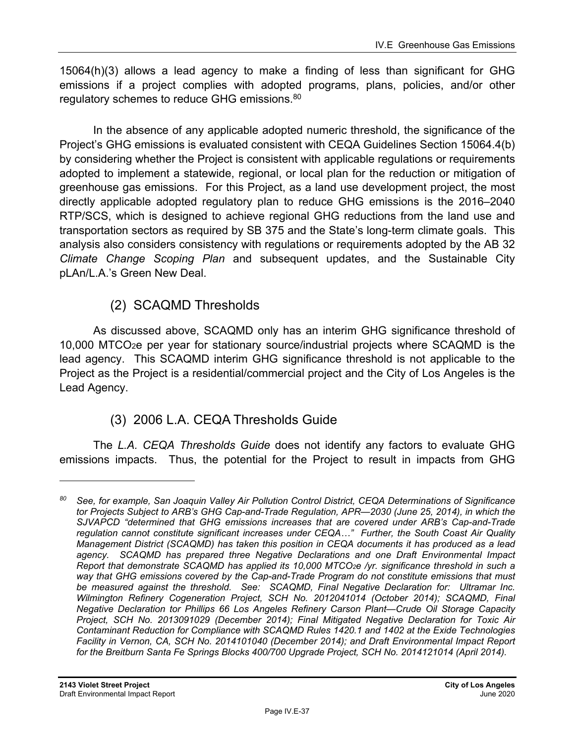15064(h)(3) allows a lead agency to make a finding of less than significant for GHG emissions if a project complies with adopted programs, plans, policies, and/or other regulatory schemes to reduce GHG emissions.<sup>80</sup>

In the absence of any applicable adopted numeric threshold, the significance of the Project's GHG emissions is evaluated consistent with CEQA Guidelines Section 15064.4(b) by considering whether the Project is consistent with applicable regulations or requirements adopted to implement a statewide, regional, or local plan for the reduction or mitigation of greenhouse gas emissions. For this Project, as a land use development project, the most directly applicable adopted regulatory plan to reduce GHG emissions is the 2016–2040 RTP/SCS, which is designed to achieve regional GHG reductions from the land use and transportation sectors as required by SB 375 and the State's long-term climate goals. This analysis also considers consistency with regulations or requirements adopted by the AB 32 *Climate Change Scoping Plan* and subsequent updates, and the Sustainable City pLAn/L.A.'s Green New Deal.

# (2) SCAQMD Thresholds

As discussed above, SCAQMD only has an interim GHG significance threshold of 10,000 MTCO2e per year for stationary source/industrial projects where SCAQMD is the lead agency. This SCAQMD interim GHG significance threshold is not applicable to the Project as the Project is a residential/commercial project and the City of Los Angeles is the Lead Agency.

# (3) 2006 L.A. CEQA Thresholds Guide

The *L.A. CEQA Thresholds Guide* does not identify any factors to evaluate GHG emissions impacts. Thus, the potential for the Project to result in impacts from GHG

*<sup>80</sup> See, for example, San Joaquin Valley Air Pollution Control District, CEQA Determinations of Significance tor Projects Subject to ARB's GHG Cap-and-Trade Regulation, APR—2030 (June 25, 2014), in which the SJVAPCD "determined that GHG emissions increases that are covered under ARB's Cap-and-Trade regulation cannot constitute significant increases under CEQA…" Further, the South Coast Air Quality Management District (SCAQMD) has taken this position in CEQA documents it has produced as a lead agency. SCAQMD has prepared three Negative Declarations and one Draft Environmental Impact Report that demonstrate SCAQMD has applied its 10,000 MTCO2e /yr. significance threshold in such a*  way that GHG emissions covered by the Cap-and-Trade Program do not constitute emissions that must *be measured against the threshold. See: SCAQMD, Final Negative Declaration for: Ultramar Inc. Wilmington Refinery Cogeneration Project, SCH No. 2012041014 (October 2014); SCAQMD, Final Negative Declaration tor Phillips 66 Los Angeles Refinery Carson Plant—Crude Oil Storage Capacity Project, SCH No. 2013091029 (December 2014); Final Mitigated Negative Declaration for Toxic Air Contaminant Reduction for Compliance with SCAQMD Rules 1420.1 and 1402 at the Exide Technologies Facility in Vernon, CA, SCH No. 2014101040 (December 2014); and Draft Environmental Impact Report for the Breitburn Santa Fe Springs Blocks 400/700 Upgrade Project, SCH No. 2014121014 (April 2014).*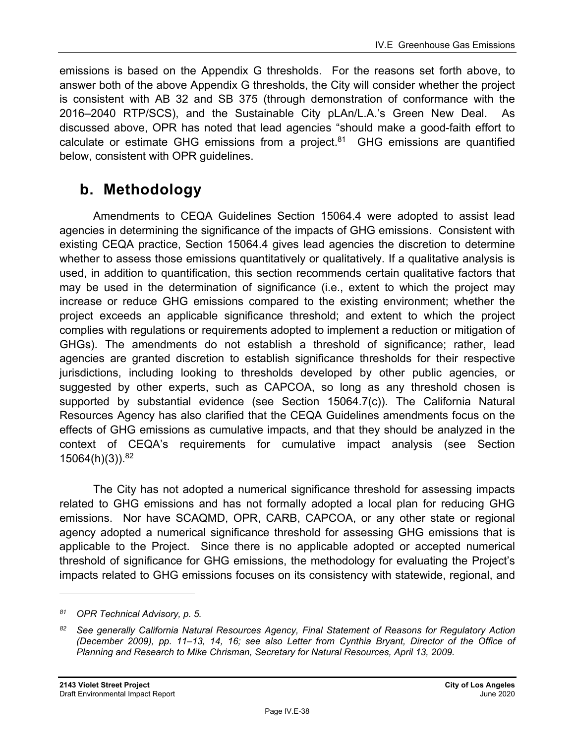emissions is based on the Appendix G thresholds. For the reasons set forth above, to answer both of the above Appendix G thresholds, the City will consider whether the project is consistent with AB 32 and SB 375 (through demonstration of conformance with the 2016–2040 RTP/SCS), and the Sustainable City pLAn/L.A.'s Green New Deal. As discussed above, OPR has noted that lead agencies "should make a good-faith effort to calculate or estimate GHG emissions from a project. $81$  GHG emissions are quantified below, consistent with OPR guidelines.

# **b. Methodology**

Amendments to CEQA Guidelines Section 15064.4 were adopted to assist lead agencies in determining the significance of the impacts of GHG emissions. Consistent with existing CEQA practice, Section 15064.4 gives lead agencies the discretion to determine whether to assess those emissions quantitatively or qualitatively. If a qualitative analysis is used, in addition to quantification, this section recommends certain qualitative factors that may be used in the determination of significance (i.e., extent to which the project may increase or reduce GHG emissions compared to the existing environment; whether the project exceeds an applicable significance threshold; and extent to which the project complies with regulations or requirements adopted to implement a reduction or mitigation of GHGs). The amendments do not establish a threshold of significance; rather, lead agencies are granted discretion to establish significance thresholds for their respective jurisdictions, including looking to thresholds developed by other public agencies, or suggested by other experts, such as CAPCOA, so long as any threshold chosen is supported by substantial evidence (see Section 15064.7(c)). The California Natural Resources Agency has also clarified that the CEQA Guidelines amendments focus on the effects of GHG emissions as cumulative impacts, and that they should be analyzed in the context of CEQA's requirements for cumulative impact analysis (see Section  $15064(h)(3)$ ).  $82$ 

The City has not adopted a numerical significance threshold for assessing impacts related to GHG emissions and has not formally adopted a local plan for reducing GHG emissions. Nor have SCAQMD, OPR, CARB, CAPCOA, or any other state or regional agency adopted a numerical significance threshold for assessing GHG emissions that is applicable to the Project. Since there is no applicable adopted or accepted numerical threshold of significance for GHG emissions, the methodology for evaluating the Project's impacts related to GHG emissions focuses on its consistency with statewide, regional, and

*<sup>81</sup> OPR Technical Advisory, p. 5.* 

*<sup>82</sup> See generally California Natural Resources Agency, Final Statement of Reasons for Regulatory Action (December 2009), pp. 11–13, 14, 16; see also Letter from Cynthia Bryant, Director of the Office of Planning and Research to Mike Chrisman, Secretary for Natural Resources, April 13, 2009.*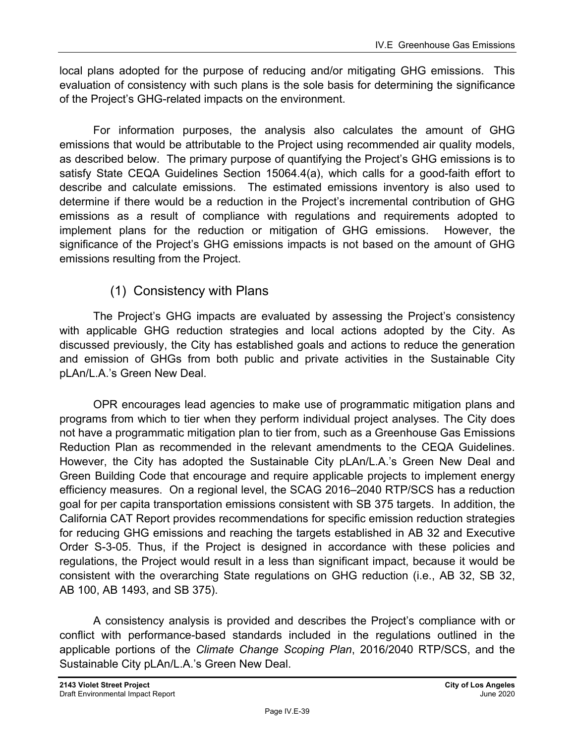local plans adopted for the purpose of reducing and/or mitigating GHG emissions. This evaluation of consistency with such plans is the sole basis for determining the significance of the Project's GHG-related impacts on the environment.

For information purposes, the analysis also calculates the amount of GHG emissions that would be attributable to the Project using recommended air quality models, as described below. The primary purpose of quantifying the Project's GHG emissions is to satisfy State CEQA Guidelines Section 15064.4(a), which calls for a good-faith effort to describe and calculate emissions. The estimated emissions inventory is also used to determine if there would be a reduction in the Project's incremental contribution of GHG emissions as a result of compliance with regulations and requirements adopted to implement plans for the reduction or mitigation of GHG emissions. However, the significance of the Project's GHG emissions impacts is not based on the amount of GHG emissions resulting from the Project.

# (1) Consistency with Plans

The Project's GHG impacts are evaluated by assessing the Project's consistency with applicable GHG reduction strategies and local actions adopted by the City. As discussed previously, the City has established goals and actions to reduce the generation and emission of GHGs from both public and private activities in the Sustainable City pLAn/L.A.'s Green New Deal.

OPR encourages lead agencies to make use of programmatic mitigation plans and programs from which to tier when they perform individual project analyses. The City does not have a programmatic mitigation plan to tier from, such as a Greenhouse Gas Emissions Reduction Plan as recommended in the relevant amendments to the CEQA Guidelines. However, the City has adopted the Sustainable City pLAn/L.A.'s Green New Deal and Green Building Code that encourage and require applicable projects to implement energy efficiency measures. On a regional level, the SCAG 2016–2040 RTP/SCS has a reduction goal for per capita transportation emissions consistent with SB 375 targets. In addition, the California CAT Report provides recommendations for specific emission reduction strategies for reducing GHG emissions and reaching the targets established in AB 32 and Executive Order S-3-05. Thus, if the Project is designed in accordance with these policies and regulations, the Project would result in a less than significant impact, because it would be consistent with the overarching State regulations on GHG reduction (i.e., AB 32, SB 32, AB 100, AB 1493, and SB 375).

A consistency analysis is provided and describes the Project's compliance with or conflict with performance-based standards included in the regulations outlined in the applicable portions of the *Climate Change Scoping Plan*, 2016/2040 RTP/SCS, and the Sustainable City pLAn/L.A.'s Green New Deal.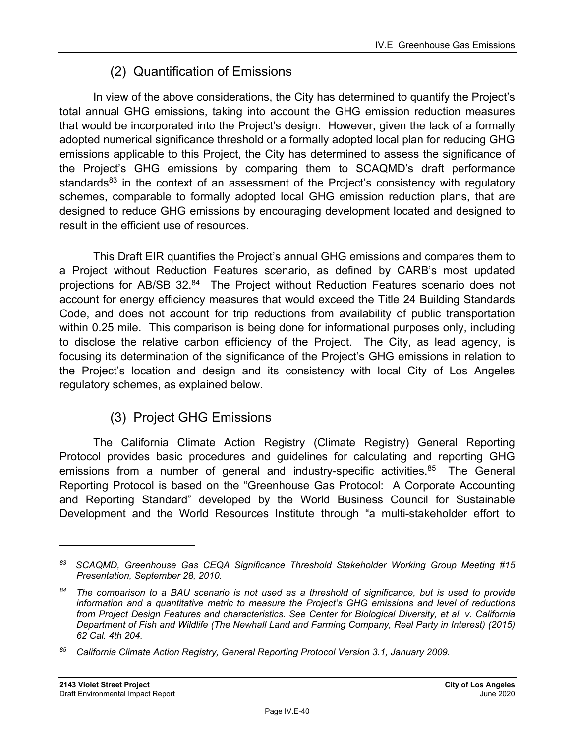# (2) Quantification of Emissions

In view of the above considerations, the City has determined to quantify the Project's total annual GHG emissions, taking into account the GHG emission reduction measures that would be incorporated into the Project's design. However, given the lack of a formally adopted numerical significance threshold or a formally adopted local plan for reducing GHG emissions applicable to this Project, the City has determined to assess the significance of the Project's GHG emissions by comparing them to SCAQMD's draft performance standards<sup>83</sup> in the context of an assessment of the Project's consistency with regulatory schemes, comparable to formally adopted local GHG emission reduction plans, that are designed to reduce GHG emissions by encouraging development located and designed to result in the efficient use of resources.

This Draft EIR quantifies the Project's annual GHG emissions and compares them to a Project without Reduction Features scenario, as defined by CARB's most updated projections for AB/SB 32.84 The Project without Reduction Features scenario does not account for energy efficiency measures that would exceed the Title 24 Building Standards Code, and does not account for trip reductions from availability of public transportation within 0.25 mile. This comparison is being done for informational purposes only, including to disclose the relative carbon efficiency of the Project. The City, as lead agency, is focusing its determination of the significance of the Project's GHG emissions in relation to the Project's location and design and its consistency with local City of Los Angeles regulatory schemes, as explained below.

# (3) Project GHG Emissions

The California Climate Action Registry (Climate Registry) General Reporting Protocol provides basic procedures and guidelines for calculating and reporting GHG emissions from a number of general and industry-specific activities.<sup>85</sup> The General Reporting Protocol is based on the "Greenhouse Gas Protocol: A Corporate Accounting and Reporting Standard" developed by the World Business Council for Sustainable Development and the World Resources Institute through "a multi-stakeholder effort to

*<sup>83</sup> SCAQMD, Greenhouse Gas CEQA Significance Threshold Stakeholder Working Group Meeting #15 Presentation, September 28, 2010.* 

*<sup>84</sup> The comparison to a BAU scenario is not used as a threshold of significance, but is used to provide information and a quantitative metric to measure the Project's GHG emissions and level of reductions from Project Design Features and characteristics. See Center for Biological Diversity, et al. v. California Department of Fish and Wildlife (The Newhall Land and Farming Company, Real Party in Interest) (2015) 62 Cal. 4th 204.* 

*<sup>85</sup> California Climate Action Registry, General Reporting Protocol Version 3.1, January 2009.*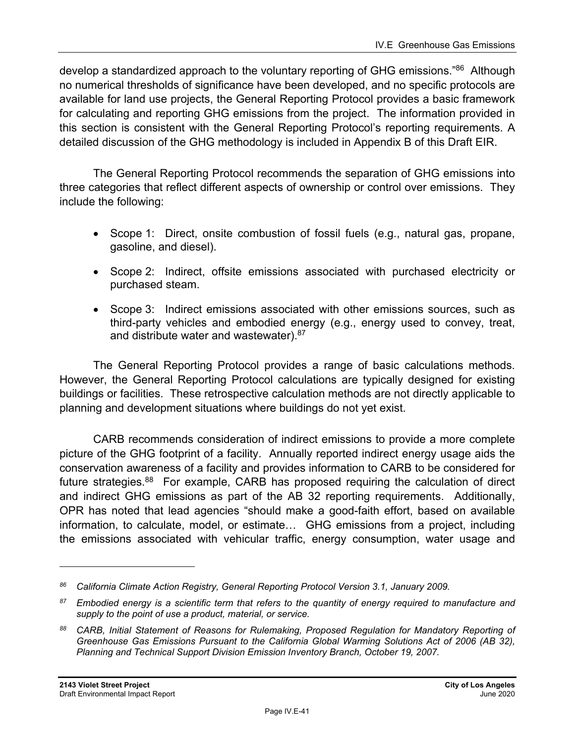develop a standardized approach to the voluntary reporting of GHG emissions."<sup>86</sup> Although no numerical thresholds of significance have been developed, and no specific protocols are available for land use projects, the General Reporting Protocol provides a basic framework for calculating and reporting GHG emissions from the project. The information provided in this section is consistent with the General Reporting Protocol's reporting requirements. A detailed discussion of the GHG methodology is included in Appendix B of this Draft EIR.

The General Reporting Protocol recommends the separation of GHG emissions into three categories that reflect different aspects of ownership or control over emissions. They include the following:

- Scope 1: Direct, onsite combustion of fossil fuels (e.g., natural gas, propane, gasoline, and diesel).
- Scope 2: Indirect, offsite emissions associated with purchased electricity or purchased steam.
- Scope 3: Indirect emissions associated with other emissions sources, such as third-party vehicles and embodied energy (e.g., energy used to convey, treat, and distribute water and wastewater). 87

The General Reporting Protocol provides a range of basic calculations methods. However, the General Reporting Protocol calculations are typically designed for existing buildings or facilities. These retrospective calculation methods are not directly applicable to planning and development situations where buildings do not yet exist.

CARB recommends consideration of indirect emissions to provide a more complete picture of the GHG footprint of a facility. Annually reported indirect energy usage aids the conservation awareness of a facility and provides information to CARB to be considered for future strategies.<sup>88</sup> For example, CARB has proposed requiring the calculation of direct and indirect GHG emissions as part of the AB 32 reporting requirements. Additionally, OPR has noted that lead agencies "should make a good-faith effort, based on available information, to calculate, model, or estimate… GHG emissions from a project, including the emissions associated with vehicular traffic, energy consumption, water usage and

*<sup>86</sup> California Climate Action Registry, General Reporting Protocol Version 3.1, January 2009.* 

*<sup>87</sup> Embodied energy is a scientific term that refers to the quantity of energy required to manufacture and supply to the point of use a product, material, or service.* 

*<sup>88</sup> CARB, Initial Statement of Reasons for Rulemaking, Proposed Regulation for Mandatory Reporting of Greenhouse Gas Emissions Pursuant to the California Global Warming Solutions Act of 2006 (AB 32), Planning and Technical Support Division Emission Inventory Branch, October 19, 2007.*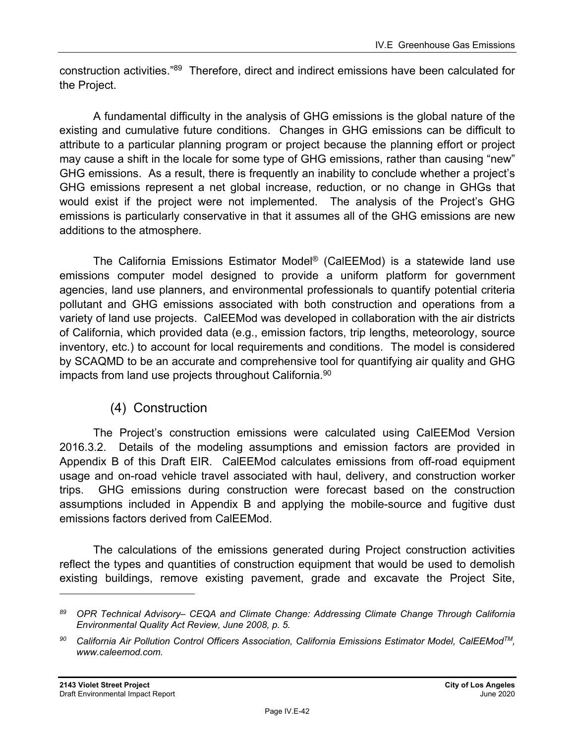construction activities."89 Therefore, direct and indirect emissions have been calculated for the Project.

A fundamental difficulty in the analysis of GHG emissions is the global nature of the existing and cumulative future conditions. Changes in GHG emissions can be difficult to attribute to a particular planning program or project because the planning effort or project may cause a shift in the locale for some type of GHG emissions, rather than causing "new" GHG emissions. As a result, there is frequently an inability to conclude whether a project's GHG emissions represent a net global increase, reduction, or no change in GHGs that would exist if the project were not implemented. The analysis of the Project's GHG emissions is particularly conservative in that it assumes all of the GHG emissions are new additions to the atmosphere.

The California Emissions Estimator Model® (CalEEMod) is a statewide land use emissions computer model designed to provide a uniform platform for government agencies, land use planners, and environmental professionals to quantify potential criteria pollutant and GHG emissions associated with both construction and operations from a variety of land use projects. CalEEMod was developed in collaboration with the air districts of California, which provided data (e.g., emission factors, trip lengths, meteorology, source inventory, etc.) to account for local requirements and conditions. The model is considered by SCAQMD to be an accurate and comprehensive tool for quantifying air quality and GHG impacts from land use projects throughout California.<sup>90</sup>

# (4) Construction

The Project's construction emissions were calculated using CalEEMod Version 2016.3.2. Details of the modeling assumptions and emission factors are provided in Appendix B of this Draft EIR. CalEEMod calculates emissions from off-road equipment usage and on-road vehicle travel associated with haul, delivery, and construction worker trips. GHG emissions during construction were forecast based on the construction assumptions included in Appendix B and applying the mobile-source and fugitive dust emissions factors derived from CalEEMod.

The calculations of the emissions generated during Project construction activities reflect the types and quantities of construction equipment that would be used to demolish existing buildings, remove existing pavement, grade and excavate the Project Site,

*<sup>89</sup> OPR Technical Advisory– CEQA and Climate Change: Addressing Climate Change Through California Environmental Quality Act Review, June 2008, p. 5.* 

<sup>&</sup>lt;sup>90</sup> California Air Pollution Control Officers Association, California Emissions Estimator Model, CalEEMod<sup>™</sup>, *www.caleemod.com.*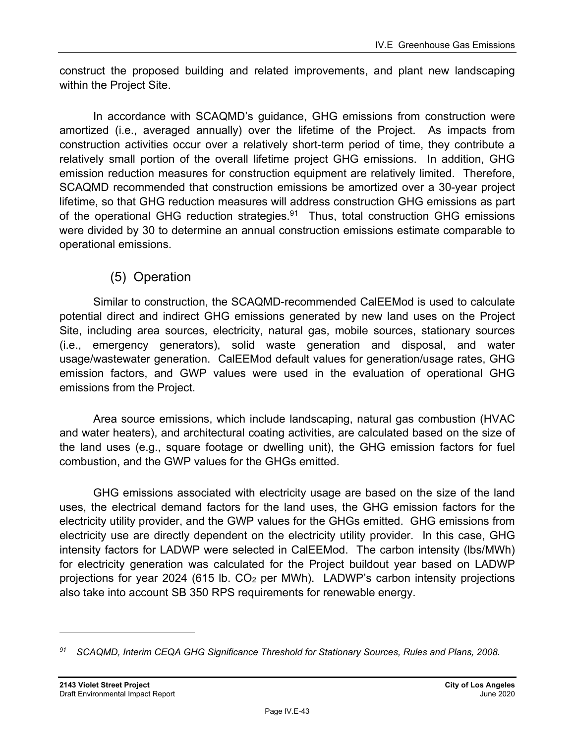construct the proposed building and related improvements, and plant new landscaping within the Project Site.

In accordance with SCAQMD's guidance, GHG emissions from construction were amortized (i.e., averaged annually) over the lifetime of the Project. As impacts from construction activities occur over a relatively short-term period of time, they contribute a relatively small portion of the overall lifetime project GHG emissions. In addition, GHG emission reduction measures for construction equipment are relatively limited. Therefore, SCAQMD recommended that construction emissions be amortized over a 30-year project lifetime, so that GHG reduction measures will address construction GHG emissions as part of the operational GHG reduction strategies.<sup>91</sup> Thus, total construction GHG emissions were divided by 30 to determine an annual construction emissions estimate comparable to operational emissions.

# (5) Operation

Similar to construction, the SCAQMD-recommended CalEEMod is used to calculate potential direct and indirect GHG emissions generated by new land uses on the Project Site, including area sources, electricity, natural gas, mobile sources, stationary sources (i.e., emergency generators), solid waste generation and disposal, and water usage/wastewater generation. CalEEMod default values for generation/usage rates, GHG emission factors, and GWP values were used in the evaluation of operational GHG emissions from the Project.

Area source emissions, which include landscaping, natural gas combustion (HVAC and water heaters), and architectural coating activities, are calculated based on the size of the land uses (e.g., square footage or dwelling unit), the GHG emission factors for fuel combustion, and the GWP values for the GHGs emitted.

GHG emissions associated with electricity usage are based on the size of the land uses, the electrical demand factors for the land uses, the GHG emission factors for the electricity utility provider, and the GWP values for the GHGs emitted. GHG emissions from electricity use are directly dependent on the electricity utility provider. In this case, GHG intensity factors for LADWP were selected in CalEEMod. The carbon intensity (lbs/MWh) for electricity generation was calculated for the Project buildout year based on LADWP projections for year 2024 (615 lb. CO2 per MWh). LADWP's carbon intensity projections also take into account SB 350 RPS requirements for renewable energy.

*<sup>91</sup> SCAQMD, Interim CEQA GHG Significance Threshold for Stationary Sources, Rules and Plans, 2008.*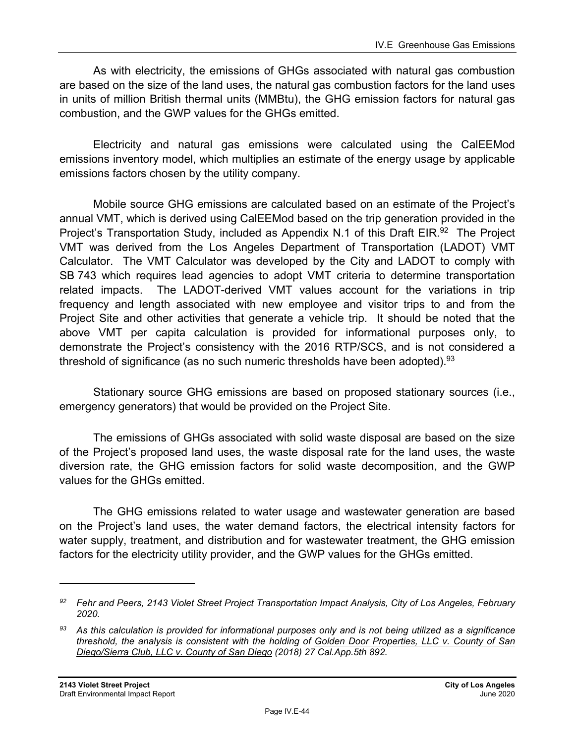As with electricity, the emissions of GHGs associated with natural gas combustion are based on the size of the land uses, the natural gas combustion factors for the land uses in units of million British thermal units (MMBtu), the GHG emission factors for natural gas combustion, and the GWP values for the GHGs emitted.

Electricity and natural gas emissions were calculated using the CalEEMod emissions inventory model, which multiplies an estimate of the energy usage by applicable emissions factors chosen by the utility company.

Mobile source GHG emissions are calculated based on an estimate of the Project's annual VMT, which is derived using CalEEMod based on the trip generation provided in the Project's Transportation Study, included as Appendix N.1 of this Draft EIR.<sup>92</sup> The Project VMT was derived from the Los Angeles Department of Transportation (LADOT) VMT Calculator. The VMT Calculator was developed by the City and LADOT to comply with SB 743 which requires lead agencies to adopt VMT criteria to determine transportation related impacts. The LADOT-derived VMT values account for the variations in trip frequency and length associated with new employee and visitor trips to and from the Project Site and other activities that generate a vehicle trip. It should be noted that the above VMT per capita calculation is provided for informational purposes only, to demonstrate the Project's consistency with the 2016 RTP/SCS, and is not considered a threshold of significance (as no such numeric thresholds have been adopted).<sup>93</sup>

Stationary source GHG emissions are based on proposed stationary sources (i.e., emergency generators) that would be provided on the Project Site.

The emissions of GHGs associated with solid waste disposal are based on the size of the Project's proposed land uses, the waste disposal rate for the land uses, the waste diversion rate, the GHG emission factors for solid waste decomposition, and the GWP values for the GHGs emitted.

The GHG emissions related to water usage and wastewater generation are based on the Project's land uses, the water demand factors, the electrical intensity factors for water supply, treatment, and distribution and for wastewater treatment, the GHG emission factors for the electricity utility provider, and the GWP values for the GHGs emitted.

*<sup>92</sup> Fehr and Peers, 2143 Violet Street Project Transportation Impact Analysis, City of Los Angeles, February 2020.* 

*<sup>93</sup> As this calculation is provided for informational purposes only and is not being utilized as a significance threshold, the analysis is consistent with the holding of Golden Door Properties, LLC v. County of San Diego/Sierra Club, LLC v. County of San Diego (2018) 27 Cal.App.5th 892.*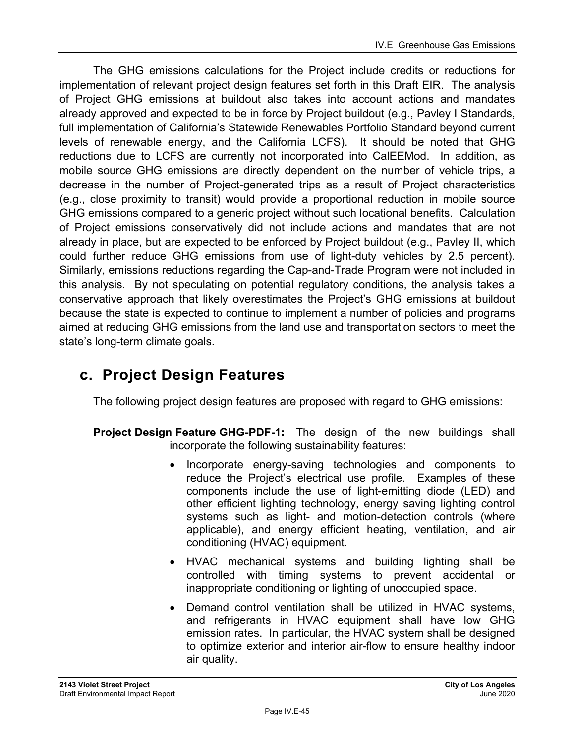The GHG emissions calculations for the Project include credits or reductions for implementation of relevant project design features set forth in this Draft EIR. The analysis of Project GHG emissions at buildout also takes into account actions and mandates already approved and expected to be in force by Project buildout (e.g., Pavley I Standards, full implementation of California's Statewide Renewables Portfolio Standard beyond current levels of renewable energy, and the California LCFS). It should be noted that GHG reductions due to LCFS are currently not incorporated into CalEEMod. In addition, as mobile source GHG emissions are directly dependent on the number of vehicle trips, a decrease in the number of Project-generated trips as a result of Project characteristics (e.g., close proximity to transit) would provide a proportional reduction in mobile source GHG emissions compared to a generic project without such locational benefits. Calculation of Project emissions conservatively did not include actions and mandates that are not already in place, but are expected to be enforced by Project buildout (e.g., Pavley II, which could further reduce GHG emissions from use of light-duty vehicles by 2.5 percent). Similarly, emissions reductions regarding the Cap-and-Trade Program were not included in this analysis. By not speculating on potential regulatory conditions, the analysis takes a conservative approach that likely overestimates the Project's GHG emissions at buildout because the state is expected to continue to implement a number of policies and programs aimed at reducing GHG emissions from the land use and transportation sectors to meet the state's long-term climate goals.

# **c. Project Design Features**

The following project design features are proposed with regard to GHG emissions:

- **Project Design Feature GHG-PDF-1:** The design of the new buildings shall incorporate the following sustainability features:
	- Incorporate energy-saving technologies and components to reduce the Project's electrical use profile. Examples of these components include the use of light-emitting diode (LED) and other efficient lighting technology, energy saving lighting control systems such as light- and motion-detection controls (where applicable), and energy efficient heating, ventilation, and air conditioning (HVAC) equipment.
	- HVAC mechanical systems and building lighting shall be controlled with timing systems to prevent accidental or inappropriate conditioning or lighting of unoccupied space.
	- Demand control ventilation shall be utilized in HVAC systems, and refrigerants in HVAC equipment shall have low GHG emission rates. In particular, the HVAC system shall be designed to optimize exterior and interior air-flow to ensure healthy indoor air quality.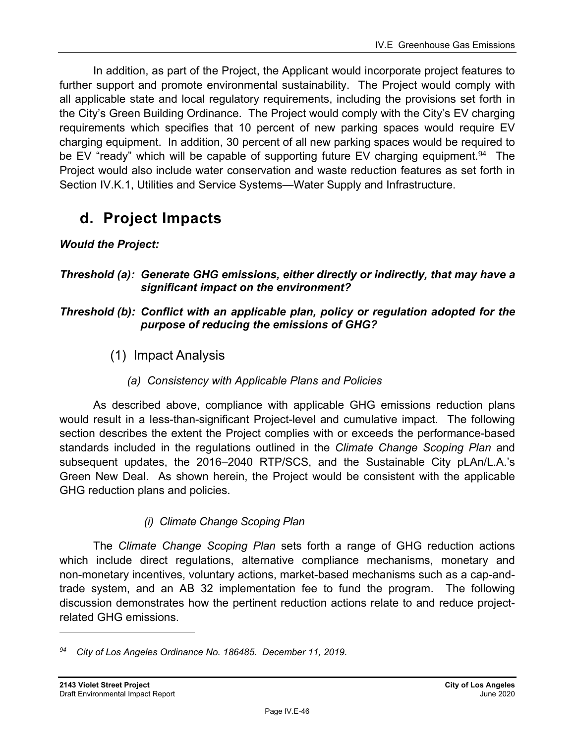In addition, as part of the Project, the Applicant would incorporate project features to further support and promote environmental sustainability. The Project would comply with all applicable state and local regulatory requirements, including the provisions set forth in the City's Green Building Ordinance. The Project would comply with the City's EV charging requirements which specifies that 10 percent of new parking spaces would require EV charging equipment. In addition, 30 percent of all new parking spaces would be required to be EV "ready" which will be capable of supporting future EV charging equipment.<sup>94</sup> The Project would also include water conservation and waste reduction features as set forth in Section IV.K.1, Utilities and Service Systems—Water Supply and Infrastructure.

# **d. Project Impacts**

# *Would the Project:*

## *Threshold (a): Generate GHG emissions, either directly or indirectly, that may have a significant impact on the environment?*

## *Threshold (b): Conflict with an applicable plan, policy or regulation adopted for the purpose of reducing the emissions of GHG?*

- (1) Impact Analysis
	- *(a) Consistency with Applicable Plans and Policies*

As described above, compliance with applicable GHG emissions reduction plans would result in a less-than-significant Project-level and cumulative impact. The following section describes the extent the Project complies with or exceeds the performance-based standards included in the regulations outlined in the *Climate Change Scoping Plan* and subsequent updates, the 2016–2040 RTP/SCS, and the Sustainable City pLAn/L.A.'s Green New Deal. As shown herein, the Project would be consistent with the applicable GHG reduction plans and policies.

# *(i) Climate Change Scoping Plan*

The *Climate Change Scoping Plan* sets forth a range of GHG reduction actions which include direct regulations, alternative compliance mechanisms, monetary and non-monetary incentives, voluntary actions, market-based mechanisms such as a cap-andtrade system, and an AB 32 implementation fee to fund the program. The following discussion demonstrates how the pertinent reduction actions relate to and reduce projectrelated GHG emissions.

*<sup>94</sup> City of Los Angeles Ordinance No. 186485. December 11, 2019.*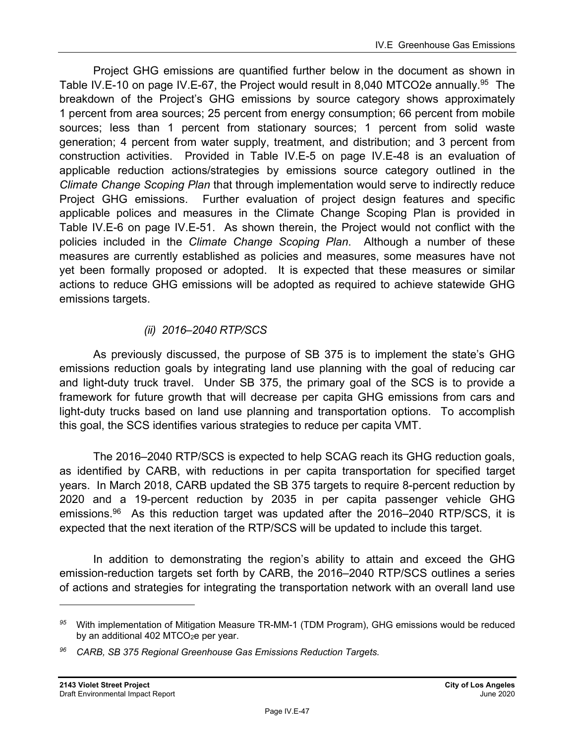Project GHG emissions are quantified further below in the document as shown in Table IV.E-10 on page IV.E-67, the Project would result in 8,040 MTCO2e annually.<sup>95</sup> The breakdown of the Project's GHG emissions by source category shows approximately 1 percent from area sources; 25 percent from energy consumption; 66 percent from mobile sources; less than 1 percent from stationary sources; 1 percent from solid waste generation; 4 percent from water supply, treatment, and distribution; and 3 percent from construction activities. Provided in Table IV.E-5 on page IV.E-48 is an evaluation of applicable reduction actions/strategies by emissions source category outlined in the *Climate Change Scoping Plan* that through implementation would serve to indirectly reduce Project GHG emissions. Further evaluation of project design features and specific applicable polices and measures in the Climate Change Scoping Plan is provided in Table IV.E-6 on page IV.E-51. As shown therein, the Project would not conflict with the policies included in the *Climate Change Scoping Plan*. Although a number of these measures are currently established as policies and measures, some measures have not yet been formally proposed or adopted. It is expected that these measures or similar actions to reduce GHG emissions will be adopted as required to achieve statewide GHG emissions targets.

## *(ii) 2016–2040 RTP/SCS*

As previously discussed, the purpose of SB 375 is to implement the state's GHG emissions reduction goals by integrating land use planning with the goal of reducing car and light-duty truck travel. Under SB 375, the primary goal of the SCS is to provide a framework for future growth that will decrease per capita GHG emissions from cars and light-duty trucks based on land use planning and transportation options. To accomplish this goal, the SCS identifies various strategies to reduce per capita VMT.

The 2016–2040 RTP/SCS is expected to help SCAG reach its GHG reduction goals, as identified by CARB, with reductions in per capita transportation for specified target years. In March 2018, CARB updated the SB 375 targets to require 8-percent reduction by 2020 and a 19-percent reduction by 2035 in per capita passenger vehicle GHG emissions.<sup>96</sup> As this reduction target was updated after the 2016–2040 RTP/SCS, it is expected that the next iteration of the RTP/SCS will be updated to include this target.

In addition to demonstrating the region's ability to attain and exceed the GHG emission-reduction targets set forth by CARB, the 2016–2040 RTP/SCS outlines a series of actions and strategies for integrating the transportation network with an overall land use

*<sup>95</sup>* With implementation of Mitigation Measure TR-MM-1 (TDM Program), GHG emissions would be reduced by an additional 402 MTCO<sub>2</sub>e per year.

*<sup>96</sup> CARB, SB 375 Regional Greenhouse Gas Emissions Reduction Targets.*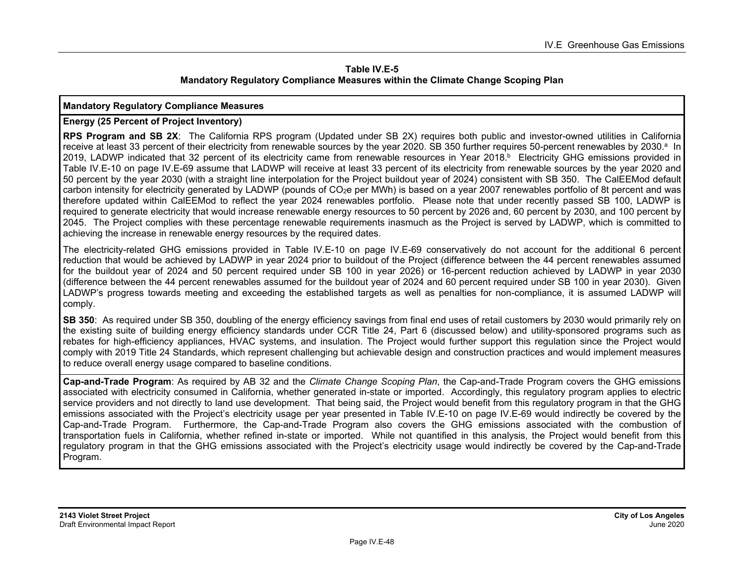#### **Table IV.E-5 Mandatory Regulatory Compliance Measures within the Climate Change Scoping Plan**

#### **Mandatory Regulatory Compliance Measures**

#### **Energy (25 Percent of Project Inventory)**

**RPS Program and SB 2X**: The California RPS program (Updated under SB 2X) requires both public and investor-owned utilities in California receive at least 33 percent of their electricity from renewable sources by the year 2020. SB 350 further requires 50-percent renewables by 2030.<sup>a</sup> In 2019, LADWP indicated that 32 percent of its electricity came from renewable resources in Year 2018.<sup>b</sup> Electricity GHG emissions provided in Table IV.E-10 on page IV.E-69 assume that LADWP will receive at least 33 percent of its electricity from renewable sources by the year 2020 and 50 percent by the year 2030 (with a straight line interpolation for the Project buildout year of 2024) consistent with SB 350. The CalEEMod default carbon intensity for electricity generated by LADWP (pounds of CO<sub>2</sub>e per MWh) is based on a year 2007 renewables portfolio of 8t percent and was therefore updated within CalEEMod to reflect the year 2024 renewables portfolio. Please note that under recently passed SB 100, LADWP is required to generate electricity that would increase renewable energy resources to 50 percent by 2026 and, 60 percent by 2030, and 100 percent by 2045. The Project complies with these percentage renewable requirements inasmuch as the Project is served by LADWP, which is committed to achieving the increase in renewable energy resources by the required dates.

The electricity-related GHG emissions provided in Table IV.E-10 on page IV.E-69 conservatively do not account for the additional 6 percent reduction that would be achieved by LADWP in year 2024 prior to buildout of the Project (difference between the 44 percent renewables assumed for the buildout year of 2024 and 50 percent required under SB 100 in year 2026) or 16-percent reduction achieved by LADWP in year 2030 (difference between the 44 percent renewables assumed for the buildout year of 2024 and 60 percent required under SB 100 in year 2030). Given LADWP's progress towards meeting and exceeding the established targets as well as penalties for non-compliance, it is assumed LADWP will comply.

**SB 350**: As required under SB 350, doubling of the energy efficiency savings from final end uses of retail customers by 2030 would primarily rely on the existing suite of building energy efficiency standards under CCR Title 24, Part 6 (discussed below) and utility-sponsored programs such as rebates for high-efficiency appliances, HVAC systems, and insulation. The Project would further support this regulation since the Project would comply with 2019 Title 24 Standards, which represent challenging but achievable design and construction practices and would implement measures to reduce overall energy usage compared to baseline conditions.

**Cap-and-Trade Program**: As required by AB 32 and the *Climate Change Scoping Plan*, the Cap-and-Trade Program covers the GHG emissions associated with electricity consumed in California, whether generated in-state or imported. Accordingly, this regulatory program applies to electric service providers and not directly to land use development. That being said, the Project would benefit from this regulatory program in that the GHG emissions associated with the Project's electricity usage per year presented in Table IV.E-10 on page IV.E-69 would indirectly be covered by the Cap-and-Trade Program. Furthermore, the Cap-and-Trade Program also covers the GHG emissions associated with the combustion of transportation fuels in California, whether refined in-state or imported. While not quantified in this analysis, the Project would benefit from this regulatory program in that the GHG emissions associated with the Project's electricity usage would indirectly be covered by the Cap-and-Trade Program.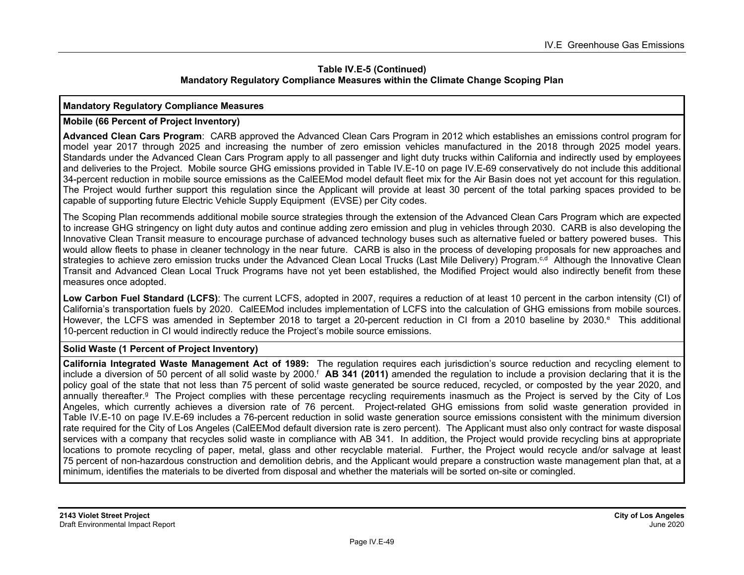#### **Table IV.E-5 (Continued) Mandatory Regulatory Compliance Measures within the Climate Change Scoping Plan**

#### **Mandatory Regulatory Compliance Measures**

#### **Mobile (66 Percent of Project Inventory)**

**Advanced Clean Cars Program**: CARB approved the Advanced Clean Cars Program in 2012 which establishes an emissions control program for model year 2017 through 2025 and increasing the number of zero emission vehicles manufactured in the 2018 through 2025 model years. Standards under the Advanced Clean Cars Program apply to all passenger and light duty trucks within California and indirectly used by employees and deliveries to the Project. Mobile source GHG emissions provided in Table IV.E-10 on page IV.E-69 conservatively do not include this additional 34-percent reduction in mobile source emissions as the CalEEMod model default fleet mix for the Air Basin does not yet account for this regulation. The Project would further support this regulation since the Applicant will provide at least 30 percent of the total parking spaces provided to be capable of supporting future Electric Vehicle Supply Equipment (EVSE) per City codes.

The Scoping Plan recommends additional mobile source strategies through the extension of the Advanced Clean Cars Program which are expected to increase GHG stringency on light duty autos and continue adding zero emission and plug in vehicles through 2030. CARB is also developing the Innovative Clean Transit measure to encourage purchase of advanced technology buses such as alternative fueled or battery powered buses. This would allow fleets to phase in cleaner technology in the near future. CARB is also in the process of developing proposals for new approaches and strategies to achieve zero emission trucks under the Advanced Clean Local Trucks (Last Mile Delivery) Program.<sup>c,d</sup> Although the Innovative Clean Transit and Advanced Clean Local Truck Programs have not yet been established, the Modified Project would also indirectly benefit from these measures once adopted.

**Low Carbon Fuel Standard (LCFS)**: The current LCFS, adopted in 2007, requires a reduction of at least 10 percent in the carbon intensity (CI) of California's transportation fuels by 2020. CalEEMod includes implementation of LCFS into the calculation of GHG emissions from mobile sources. However, the LCFS was amended in September 2018 to target a 20-percent reduction in CI from a 2010 baseline by 2030.<sup>e</sup> This additional 10-percent reduction in CI would indirectly reduce the Project's mobile source emissions.

#### **Solid Waste (1 Percent of Project Inventory)**

**California Integrated Waste Management Act of 1989:** The regulation requires each jurisdiction's source reduction and recycling element to include a diversion of 50 percent of all solid waste by 2000.f **AB 341 (2011)** amended the regulation to include a provision declaring that it is the policy goal of the state that not less than 75 percent of solid waste generated be source reduced, recycled, or composted by the year 2020, and annually thereafter.<sup>g</sup> The Project complies with these percentage recycling requirements inasmuch as the Project is served by the City of Los Angeles, which currently achieves a diversion rate of 76 percent. Project-related GHG emissions from solid waste generation provided in Table IV.E-10 on page IV.E-69 includes a 76-percent reduction in solid waste generation source emissions consistent with the minimum diversion rate required for the City of Los Angeles (CalEEMod default diversion rate is zero percent). The Applicant must also only contract for waste disposal services with a company that recycles solid waste in compliance with AB 341. In addition, the Project would provide recycling bins at appropriate locations to promote recycling of paper, metal, glass and other recyclable material. Further, the Project would recycle and/or salvage at least 75 percent of non-hazardous construction and demolition debris, and the Applicant would prepare a construction waste management plan that, at a minimum, identifies the materials to be diverted from disposal and whether the materials will be sorted on-site or comingled.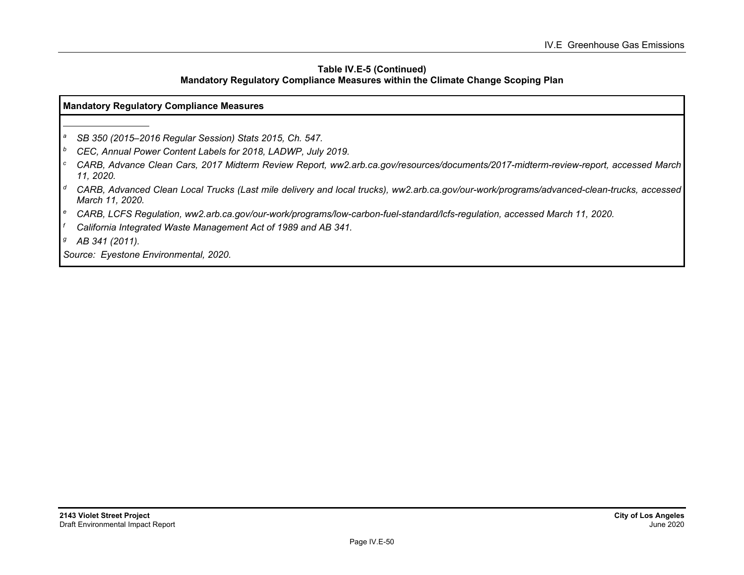#### **Table IV.E-5 (Continued) Mandatory Regulatory Compliance Measures within the Climate Change Scoping Plan**

#### **Mandatory Regulatory Compliance Measures**

*a SB 350 (2015–2016 Regular Session) Stats 2015, Ch. 547.* 

*b CEC, Annual Power Content Labels for 2018, LADWP, July 2019.* 

- *c CARB, Advance Clean Cars, 2017 Midterm Review Report, ww2.arb.ca.gov/resources/documents/2017-midterm-review-report, accessed March 11, 2020.*
- *d CARB, Advanced Clean Local Trucks (Last mile delivery and local trucks), ww2.arb.ca.gov/our-work/programs/advanced-clean-trucks, accessed March 11, 2020.*
- *e CARB, LCFS Regulation, ww2.arb.ca.gov/our-work/programs/low-carbon-fuel-standard/lcfs-regulation, accessed March 11, 2020.*
- *f California Integrated Waste Management Act of 1989 and AB 341.*

*g AB 341 (2011).* 

*Source: Eyestone Environmental, 2020.*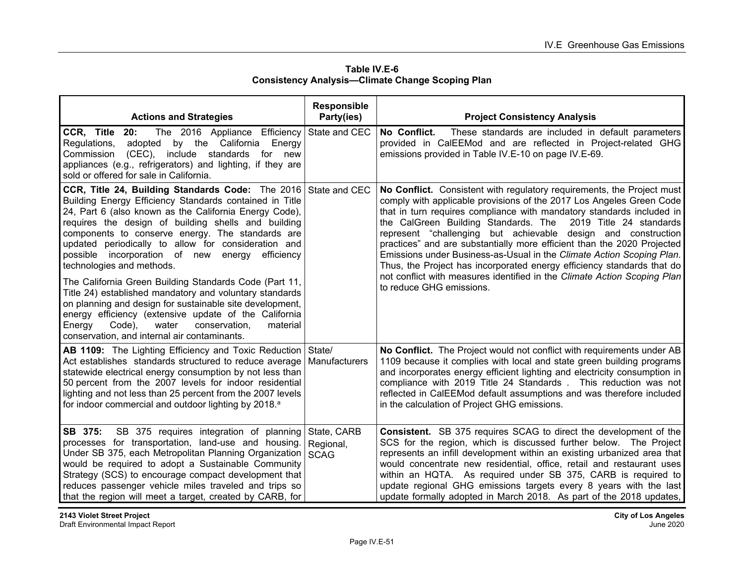| Table IV.E-6                                            |
|---------------------------------------------------------|
| <b>Consistency Analysis-Climate Change Scoping Plan</b> |

| <b>Actions and Strategies</b>                                                                                                                                                                                                                                                                                                                                                                                                                                                                                                                                                                                                                                                                                                                                                                | <b>Responsible</b><br>Party(ies)        | <b>Project Consistency Analysis</b>                                                                                                                                                                                                                                                                                                                                                                                                                                                                                                                                                                                                                                                               |
|----------------------------------------------------------------------------------------------------------------------------------------------------------------------------------------------------------------------------------------------------------------------------------------------------------------------------------------------------------------------------------------------------------------------------------------------------------------------------------------------------------------------------------------------------------------------------------------------------------------------------------------------------------------------------------------------------------------------------------------------------------------------------------------------|-----------------------------------------|---------------------------------------------------------------------------------------------------------------------------------------------------------------------------------------------------------------------------------------------------------------------------------------------------------------------------------------------------------------------------------------------------------------------------------------------------------------------------------------------------------------------------------------------------------------------------------------------------------------------------------------------------------------------------------------------------|
| CCR, Title<br>20:<br>The 2016 Appliance Efficiency<br>adopted by the California Energy<br>Regulations,<br>(CEC), include standards for new<br>Commission<br>appliances (e.g., refrigerators) and lighting, if they are<br>sold or offered for sale in California.                                                                                                                                                                                                                                                                                                                                                                                                                                                                                                                            | State and CEC                           | No Conflict.<br>These standards are included in default parameters<br>provided in CalEEMod and are reflected in Project-related GHG<br>emissions provided in Table IV.E-10 on page IV.E-69.                                                                                                                                                                                                                                                                                                                                                                                                                                                                                                       |
| CCR, Title 24, Building Standards Code: The 2016 State and CEC<br>Building Energy Efficiency Standards contained in Title<br>24, Part 6 (also known as the California Energy Code),<br>requires the design of building shells and building<br>components to conserve energy. The standards are<br>updated periodically to allow for consideration and<br>possible incorporation of new energy<br>efficiency<br>technologies and methods.<br>The California Green Building Standards Code (Part 11,<br>Title 24) established mandatory and voluntary standards<br>on planning and design for sustainable site development,<br>energy efficiency (extensive update of the California<br>Energy<br>Code),<br>water<br>conservation.<br>material<br>conservation, and internal air contaminants. |                                         | No Conflict. Consistent with regulatory requirements, the Project must<br>comply with applicable provisions of the 2017 Los Angeles Green Code<br>that in turn requires compliance with mandatory standards included in<br>the CalGreen Building Standards. The<br>2019 Title 24 standards<br>represent "challenging but achievable design and construction<br>practices" and are substantially more efficient than the 2020 Projected<br>Emissions under Business-as-Usual in the Climate Action Scoping Plan.<br>Thus, the Project has incorporated energy efficiency standards that do<br>not conflict with measures identified in the Climate Action Scoping Plan<br>to reduce GHG emissions. |
| <b>AB 1109:</b> The Lighting Efficiency and Toxic Reduction State/<br>Act establishes standards structured to reduce average<br>statewide electrical energy consumption by not less than<br>50 percent from the 2007 levels for indoor residential<br>lighting and not less than 25 percent from the 2007 levels<br>for indoor commercial and outdoor lighting by 2018. <sup>a</sup>                                                                                                                                                                                                                                                                                                                                                                                                         | Manufacturers                           | No Conflict. The Project would not conflict with requirements under AB<br>1109 because it complies with local and state green building programs<br>and incorporates energy efficient lighting and electricity consumption in<br>compliance with 2019 Title 24 Standards. This reduction was not<br>reflected in CalEEMod default assumptions and was therefore included<br>in the calculation of Project GHG emissions.                                                                                                                                                                                                                                                                           |
| SB 375:<br>SB 375 requires integration of planning<br>processes for transportation, land-use and housing.<br>Under SB 375, each Metropolitan Planning Organization<br>would be required to adopt a Sustainable Community<br>Strategy (SCS) to encourage compact development that<br>reduces passenger vehicle miles traveled and trips so<br>that the region will meet a target, created by CARB, for                                                                                                                                                                                                                                                                                                                                                                                        | State, CARB<br>Regional,<br><b>SCAG</b> | <b>Consistent.</b> SB 375 requires SCAG to direct the development of the<br>SCS for the region, which is discussed further below. The Project<br>represents an infill development within an existing urbanized area that<br>would concentrate new residential, office, retail and restaurant uses<br>within an HQTA. As required under SB 375, CARB is required to<br>update regional GHG emissions targets every 8 years with the last<br>update formally adopted in March 2018. As part of the 2018 updates,                                                                                                                                                                                    |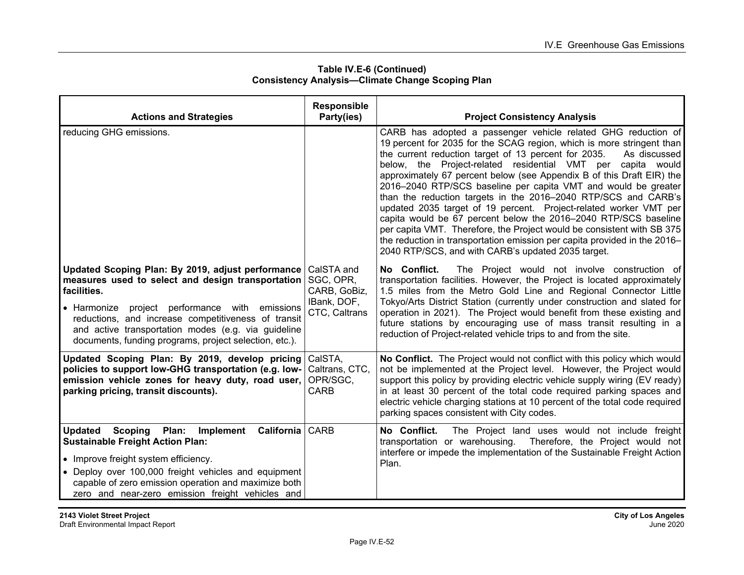| <b>Actions and Strategies</b>                                                                                                                                                                                                                                                                                                                   | Responsible<br>Party(ies)                                               | <b>Project Consistency Analysis</b>                                                                                                                                                                                                                                                                                                                                                                                                                                                                                                                                                                                                                                                                                                                                                                                                             |
|-------------------------------------------------------------------------------------------------------------------------------------------------------------------------------------------------------------------------------------------------------------------------------------------------------------------------------------------------|-------------------------------------------------------------------------|-------------------------------------------------------------------------------------------------------------------------------------------------------------------------------------------------------------------------------------------------------------------------------------------------------------------------------------------------------------------------------------------------------------------------------------------------------------------------------------------------------------------------------------------------------------------------------------------------------------------------------------------------------------------------------------------------------------------------------------------------------------------------------------------------------------------------------------------------|
|                                                                                                                                                                                                                                                                                                                                                 |                                                                         |                                                                                                                                                                                                                                                                                                                                                                                                                                                                                                                                                                                                                                                                                                                                                                                                                                                 |
| reducing GHG emissions.                                                                                                                                                                                                                                                                                                                         |                                                                         | CARB has adopted a passenger vehicle related GHG reduction of<br>19 percent for 2035 for the SCAG region, which is more stringent than<br>the current reduction target of 13 percent for 2035.<br>As discussed<br>below, the Project-related residential VMT per capita would<br>approximately 67 percent below (see Appendix B of this Draft EIR) the<br>2016–2040 RTP/SCS baseline per capita VMT and would be greater<br>than the reduction targets in the 2016-2040 RTP/SCS and CARB's<br>updated 2035 target of 19 percent. Project-related worker VMT per<br>capita would be 67 percent below the 2016-2040 RTP/SCS baseline<br>per capita VMT. Therefore, the Project would be consistent with SB 375<br>the reduction in transportation emission per capita provided in the 2016–<br>2040 RTP/SCS, and with CARB's updated 2035 target. |
| Updated Scoping Plan: By 2019, adjust performance<br>measures used to select and design transportation<br>facilities.<br>• Harmonize project performance with emissions<br>reductions, and increase competitiveness of transit<br>and active transportation modes (e.g. via guideline<br>documents, funding programs, project selection, etc.). | CalSTA and<br>SGC, OPR,<br>CARB, GoBiz,<br>IBank, DOF,<br>CTC, Caltrans | No Conflict.<br>The Project would not involve construction of<br>transportation facilities. However, the Project is located approximately<br>1.5 miles from the Metro Gold Line and Regional Connector Little<br>Tokyo/Arts District Station (currently under construction and slated for<br>operation in 2021). The Project would benefit from these existing and<br>future stations by encouraging use of mass transit resulting in a<br>reduction of Project-related vehicle trips to and from the site.                                                                                                                                                                                                                                                                                                                                     |
| Updated Scoping Plan: By 2019, develop pricing<br>policies to support low-GHG transportation (e.g. low-<br>emission vehicle zones for heavy duty, road user,<br>parking pricing, transit discounts).                                                                                                                                            | CalSTA,<br>Caltrans, CTC.<br>OPR/SGC,<br><b>CARB</b>                    | No Conflict. The Project would not conflict with this policy which would<br>not be implemented at the Project level. However, the Project would<br>support this policy by providing electric vehicle supply wiring (EV ready)<br>in at least 30 percent of the total code required parking spaces and<br>electric vehicle charging stations at 10 percent of the total code required<br>parking spaces consistent with City codes.                                                                                                                                                                                                                                                                                                                                                                                                              |
| Updated Scoping Plan: Implement California CARB<br><b>Sustainable Freight Action Plan:</b><br>• Improve freight system efficiency.<br>• Deploy over 100,000 freight vehicles and equipment<br>capable of zero emission operation and maximize both<br>zero and near-zero emission freight vehicles and                                          |                                                                         | The Project land uses would not include freight<br>No Conflict.<br>transportation or warehousing. Therefore, the Project would not<br>interfere or impede the implementation of the Sustainable Freight Action<br>Plan.                                                                                                                                                                                                                                                                                                                                                                                                                                                                                                                                                                                                                         |

#### **Table IV.E-6 (Continued) Consistency Analysis—Climate Change Scoping Plan**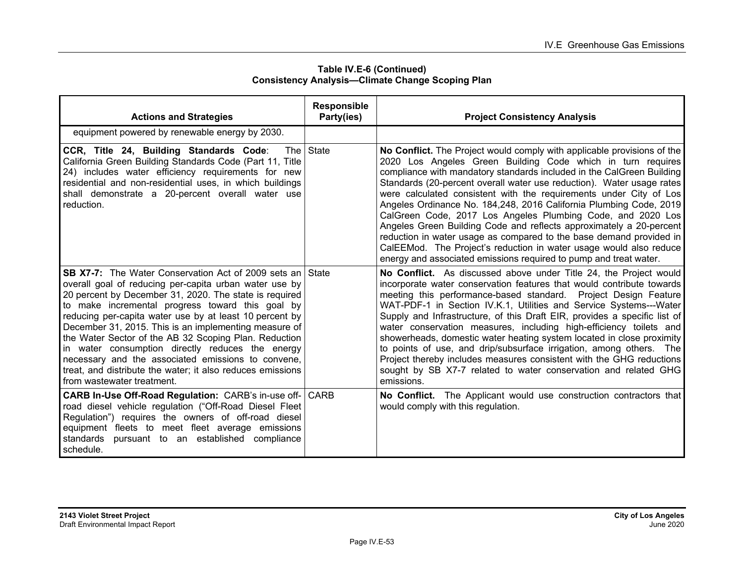| <b>Actions and Strategies</b>                                                                                                                                                                                                                                                                                                                                                                                                                                                                                                                                                                                               | Responsible<br>Party(ies) | <b>Project Consistency Analysis</b>                                                                                                                                                                                                                                                                                                                                                                                                                                                                                                                                                                                                                                                                                                                                                          |
|-----------------------------------------------------------------------------------------------------------------------------------------------------------------------------------------------------------------------------------------------------------------------------------------------------------------------------------------------------------------------------------------------------------------------------------------------------------------------------------------------------------------------------------------------------------------------------------------------------------------------------|---------------------------|----------------------------------------------------------------------------------------------------------------------------------------------------------------------------------------------------------------------------------------------------------------------------------------------------------------------------------------------------------------------------------------------------------------------------------------------------------------------------------------------------------------------------------------------------------------------------------------------------------------------------------------------------------------------------------------------------------------------------------------------------------------------------------------------|
| equipment powered by renewable energy by 2030.                                                                                                                                                                                                                                                                                                                                                                                                                                                                                                                                                                              |                           |                                                                                                                                                                                                                                                                                                                                                                                                                                                                                                                                                                                                                                                                                                                                                                                              |
| CCR, Title 24, Building Standards Code:<br>The I<br>California Green Building Standards Code (Part 11, Title<br>24) includes water efficiency requirements for new<br>residential and non-residential uses, in which buildings<br>shall demonstrate a 20-percent overall water use<br>reduction.                                                                                                                                                                                                                                                                                                                            | <b>State</b>              | No Conflict. The Project would comply with applicable provisions of the<br>2020 Los Angeles Green Building Code which in turn requires<br>compliance with mandatory standards included in the CalGreen Building<br>Standards (20-percent overall water use reduction). Water usage rates<br>were calculated consistent with the requirements under City of Los<br>Angeles Ordinance No. 184,248, 2016 California Plumbing Code, 2019<br>CalGreen Code, 2017 Los Angeles Plumbing Code, and 2020 Los<br>Angeles Green Building Code and reflects approximately a 20-percent<br>reduction in water usage as compared to the base demand provided in<br>CalEEMod. The Project's reduction in water usage would also reduce<br>energy and associated emissions required to pump and treat water. |
| <b>SB X7-7:</b> The Water Conservation Act of 2009 sets an State<br>overall goal of reducing per-capita urban water use by<br>20 percent by December 31, 2020. The state is required<br>to make incremental progress toward this goal by<br>reducing per-capita water use by at least 10 percent by<br>December 31, 2015. This is an implementing measure of<br>the Water Sector of the AB 32 Scoping Plan. Reduction<br>in water consumption directly reduces the energy<br>necessary and the associated emissions to convene,<br>treat, and distribute the water; it also reduces emissions<br>from wastewater treatment. |                           | No Conflict. As discussed above under Title 24, the Project would<br>incorporate water conservation features that would contribute towards<br>meeting this performance-based standard. Project Design Feature<br>WAT-PDF-1 in Section IV.K.1, Utilities and Service Systems---Water<br>Supply and Infrastructure, of this Draft EIR, provides a specific list of<br>water conservation measures, including high-efficiency toilets and<br>showerheads, domestic water heating system located in close proximity<br>to points of use, and drip/subsurface irrigation, among others. The<br>Project thereby includes measures consistent with the GHG reductions<br>sought by SB X7-7 related to water conservation and related GHG<br>emissions.                                              |
| <b>CARB In-Use Off-Road Regulation: CARB's in-use off- CARB</b><br>road diesel vehicle regulation ("Off-Road Diesel Fleet<br>Regulation") requires the owners of off-road diesel<br>equipment fleets to meet fleet average emissions<br>standards pursuant to an established compliance<br>schedule.                                                                                                                                                                                                                                                                                                                        |                           | No Conflict. The Applicant would use construction contractors that<br>would comply with this regulation.                                                                                                                                                                                                                                                                                                                                                                                                                                                                                                                                                                                                                                                                                     |

**Table IV.E-6 (Continued) Consistency Analysis—Climate Change Scoping Plan**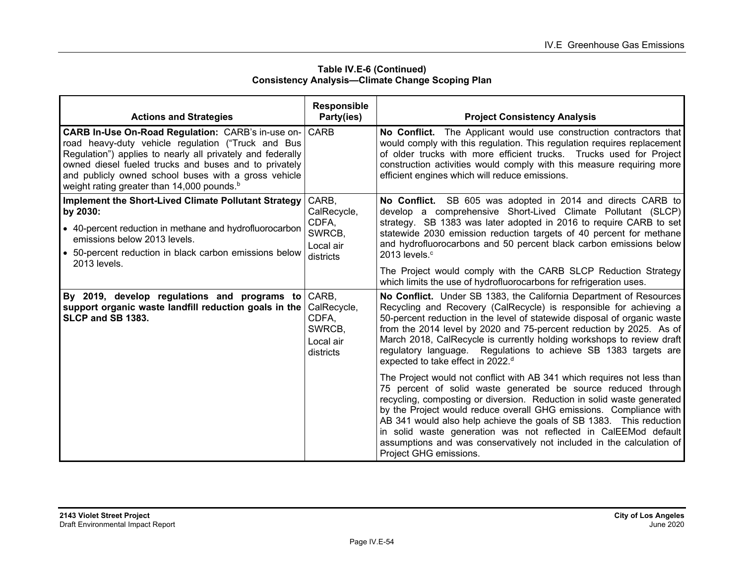| Table IV.E-6 (Continued)                                |
|---------------------------------------------------------|
| <b>Consistency Analysis-Climate Change Scoping Plan</b> |

| <b>Actions and Strategies</b>                                                                                                                                                                                                                                                                                                                    | <b>Responsible</b><br>Party(ies)                                  | <b>Project Consistency Analysis</b>                                                                                                                                                                                                                                                                                                                                                                                                                                                                                                   |
|--------------------------------------------------------------------------------------------------------------------------------------------------------------------------------------------------------------------------------------------------------------------------------------------------------------------------------------------------|-------------------------------------------------------------------|---------------------------------------------------------------------------------------------------------------------------------------------------------------------------------------------------------------------------------------------------------------------------------------------------------------------------------------------------------------------------------------------------------------------------------------------------------------------------------------------------------------------------------------|
| CARB In-Use On-Road Regulation: CARB's in-use on-<br>road heavy-duty vehicle regulation ("Truck and Bus<br>Regulation") applies to nearly all privately and federally<br>owned diesel fueled trucks and buses and to privately<br>and publicly owned school buses with a gross vehicle<br>weight rating greater than 14,000 pounds. <sup>b</sup> | l CARB                                                            | No Conflict. The Applicant would use construction contractors that<br>would comply with this regulation. This regulation requires replacement<br>of older trucks with more efficient trucks. Trucks used for Project<br>construction activities would comply with this measure requiring more<br>efficient engines which will reduce emissions.                                                                                                                                                                                       |
| Implement the Short-Lived Climate Pollutant Strategy<br>by 2030:<br>• 40-percent reduction in methane and hydrofluorocarbon<br>emissions below 2013 levels.<br>• 50-percent reduction in black carbon emissions below<br>2013 levels.                                                                                                            | CARB,<br>CalRecycle,<br>CDFA,<br>SWRCB,<br>Local air<br>districts | No Conflict. SB 605 was adopted in 2014 and directs CARB to<br>develop a comprehensive Short-Lived Climate Pollutant (SLCP)<br>strategy. SB 1383 was later adopted in 2016 to require CARB to set<br>statewide 2030 emission reduction targets of 40 percent for methane<br>and hydrofluorocarbons and 50 percent black carbon emissions below<br>2013 levels. $\degree$<br>The Project would comply with the CARB SLCP Reduction Strategy<br>which limits the use of hydrofluorocarbons for refrigeration uses.                      |
| By 2019, develop regulations and programs to<br>support organic waste landfill reduction goals in the<br>SLCP and SB 1383.                                                                                                                                                                                                                       | CARB.<br>CalRecycle,<br>CDFA,<br>SWRCB,<br>Local air<br>districts | No Conflict. Under SB 1383, the California Department of Resources<br>Recycling and Recovery (CalRecycle) is responsible for achieving a<br>50-percent reduction in the level of statewide disposal of organic waste<br>from the 2014 level by 2020 and 75-percent reduction by 2025. As of<br>March 2018, CalRecycle is currently holding workshops to review draft<br>regulatory language. Regulations to achieve SB 1383 targets are<br>expected to take effect in 2022. <sup>d</sup>                                              |
|                                                                                                                                                                                                                                                                                                                                                  |                                                                   | The Project would not conflict with AB 341 which requires not less than<br>75 percent of solid waste generated be source reduced through<br>recycling, composting or diversion. Reduction in solid waste generated<br>by the Project would reduce overall GHG emissions. Compliance with<br>AB 341 would also help achieve the goals of SB 1383. This reduction<br>in solid waste generation was not reflected in CalEEMod default<br>assumptions and was conservatively not included in the calculation of<br>Project GHG emissions. |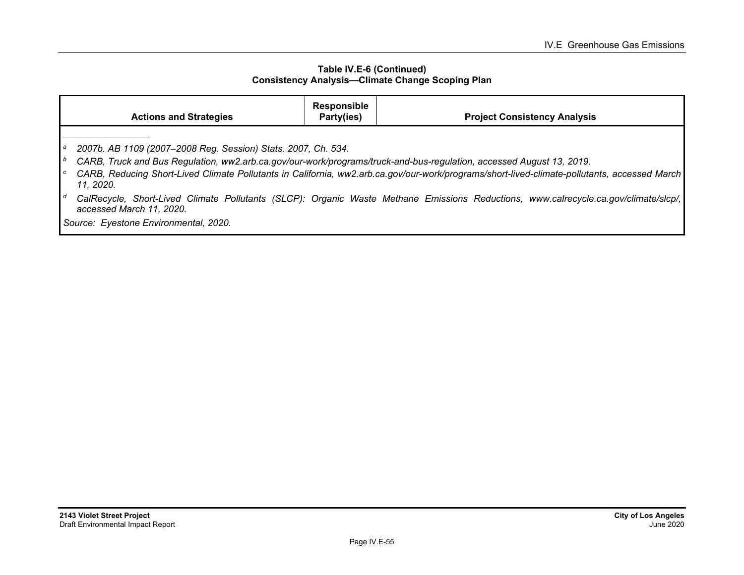#### **Table IV.E-6 (Continued) Consistency Analysis—Climate Change Scoping Plan**

|    | <b>Actions and Strategies</b>                                                                                                                                                                              | <b>Responsible</b><br>Party(ies) | <b>Project Consistency Analysis</b>                                                                                                          |
|----|------------------------------------------------------------------------------------------------------------------------------------------------------------------------------------------------------------|----------------------------------|----------------------------------------------------------------------------------------------------------------------------------------------|
| Ιb | 2007b. AB 1109 (2007-2008 Reg. Session) Stats. 2007, Ch. 534.<br>CARB, Truck and Bus Regulation, ww2.arb.ca.gov/our-work/programs/truck-and-bus-regulation, accessed August 13, 2019.<br>11, 2020.         |                                  | CARB, Reducing Short-Lived Climate Pollutants in California, ww2.arb.ca.gov/our-work/programs/short-lived-climate-pollutants, accessed March |
| Ιd | CalRecycle, Short-Lived Climate Pollutants (SLCP): Organic Waste Methane Emissions Reductions, www.calrecycle.ca.gov/climate/slcp/,  <br>accessed March 11, 2020.<br>Source: Eyestone Environmental, 2020. |                                  |                                                                                                                                              |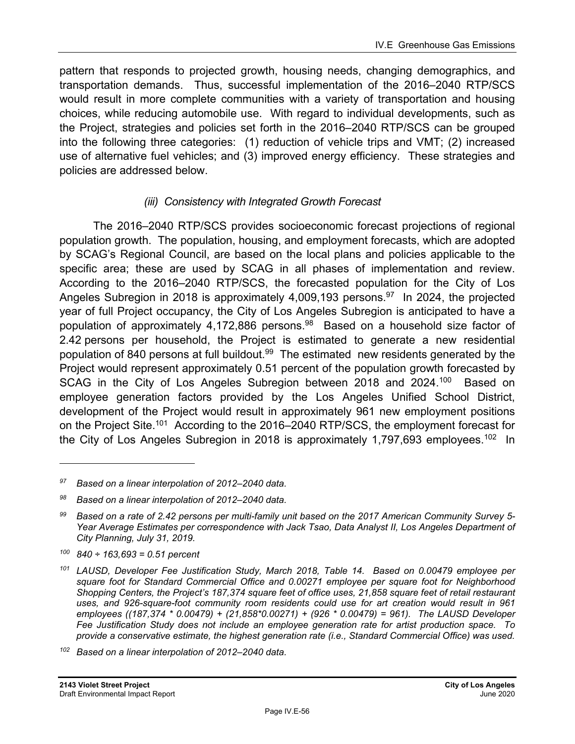pattern that responds to projected growth, housing needs, changing demographics, and transportation demands. Thus, successful implementation of the 2016–2040 RTP/SCS would result in more complete communities with a variety of transportation and housing choices, while reducing automobile use. With regard to individual developments, such as the Project, strategies and policies set forth in the 2016–2040 RTP/SCS can be grouped into the following three categories: (1) reduction of vehicle trips and VMT; (2) increased use of alternative fuel vehicles; and (3) improved energy efficiency. These strategies and policies are addressed below.

### *(iii) Consistency with Integrated Growth Forecast*

The 2016–2040 RTP/SCS provides socioeconomic forecast projections of regional population growth. The population, housing, and employment forecasts, which are adopted by SCAG's Regional Council, are based on the local plans and policies applicable to the specific area; these are used by SCAG in all phases of implementation and review. According to the 2016–2040 RTP/SCS, the forecasted population for the City of Los Angeles Subregion in 2018 is approximately 4,009,193 persons.<sup>97</sup> In 2024, the projected year of full Project occupancy, the City of Los Angeles Subregion is anticipated to have a population of approximately 4,172,886 persons.<sup>98</sup> Based on a household size factor of 2.42 persons per household, the Project is estimated to generate a new residential population of 840 persons at full buildout.<sup>99</sup> The estimated new residents generated by the Project would represent approximately 0.51 percent of the population growth forecasted by SCAG in the City of Los Angeles Subregion between 2018 and 2024.<sup>100</sup> Based on employee generation factors provided by the Los Angeles Unified School District, development of the Project would result in approximately 961 new employment positions on the Project Site.<sup>101</sup> According to the 2016–2040 RTP/SCS, the employment forecast for the City of Los Angeles Subregion in 2018 is approximately 1,797,693 employees.<sup>102</sup> In

*100 840 ÷ 163,693 = 0.51 percent* 

*<sup>97</sup> Based on a linear interpolation of 2012–2040 data.* 

*<sup>98</sup> Based on a linear interpolation of 2012–2040 data.* 

*<sup>99</sup> Based on a rate of 2.42 persons per multi-family unit based on the 2017 American Community Survey 5- Year Average Estimates per correspondence with Jack Tsao, Data Analyst II, Los Angeles Department of City Planning, July 31, 2019.* 

*<sup>101</sup> LAUSD, Developer Fee Justification Study, March 2018, Table 14. Based on 0.00479 employee per square foot for Standard Commercial Office and 0.00271 employee per square foot for Neighborhood Shopping Centers, the Project's 187,374 square feet of office uses, 21,858 square feet of retail restaurant uses, and 926-square-foot community room residents could use for art creation would result in 961 employees ((187,374 \* 0.00479) + (21,858\*0.00271) + (926 \* 0.00479) = 961). The LAUSD Developer Fee Justification Study does not include an employee generation rate for artist production space. To provide a conservative estimate, the highest generation rate (i.e., Standard Commercial Office) was used.* 

*<sup>102</sup> Based on a linear interpolation of 2012–2040 data.*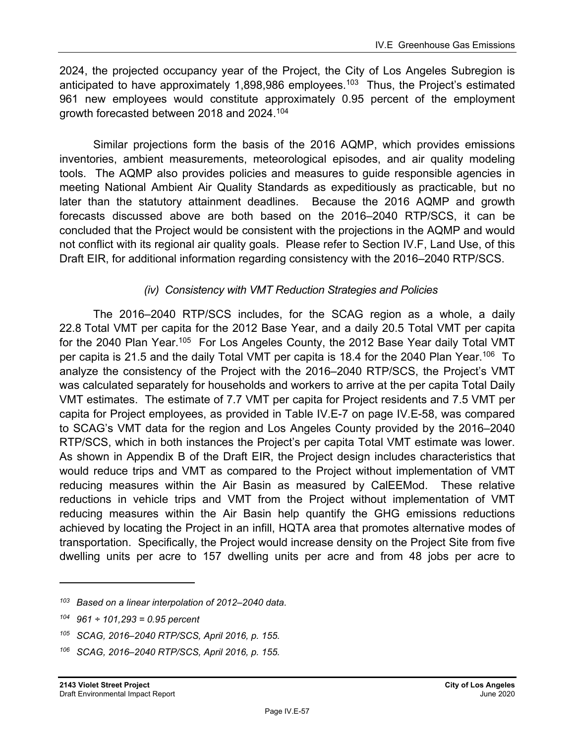2024, the projected occupancy year of the Project, the City of Los Angeles Subregion is anticipated to have approximately 1,898,986 employees.<sup>103</sup> Thus, the Project's estimated 961 new employees would constitute approximately 0.95 percent of the employment growth forecasted between 2018 and 2024.104

Similar projections form the basis of the 2016 AQMP, which provides emissions inventories, ambient measurements, meteorological episodes, and air quality modeling tools. The AQMP also provides policies and measures to guide responsible agencies in meeting National Ambient Air Quality Standards as expeditiously as practicable, but no later than the statutory attainment deadlines. Because the 2016 AQMP and growth forecasts discussed above are both based on the 2016–2040 RTP/SCS, it can be concluded that the Project would be consistent with the projections in the AQMP and would not conflict with its regional air quality goals. Please refer to Section IV.F, Land Use, of this Draft EIR, for additional information regarding consistency with the 2016–2040 RTP/SCS.

### *(iv) Consistency with VMT Reduction Strategies and Policies*

The 2016–2040 RTP/SCS includes, for the SCAG region as a whole, a daily 22.8 Total VMT per capita for the 2012 Base Year, and a daily 20.5 Total VMT per capita for the 2040 Plan Year.<sup>105</sup> For Los Angeles County, the 2012 Base Year daily Total VMT per capita is 21.5 and the daily Total VMT per capita is 18.4 for the 2040 Plan Year.<sup>106</sup> To analyze the consistency of the Project with the 2016–2040 RTP/SCS, the Project's VMT was calculated separately for households and workers to arrive at the per capita Total Daily VMT estimates. The estimate of 7.7 VMT per capita for Project residents and 7.5 VMT per capita for Project employees, as provided in Table IV.E-7 on page IV.E-58, was compared to SCAG's VMT data for the region and Los Angeles County provided by the 2016–2040 RTP/SCS, which in both instances the Project's per capita Total VMT estimate was lower. As shown in Appendix B of the Draft EIR, the Project design includes characteristics that would reduce trips and VMT as compared to the Project without implementation of VMT reducing measures within the Air Basin as measured by CalEEMod. These relative reductions in vehicle trips and VMT from the Project without implementation of VMT reducing measures within the Air Basin help quantify the GHG emissions reductions achieved by locating the Project in an infill, HQTA area that promotes alternative modes of transportation. Specifically, the Project would increase density on the Project Site from five dwelling units per acre to 157 dwelling units per acre and from 48 jobs per acre to

*<sup>103</sup> Based on a linear interpolation of 2012–2040 data.* 

*<sup>104 961 ÷ 101,293 = 0.95</sup> percent* 

*<sup>105</sup> SCAG, 2016–2040 RTP/SCS, April 2016, p. 155.* 

*<sup>106</sup> SCAG, 2016–2040 RTP/SCS, April 2016, p. 155.*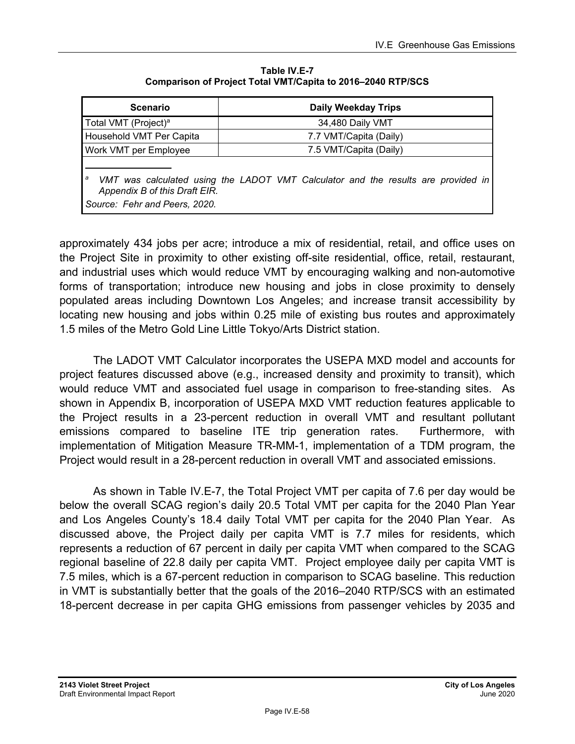| Table IV.E-7                                                |
|-------------------------------------------------------------|
| Comparison of Project Total VMT/Capita to 2016–2040 RTP/SCS |

| <b>Scenario</b>                                                                                                                                          | <b>Daily Weekday Trips</b> |
|----------------------------------------------------------------------------------------------------------------------------------------------------------|----------------------------|
| Total VMT (Project) <sup>a</sup>                                                                                                                         | 34,480 Daily VMT           |
| Household VMT Per Capita                                                                                                                                 | 7.7 VMT/Capita (Daily)     |
| Work VMT per Employee                                                                                                                                    | 7.5 VMT/Capita (Daily)     |
| а<br>VMT was calculated using the LADOT VMT Calculator and the results are provided in<br>Appendix B of this Draft EIR.<br>Source: Fehr and Peers, 2020. |                            |

approximately 434 jobs per acre; introduce a mix of residential, retail, and office uses on the Project Site in proximity to other existing off-site residential, office, retail, restaurant, and industrial uses which would reduce VMT by encouraging walking and non-automotive forms of transportation; introduce new housing and jobs in close proximity to densely populated areas including Downtown Los Angeles; and increase transit accessibility by locating new housing and jobs within 0.25 mile of existing bus routes and approximately 1.5 miles of the Metro Gold Line Little Tokyo/Arts District station.

The LADOT VMT Calculator incorporates the USEPA MXD model and accounts for project features discussed above (e.g., increased density and proximity to transit), which would reduce VMT and associated fuel usage in comparison to free-standing sites. As shown in Appendix B, incorporation of USEPA MXD VMT reduction features applicable to the Project results in a 23-percent reduction in overall VMT and resultant pollutant emissions compared to baseline ITE trip generation rates. Furthermore, with implementation of Mitigation Measure TR-MM-1, implementation of a TDM program, the Project would result in a 28-percent reduction in overall VMT and associated emissions.

As shown in Table IV.E-7, the Total Project VMT per capita of 7.6 per day would be below the overall SCAG region's daily 20.5 Total VMT per capita for the 2040 Plan Year and Los Angeles County's 18.4 daily Total VMT per capita for the 2040 Plan Year. As discussed above, the Project daily per capita VMT is 7.7 miles for residents, which represents a reduction of 67 percent in daily per capita VMT when compared to the SCAG regional baseline of 22.8 daily per capita VMT. Project employee daily per capita VMT is 7.5 miles, which is a 67-percent reduction in comparison to SCAG baseline. This reduction in VMT is substantially better that the goals of the 2016–2040 RTP/SCS with an estimated 18-percent decrease in per capita GHG emissions from passenger vehicles by 2035 and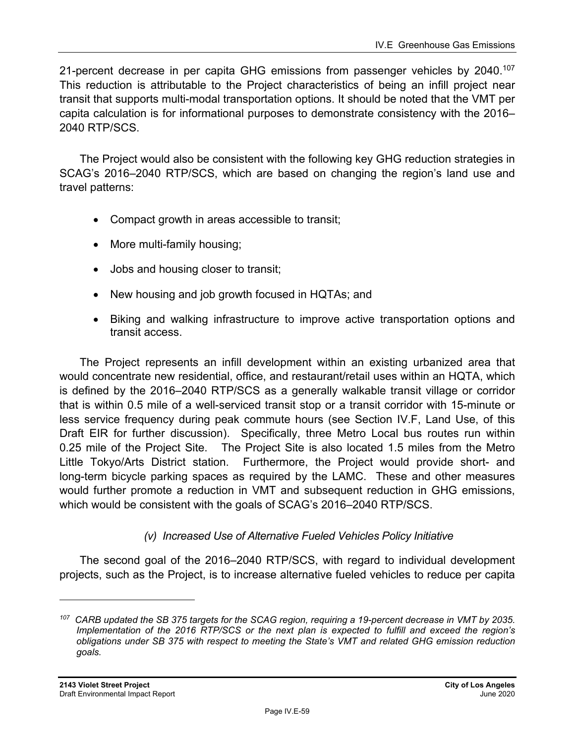21-percent decrease in per capita GHG emissions from passenger vehicles by  $2040^{107}$ This reduction is attributable to the Project characteristics of being an infill project near transit that supports multi-modal transportation options. It should be noted that the VMT per capita calculation is for informational purposes to demonstrate consistency with the 2016– 2040 RTP/SCS.

The Project would also be consistent with the following key GHG reduction strategies in SCAG's 2016–2040 RTP/SCS, which are based on changing the region's land use and travel patterns:

- Compact growth in areas accessible to transit;
- More multi-family housing;
- Jobs and housing closer to transit;
- New housing and job growth focused in HQTAs; and
- Biking and walking infrastructure to improve active transportation options and transit access.

The Project represents an infill development within an existing urbanized area that would concentrate new residential, office, and restaurant/retail uses within an HQTA, which is defined by the 2016–2040 RTP/SCS as a generally walkable transit village or corridor that is within 0.5 mile of a well-serviced transit stop or a transit corridor with 15-minute or less service frequency during peak commute hours (see Section IV.F, Land Use, of this Draft EIR for further discussion). Specifically, three Metro Local bus routes run within 0.25 mile of the Project Site. The Project Site is also located 1.5 miles from the Metro Little Tokyo/Arts District station. Furthermore, the Project would provide short- and long-term bicycle parking spaces as required by the LAMC. These and other measures would further promote a reduction in VMT and subsequent reduction in GHG emissions, which would be consistent with the goals of SCAG's 2016–2040 RTP/SCS.

## *(v) Increased Use of Alternative Fueled Vehicles Policy Initiative*

The second goal of the 2016–2040 RTP/SCS, with regard to individual development projects, such as the Project, is to increase alternative fueled vehicles to reduce per capita

*<sup>107</sup> CARB updated the SB 375 targets for the SCAG region, requiring a 19-percent decrease in VMT by 2035. Implementation of the 2016 RTP/SCS or the next plan is expected to fulfill and exceed the region's obligations under SB 375 with respect to meeting the State's VMT and related GHG emission reduction goals.*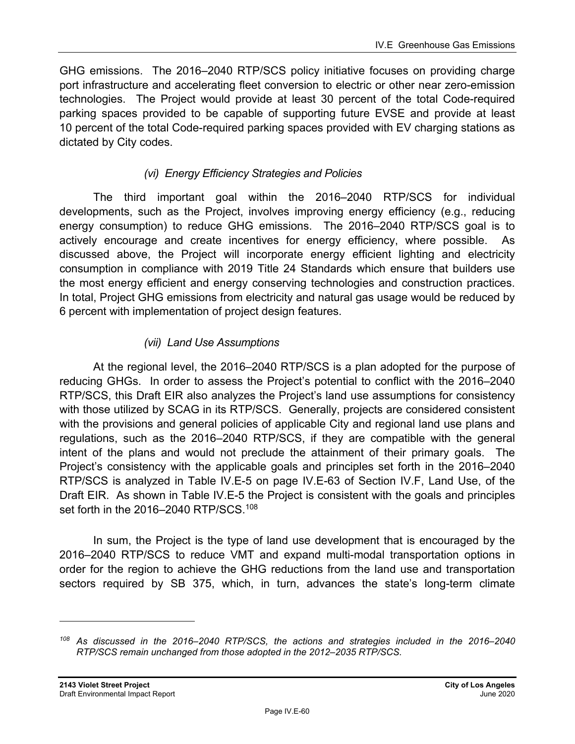GHG emissions. The 2016–2040 RTP/SCS policy initiative focuses on providing charge port infrastructure and accelerating fleet conversion to electric or other near zero-emission technologies. The Project would provide at least 30 percent of the total Code-required parking spaces provided to be capable of supporting future EVSE and provide at least 10 percent of the total Code-required parking spaces provided with EV charging stations as dictated by City codes.

## *(vi) Energy Efficiency Strategies and Policies*

The third important goal within the 2016–2040 RTP/SCS for individual developments, such as the Project, involves improving energy efficiency (e.g., reducing energy consumption) to reduce GHG emissions. The 2016–2040 RTP/SCS goal is to actively encourage and create incentives for energy efficiency, where possible. As discussed above, the Project will incorporate energy efficient lighting and electricity consumption in compliance with 2019 Title 24 Standards which ensure that builders use the most energy efficient and energy conserving technologies and construction practices. In total, Project GHG emissions from electricity and natural gas usage would be reduced by 6 percent with implementation of project design features.

## *(vii) Land Use Assumptions*

At the regional level, the 2016–2040 RTP/SCS is a plan adopted for the purpose of reducing GHGs. In order to assess the Project's potential to conflict with the 2016–2040 RTP/SCS, this Draft EIR also analyzes the Project's land use assumptions for consistency with those utilized by SCAG in its RTP/SCS. Generally, projects are considered consistent with the provisions and general policies of applicable City and regional land use plans and regulations, such as the 2016–2040 RTP/SCS, if they are compatible with the general intent of the plans and would not preclude the attainment of their primary goals. The Project's consistency with the applicable goals and principles set forth in the 2016–2040 RTP/SCS is analyzed in Table IV.E-5 on page IV.E-63 of Section IV.F, Land Use, of the Draft EIR. As shown in Table IV.E-5 the Project is consistent with the goals and principles set forth in the 2016–2040 RTP/SCS.<sup>108</sup>

In sum, the Project is the type of land use development that is encouraged by the 2016–2040 RTP/SCS to reduce VMT and expand multi-modal transportation options in order for the region to achieve the GHG reductions from the land use and transportation sectors required by SB 375, which, in turn, advances the state's long-term climate

*<sup>108</sup> As discussed in the 2016–2040 RTP/SCS, the actions and strategies included in the 2016–2040 RTP/SCS remain unchanged from those adopted in the 2012–2035 RTP/SCS.*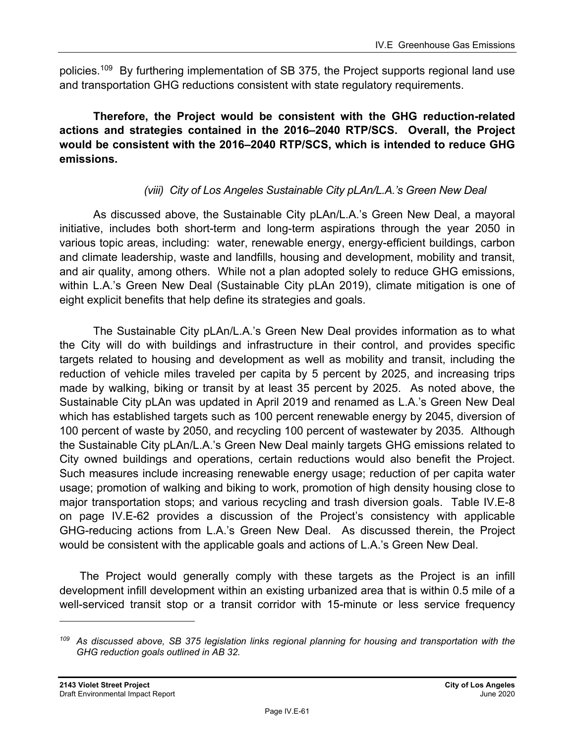policies.<sup>109</sup> By furthering implementation of SB 375, the Project supports regional land use and transportation GHG reductions consistent with state regulatory requirements.

**Therefore, the Project would be consistent with the GHG reduction-related actions and strategies contained in the 2016–2040 RTP/SCS. Overall, the Project would be consistent with the 2016–2040 RTP/SCS, which is intended to reduce GHG emissions.** 

## *(viii) City of Los Angeles Sustainable City pLAn/L.A.'s Green New Deal*

As discussed above, the Sustainable City pLAn/L.A.'s Green New Deal, a mayoral initiative, includes both short-term and long-term aspirations through the year 2050 in various topic areas, including: water, renewable energy, energy-efficient buildings, carbon and climate leadership, waste and landfills, housing and development, mobility and transit, and air quality, among others. While not a plan adopted solely to reduce GHG emissions, within L.A.'s Green New Deal (Sustainable City pLAn 2019), climate mitigation is one of eight explicit benefits that help define its strategies and goals.

The Sustainable City pLAn/L.A.'s Green New Deal provides information as to what the City will do with buildings and infrastructure in their control, and provides specific targets related to housing and development as well as mobility and transit, including the reduction of vehicle miles traveled per capita by 5 percent by 2025, and increasing trips made by walking, biking or transit by at least 35 percent by 2025. As noted above, the Sustainable City pLAn was updated in April 2019 and renamed as L.A.'s Green New Deal which has established targets such as 100 percent renewable energy by 2045, diversion of 100 percent of waste by 2050, and recycling 100 percent of wastewater by 2035. Although the Sustainable City pLAn/L.A.'s Green New Deal mainly targets GHG emissions related to City owned buildings and operations, certain reductions would also benefit the Project. Such measures include increasing renewable energy usage; reduction of per capita water usage; promotion of walking and biking to work, promotion of high density housing close to major transportation stops; and various recycling and trash diversion goals. Table IV.E-8 on page IV.E-62 provides a discussion of the Project's consistency with applicable GHG-reducing actions from L.A.'s Green New Deal. As discussed therein, the Project would be consistent with the applicable goals and actions of L.A.'s Green New Deal.

The Project would generally comply with these targets as the Project is an infill development infill development within an existing urbanized area that is within 0.5 mile of a well-serviced transit stop or a transit corridor with 15-minute or less service frequency

*<sup>109</sup> As discussed above, SB 375 legislation links regional planning for housing and transportation with the GHG reduction goals outlined in AB 32.*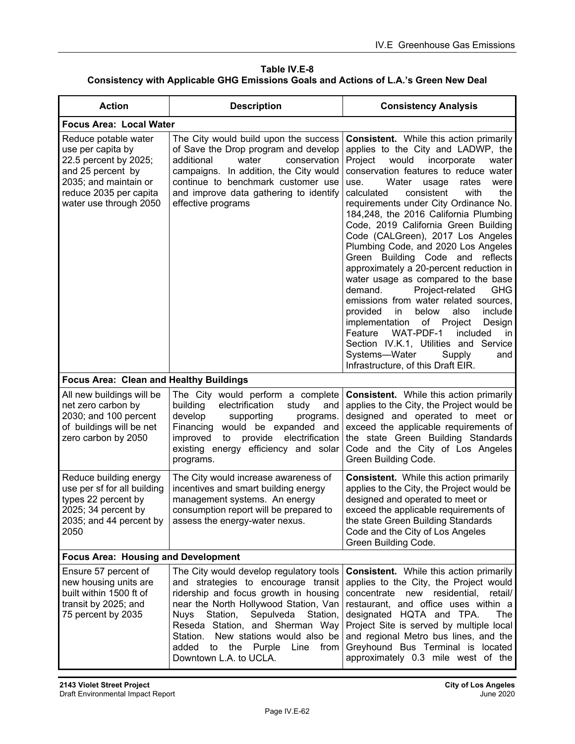**Table IV.E-8 Consistency with Applicable GHG Emissions Goals and Actions of L.A.'s Green New Deal** 

| <b>Action</b>                                                                                                                                                        | <b>Description</b>                                                                                                                                                                                                                                                                                                                                             | <b>Consistency Analysis</b>                                                                                                                                                                                                                                                                                                                                                                                                                                                                                                                                                                                                                                                                                                                                                                                                                                                                                                      |  |  |
|----------------------------------------------------------------------------------------------------------------------------------------------------------------------|----------------------------------------------------------------------------------------------------------------------------------------------------------------------------------------------------------------------------------------------------------------------------------------------------------------------------------------------------------------|----------------------------------------------------------------------------------------------------------------------------------------------------------------------------------------------------------------------------------------------------------------------------------------------------------------------------------------------------------------------------------------------------------------------------------------------------------------------------------------------------------------------------------------------------------------------------------------------------------------------------------------------------------------------------------------------------------------------------------------------------------------------------------------------------------------------------------------------------------------------------------------------------------------------------------|--|--|
| <b>Focus Area: Local Water</b>                                                                                                                                       |                                                                                                                                                                                                                                                                                                                                                                |                                                                                                                                                                                                                                                                                                                                                                                                                                                                                                                                                                                                                                                                                                                                                                                                                                                                                                                                  |  |  |
| Reduce potable water<br>use per capita by<br>22.5 percent by 2025;<br>and 25 percent by<br>2035; and maintain or<br>reduce 2035 per capita<br>water use through 2050 | The City would build upon the success<br>of Save the Drop program and develop<br>water<br>additional<br>conservation<br>campaigns. In addition, the City would<br>continue to benchmark customer use<br>and improve data gathering to identify<br>effective programs                                                                                           | <b>Consistent.</b> While this action primarily<br>applies to the City and LADWP, the<br>Project<br>would<br>incorporate<br>water<br>conservation features to reduce water<br>Water<br>usage<br>rates<br>were<br>use.<br>consistent<br>the<br>calculated<br>with<br>requirements under City Ordinance No.<br>184,248, the 2016 California Plumbing<br>Code, 2019 California Green Building<br>Code (CALGreen), 2017 Los Angeles<br>Plumbing Code, and 2020 Los Angeles<br>Green Building Code and reflects<br>approximately a 20-percent reduction in<br>water usage as compared to the base<br><b>GHG</b><br>demand.<br>Project-related<br>emissions from water related sources,<br>provided<br>in<br>below<br>also<br>include<br>implementation of Project<br>Design<br>WAT-PDF-1<br>Feature<br>included<br>in<br>Section IV.K.1, Utilities and Service<br>Systems-Water<br>Supply<br>and<br>Infrastructure, of this Draft EIR. |  |  |
| Focus Area: Clean and Healthy Buildings                                                                                                                              |                                                                                                                                                                                                                                                                                                                                                                |                                                                                                                                                                                                                                                                                                                                                                                                                                                                                                                                                                                                                                                                                                                                                                                                                                                                                                                                  |  |  |
| All new buildings will be<br>net zero carbon by<br>2030; and 100 percent<br>of buildings will be net<br>zero carbon by 2050                                          | The City would perform a complete<br>electrification<br>building<br>study<br>and<br>develop<br>supporting<br>programs.<br>Financing would be expanded and<br>electrification<br>improved<br>to<br>provide<br>existing energy efficiency and solar<br>programs.                                                                                                 | <b>Consistent.</b> While this action primarily<br>applies to the City, the Project would be<br>designed and operated to meet or<br>exceed the applicable requirements of<br>the state Green Building Standards<br>Code and the City of Los Angeles<br>Green Building Code.                                                                                                                                                                                                                                                                                                                                                                                                                                                                                                                                                                                                                                                       |  |  |
| Reduce building energy<br>use per sf for all building<br>types 22 percent by<br>2025; 34 percent by<br>2035; and 44 percent by<br>2050                               | The City would increase awareness of<br>incentives and smart building energy<br>management systems. An energy<br>consumption report will be prepared to<br>assess the energy-water nexus.                                                                                                                                                                      | <b>Consistent.</b> While this action primarily<br>applies to the City, the Project would be<br>designed and operated to meet or<br>exceed the applicable requirements of<br>the state Green Building Standards<br>Code and the City of Los Angeles<br>Green Building Code.                                                                                                                                                                                                                                                                                                                                                                                                                                                                                                                                                                                                                                                       |  |  |
| <b>Focus Area: Housing and Development</b>                                                                                                                           |                                                                                                                                                                                                                                                                                                                                                                |                                                                                                                                                                                                                                                                                                                                                                                                                                                                                                                                                                                                                                                                                                                                                                                                                                                                                                                                  |  |  |
| Ensure 57 percent of<br>new housing units are<br>built within 1500 ft of<br>transit by 2025; and<br>75 percent by 2035                                               | The City would develop regulatory tools<br>and strategies to encourage transit<br>ridership and focus growth in housing<br>near the North Hollywood Station, Van<br>Sepulveda Station,<br>Station,<br>Nuys<br>Reseda Station, and Sherman Way<br>New stations would also be<br>Station.<br>added<br>the Purple<br>Line<br>from<br>to<br>Downtown L.A. to UCLA. | <b>Consistent.</b> While this action primarily<br>applies to the City, the Project would<br>concentrate new residential, retail/<br>restaurant, and office uses within a<br>designated HQTA and TPA.<br>The<br>Project Site is served by multiple local<br>and regional Metro bus lines, and the<br>Greyhound Bus Terminal is located<br>approximately 0.3 mile west of the                                                                                                                                                                                                                                                                                                                                                                                                                                                                                                                                                      |  |  |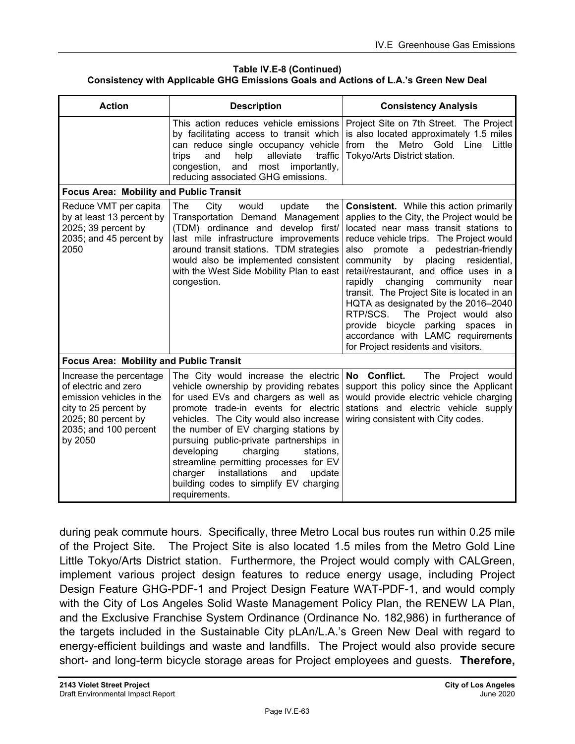#### **Table IV.E-8 (Continued) Consistency with Applicable GHG Emissions Goals and Actions of L.A.'s Green New Deal**

| <b>Description</b><br><b>Action</b>                                                                                                                             |                                                                                                                                                                                                                                                                                                                                                                                                                                                                                       | <b>Consistency Analysis</b>                                                                                                                                                                                                                                                                                                                                                                                                                                                                                                                                                                                     |
|-----------------------------------------------------------------------------------------------------------------------------------------------------------------|---------------------------------------------------------------------------------------------------------------------------------------------------------------------------------------------------------------------------------------------------------------------------------------------------------------------------------------------------------------------------------------------------------------------------------------------------------------------------------------|-----------------------------------------------------------------------------------------------------------------------------------------------------------------------------------------------------------------------------------------------------------------------------------------------------------------------------------------------------------------------------------------------------------------------------------------------------------------------------------------------------------------------------------------------------------------------------------------------------------------|
|                                                                                                                                                                 | This action reduces vehicle emissions<br>by facilitating access to transit which<br>can reduce single occupancy vehicle<br>alleviate<br>help<br>traffic<br>trips<br>and<br>congestion,<br>most importantly,<br>and<br>reducing associated GHG emissions.                                                                                                                                                                                                                              | Project Site on 7th Street. The Project<br>is also located approximately 1.5 miles<br>from the Metro Gold Line<br>Little<br>Tokyo/Arts District station.                                                                                                                                                                                                                                                                                                                                                                                                                                                        |
| <b>Focus Area: Mobility and Public Transit</b>                                                                                                                  |                                                                                                                                                                                                                                                                                                                                                                                                                                                                                       |                                                                                                                                                                                                                                                                                                                                                                                                                                                                                                                                                                                                                 |
| Reduce VMT per capita<br>by at least 13 percent by<br>2025; 39 percent by<br>2035; and 45 percent by<br>2050                                                    | The<br>would<br>City<br>update<br>the<br>Transportation Demand Management<br>(TDM) ordinance and develop first/<br>last mile infrastructure improvements<br>around transit stations. TDM strategies<br>would also be implemented consistent<br>with the West Side Mobility Plan to east<br>congestion.                                                                                                                                                                                | <b>Consistent.</b> While this action primarily<br>applies to the City, the Project would be<br>located near mass transit stations to<br>reduce vehicle trips. The Project would<br>pedestrian-friendly<br>also<br>promote a<br>placing<br>residential,<br>community by<br>retail/restaurant, and office uses in a<br>changing<br>community<br>rapidly<br>near<br>transit. The Project Site is located in an<br>HQTA as designated by the 2016-2040<br>RTP/SCS.<br>The Project would also<br>provide bicycle<br>parking spaces<br>in<br>accordance with LAMC requirements<br>for Project residents and visitors. |
| <b>Focus Area: Mobility and Public Transit</b>                                                                                                                  |                                                                                                                                                                                                                                                                                                                                                                                                                                                                                       |                                                                                                                                                                                                                                                                                                                                                                                                                                                                                                                                                                                                                 |
| Increase the percentage<br>of electric and zero<br>emission vehicles in the<br>city to 25 percent by<br>2025; 80 percent by<br>2035; and 100 percent<br>by 2050 | The City would increase the electric<br>vehicle ownership by providing rebates<br>for used EVs and chargers as well as<br>promote trade-in events for electric<br>vehicles. The City would also increase<br>the number of EV charging stations by<br>pursuing public-private partnerships in<br>developing<br>charging<br>stations.<br>streamline permitting processes for EV<br>installations<br>charger<br>and<br>update<br>building codes to simplify EV charging<br>requirements. | No Conflict.<br>The Project would<br>support this policy since the Applicant<br>would provide electric vehicle charging<br>stations and electric vehicle supply<br>wiring consistent with City codes.                                                                                                                                                                                                                                                                                                                                                                                                           |

during peak commute hours. Specifically, three Metro Local bus routes run within 0.25 mile of the Project Site. The Project Site is also located 1.5 miles from the Metro Gold Line Little Tokyo/Arts District station. Furthermore, the Project would comply with CALGreen, implement various project design features to reduce energy usage, including Project Design Feature GHG-PDF-1 and Project Design Feature WAT-PDF-1, and would comply with the City of Los Angeles Solid Waste Management Policy Plan, the RENEW LA Plan, and the Exclusive Franchise System Ordinance (Ordinance No. 182,986) in furtherance of the targets included in the Sustainable City pLAn/L.A.'s Green New Deal with regard to energy-efficient buildings and waste and landfills. The Project would also provide secure short- and long-term bicycle storage areas for Project employees and guests. **Therefore,**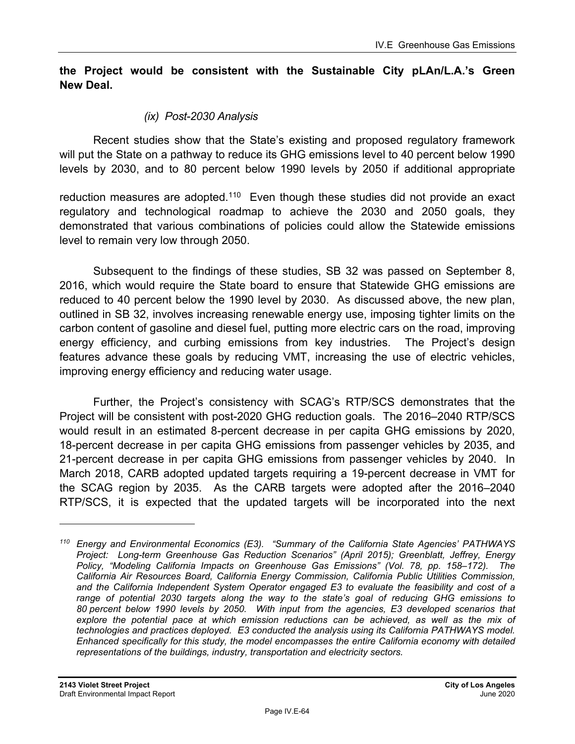### **the Project would be consistent with the Sustainable City pLAn/L.A.'s Green New Deal.**

## *(ix) Post-2030 Analysis*

Recent studies show that the State's existing and proposed regulatory framework will put the State on a pathway to reduce its GHG emissions level to 40 percent below 1990 levels by 2030, and to 80 percent below 1990 levels by 2050 if additional appropriate

reduction measures are adopted.<sup>110</sup> Even though these studies did not provide an exact regulatory and technological roadmap to achieve the 2030 and 2050 goals, they demonstrated that various combinations of policies could allow the Statewide emissions level to remain very low through 2050.

Subsequent to the findings of these studies, SB 32 was passed on September 8, 2016, which would require the State board to ensure that Statewide GHG emissions are reduced to 40 percent below the 1990 level by 2030. As discussed above, the new plan, outlined in SB 32, involves increasing renewable energy use, imposing tighter limits on the carbon content of gasoline and diesel fuel, putting more electric cars on the road, improving energy efficiency, and curbing emissions from key industries. The Project's design features advance these goals by reducing VMT, increasing the use of electric vehicles, improving energy efficiency and reducing water usage.

Further, the Project's consistency with SCAG's RTP/SCS demonstrates that the Project will be consistent with post-2020 GHG reduction goals. The 2016–2040 RTP/SCS would result in an estimated 8-percent decrease in per capita GHG emissions by 2020, 18-percent decrease in per capita GHG emissions from passenger vehicles by 2035, and 21-percent decrease in per capita GHG emissions from passenger vehicles by 2040. In March 2018, CARB adopted updated targets requiring a 19-percent decrease in VMT for the SCAG region by 2035. As the CARB targets were adopted after the 2016–2040 RTP/SCS, it is expected that the updated targets will be incorporated into the next

*<sup>110</sup> Energy and Environmental Economics (E3). "Summary of the California State Agencies' PATHWAYS Project: Long-term Greenhouse Gas Reduction Scenarios" (April 2015); Greenblatt, Jeffrey, Energy Policy, "Modeling California Impacts on Greenhouse Gas Emissions" (Vol. 78, pp. 158–172). The California Air Resources Board, California Energy Commission, California Public Utilities Commission, and the California Independent System Operator engaged E3 to evaluate the feasibility and cost of a range of potential 2030 targets along the way to the state's goal of reducing GHG emissions to 80 percent below 1990 levels by 2050. With input from the agencies, E3 developed scenarios that*  explore the potential pace at which emission reductions can be achieved, as well as the mix of *technologies and practices deployed. E3 conducted the analysis using its California PATHWAYS model. Enhanced specifically for this study, the model encompasses the entire California economy with detailed representations of the buildings, industry, transportation and electricity sectors.*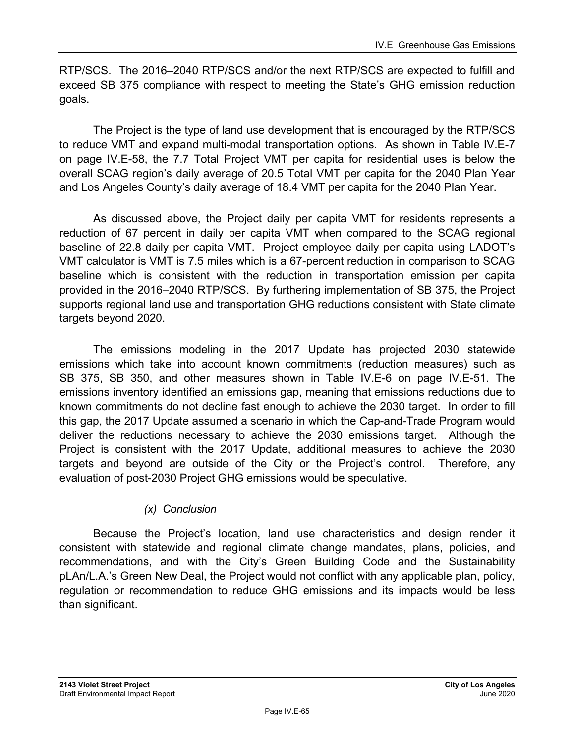RTP/SCS. The 2016–2040 RTP/SCS and/or the next RTP/SCS are expected to fulfill and exceed SB 375 compliance with respect to meeting the State's GHG emission reduction goals.

The Project is the type of land use development that is encouraged by the RTP/SCS to reduce VMT and expand multi-modal transportation options. As shown in Table IV.E-7 on page IV.E-58, the 7.7 Total Project VMT per capita for residential uses is below the overall SCAG region's daily average of 20.5 Total VMT per capita for the 2040 Plan Year and Los Angeles County's daily average of 18.4 VMT per capita for the 2040 Plan Year.

As discussed above, the Project daily per capita VMT for residents represents a reduction of 67 percent in daily per capita VMT when compared to the SCAG regional baseline of 22.8 daily per capita VMT. Project employee daily per capita using LADOT's VMT calculator is VMT is 7.5 miles which is a 67-percent reduction in comparison to SCAG baseline which is consistent with the reduction in transportation emission per capita provided in the 2016–2040 RTP/SCS. By furthering implementation of SB 375, the Project supports regional land use and transportation GHG reductions consistent with State climate targets beyond 2020.

The emissions modeling in the 2017 Update has projected 2030 statewide emissions which take into account known commitments (reduction measures) such as SB 375, SB 350, and other measures shown in Table IV.E-6 on page IV.E-51. The emissions inventory identified an emissions gap, meaning that emissions reductions due to known commitments do not decline fast enough to achieve the 2030 target. In order to fill this gap, the 2017 Update assumed a scenario in which the Cap-and-Trade Program would deliver the reductions necessary to achieve the 2030 emissions target. Although the Project is consistent with the 2017 Update, additional measures to achieve the 2030 targets and beyond are outside of the City or the Project's control. Therefore, any evaluation of post-2030 Project GHG emissions would be speculative.

## *(x) Conclusion*

Because the Project's location, land use characteristics and design render it consistent with statewide and regional climate change mandates, plans, policies, and recommendations, and with the City's Green Building Code and the Sustainability pLAn/L.A.'s Green New Deal, the Project would not conflict with any applicable plan, policy, regulation or recommendation to reduce GHG emissions and its impacts would be less than significant.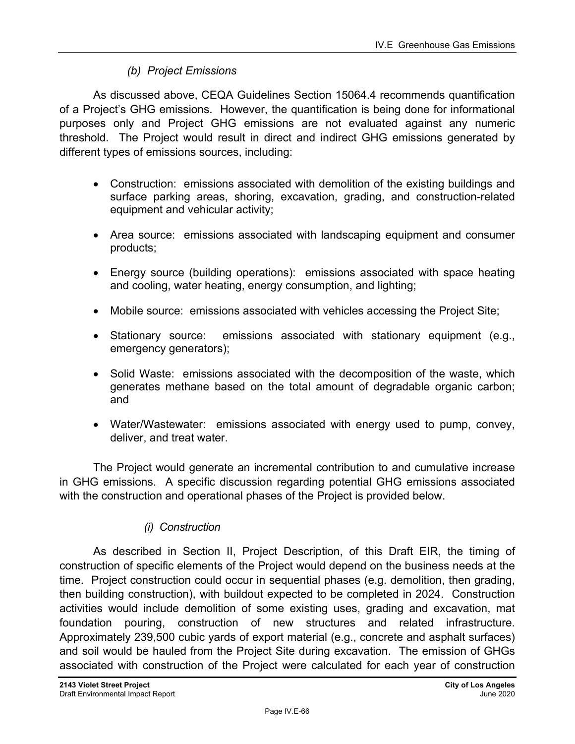## *(b) Project Emissions*

As discussed above, CEQA Guidelines Section 15064.4 recommends quantification of a Project's GHG emissions. However, the quantification is being done for informational purposes only and Project GHG emissions are not evaluated against any numeric threshold. The Project would result in direct and indirect GHG emissions generated by different types of emissions sources, including:

- Construction: emissions associated with demolition of the existing buildings and surface parking areas, shoring, excavation, grading, and construction-related equipment and vehicular activity;
- Area source: emissions associated with landscaping equipment and consumer products;
- Energy source (building operations): emissions associated with space heating and cooling, water heating, energy consumption, and lighting;
- Mobile source: emissions associated with vehicles accessing the Project Site;
- Stationary source: emissions associated with stationary equipment (e.g., emergency generators);
- Solid Waste: emissions associated with the decomposition of the waste, which generates methane based on the total amount of degradable organic carbon; and
- Water/Wastewater: emissions associated with energy used to pump, convey, deliver, and treat water.

The Project would generate an incremental contribution to and cumulative increase in GHG emissions. A specific discussion regarding potential GHG emissions associated with the construction and operational phases of the Project is provided below.

# *(i) Construction*

As described in Section II, Project Description, of this Draft EIR, the timing of construction of specific elements of the Project would depend on the business needs at the time. Project construction could occur in sequential phases (e.g. demolition, then grading, then building construction), with buildout expected to be completed in 2024. Construction activities would include demolition of some existing uses, grading and excavation, mat foundation pouring, construction of new structures and related infrastructure. Approximately 239,500 cubic yards of export material (e.g., concrete and asphalt surfaces) and soil would be hauled from the Project Site during excavation. The emission of GHGs associated with construction of the Project were calculated for each year of construction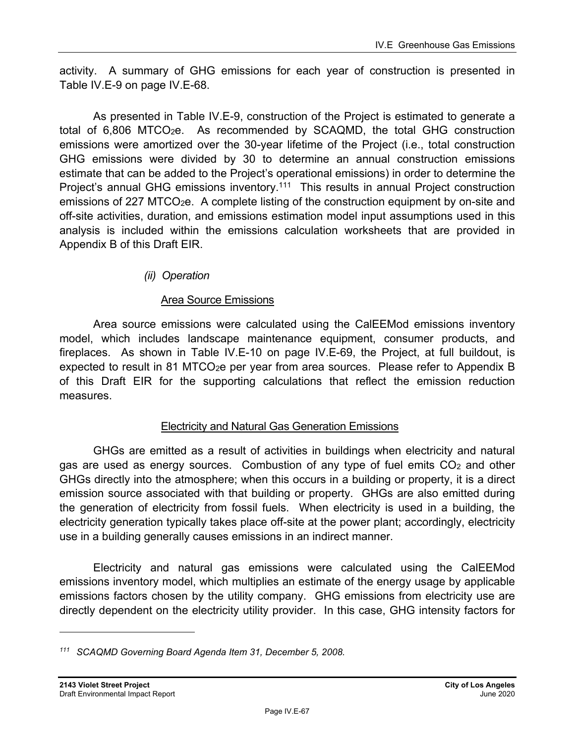activity. A summary of GHG emissions for each year of construction is presented in Table IV.E-9 on page IV.E-68.

As presented in Table IV.E-9, construction of the Project is estimated to generate a total of  $6,806$  MTCO<sub>2</sub>e. As recommended by SCAQMD, the total GHG construction emissions were amortized over the 30-year lifetime of the Project (i.e., total construction GHG emissions were divided by 30 to determine an annual construction emissions estimate that can be added to the Project's operational emissions) in order to determine the Project's annual GHG emissions inventory.<sup>111</sup> This results in annual Project construction emissions of 227 MTCO<sub>2</sub>e. A complete listing of the construction equipment by on-site and off-site activities, duration, and emissions estimation model input assumptions used in this analysis is included within the emissions calculation worksheets that are provided in Appendix B of this Draft EIR.

## *(ii) Operation*

## Area Source Emissions

Area source emissions were calculated using the CalEEMod emissions inventory model, which includes landscape maintenance equipment, consumer products, and fireplaces. As shown in Table IV.E-10 on page IV.E-69, the Project, at full buildout, is expected to result in 81 MTCO<sub>2</sub>e per year from area sources. Please refer to Appendix B of this Draft EIR for the supporting calculations that reflect the emission reduction measures.

### Electricity and Natural Gas Generation Emissions

GHGs are emitted as a result of activities in buildings when electricity and natural gas are used as energy sources. Combustion of any type of fuel emits  $CO<sub>2</sub>$  and other GHGs directly into the atmosphere; when this occurs in a building or property, it is a direct emission source associated with that building or property. GHGs are also emitted during the generation of electricity from fossil fuels. When electricity is used in a building, the electricity generation typically takes place off-site at the power plant; accordingly, electricity use in a building generally causes emissions in an indirect manner.

Electricity and natural gas emissions were calculated using the CalEEMod emissions inventory model, which multiplies an estimate of the energy usage by applicable emissions factors chosen by the utility company. GHG emissions from electricity use are directly dependent on the electricity utility provider. In this case, GHG intensity factors for

*<sup>111</sup> SCAQMD Governing Board Agenda Item 31, December 5, 2008.*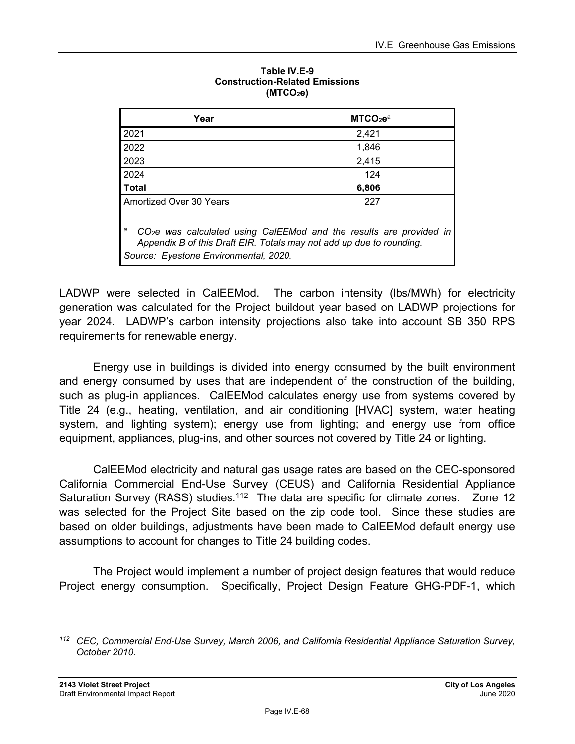| Year                                                                                                                                                                                                  | MTCO <sub>2</sub> e <sup>a</sup> |  |
|-------------------------------------------------------------------------------------------------------------------------------------------------------------------------------------------------------|----------------------------------|--|
| 2021                                                                                                                                                                                                  | 2,421                            |  |
| 2022                                                                                                                                                                                                  | 1.846                            |  |
| 2023                                                                                                                                                                                                  | 2,415                            |  |
| 2024                                                                                                                                                                                                  | 124                              |  |
| <b>Total</b>                                                                                                                                                                                          | 6,806                            |  |
| Amortized Over 30 Years<br>227                                                                                                                                                                        |                                  |  |
| a<br>CO <sub>2</sub> e was calculated using CalEEMod and the results are provided in<br>Appendix B of this Draft EIR. Totals may not add up due to rounding.<br>Source: Eyestone Environmental, 2020. |                                  |  |

#### **Table IV.E-9 Construction-Related Emissions (MTCO2e)**

LADWP were selected in CalEEMod. The carbon intensity (lbs/MWh) for electricity generation was calculated for the Project buildout year based on LADWP projections for year 2024. LADWP's carbon intensity projections also take into account SB 350 RPS requirements for renewable energy.

Energy use in buildings is divided into energy consumed by the built environment and energy consumed by uses that are independent of the construction of the building, such as plug-in appliances. CalEEMod calculates energy use from systems covered by Title 24 (e.g., heating, ventilation, and air conditioning [HVAC] system, water heating system, and lighting system); energy use from lighting; and energy use from office equipment, appliances, plug-ins, and other sources not covered by Title 24 or lighting.

CalEEMod electricity and natural gas usage rates are based on the CEC-sponsored California Commercial End-Use Survey (CEUS) and California Residential Appliance Saturation Survey (RASS) studies.<sup>112</sup> The data are specific for climate zones. Zone 12 was selected for the Project Site based on the zip code tool. Since these studies are based on older buildings, adjustments have been made to CalEEMod default energy use assumptions to account for changes to Title 24 building codes.

The Project would implement a number of project design features that would reduce Project energy consumption. Specifically, Project Design Feature GHG-PDF-1, which

*<sup>112</sup> CEC, Commercial End-Use Survey, March 2006, and California Residential Appliance Saturation Survey, October 2010.*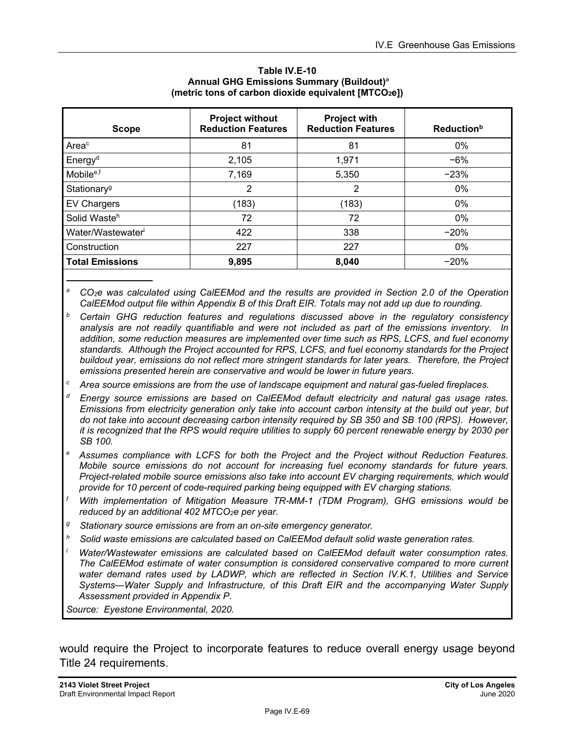| <b>Scope</b>            | <b>Project without</b><br><b>Reduction Features</b> | <b>Project with</b><br><b>Reduction Features</b> | <b>Reduction</b> <sup>b</sup> |
|-------------------------|-----------------------------------------------------|--------------------------------------------------|-------------------------------|
| Areac                   | 81                                                  | 81                                               | $0\%$                         |
| Energy <sup>d</sup>     | 2,105                                               | 1,971                                            | $-6%$                         |
| Mobile <sup>e,f</sup>   | 7,169                                               | 5,350                                            | $-23%$                        |
| Stationary <sup>g</sup> | 2                                                   | $\overline{2}$                                   | 0%                            |
| <b>EV Chargers</b>      | (183)                                               | (183)                                            | $0\%$                         |
| Solid Wasteh            | 72                                                  | 72                                               | 0%                            |
| Water/Wastewater        | 422                                                 | 338                                              | $-20%$                        |
| Construction            | 227                                                 | 227                                              | 0%                            |
| <b>Total Emissions</b>  | 9,895                                               | 8,040                                            | $-20%$                        |

#### **Table IV.E-10 Annual GHG Emissions Summary (Buildout)**<sup>a</sup> **(metric tons of carbon dioxide equivalent [MTCO2e])**

- *c Area source emissions are from the use of landscape equipment and natural gas-fueled fireplaces.*
- *d Energy source emissions are based on CalEEMod default electricity and natural gas usage rates. Emissions from electricity generation only take into account carbon intensity at the build out year, but do not take into account decreasing carbon intensity required by SB 350 and SB 100 (RPS). However, it is recognized that the RPS would require utilities to supply 60 percent renewable energy by 2030 per SB 100.*
- *e Assumes compliance with LCFS for both the Project and the Project without Reduction Features. Mobile source emissions do not account for increasing fuel economy standards for future years. Project-related mobile source emissions also take into account EV charging requirements, which would provide for 10 percent of code-required parking being equipped with EV charging stations.*
- *f With implementation of Mitigation Measure TR-MM-1 (TDM Program), GHG emissions would be reduced by an additional 402 MTCO2e per year.*
- *g Stationary source emissions are from an on-site emergency generator.*
- *h Solid waste emissions are calculated based on CalEEMod default solid waste generation rates.*
- *i Water/Wastewater emissions are calculated based on CalEEMod default water consumption rates. The CalEEMod estimate of water consumption is considered conservative compared to more current water demand rates used by LADWP, which are reflected in Section IV.K.1, Utilities and Service Systems—Water Supply and Infrastructure, of this Draft EIR and the accompanying Water Supply Assessment provided in Appendix P.*

*Source: Eyestone Environmental, 2020.* 

would require the Project to incorporate features to reduce overall energy usage beyond Title 24 requirements.

*a CO2e was calculated using CalEEMod and the results are provided in Section 2.0 of the Operation CalEEMod output file within Appendix B of this Draft EIR. Totals may not add up due to rounding.* 

*b Certain GHG reduction features and regulations discussed above in the regulatory consistency analysis are not readily quantifiable and were not included as part of the emissions inventory. In addition, some reduction measures are implemented over time such as RPS, LCFS, and fuel economy standards. Although the Project accounted for RPS, LCFS, and fuel economy standards for the Project buildout year, emissions do not reflect more stringent standards for later years. Therefore, the Project emissions presented herein are conservative and would be lower in future years.*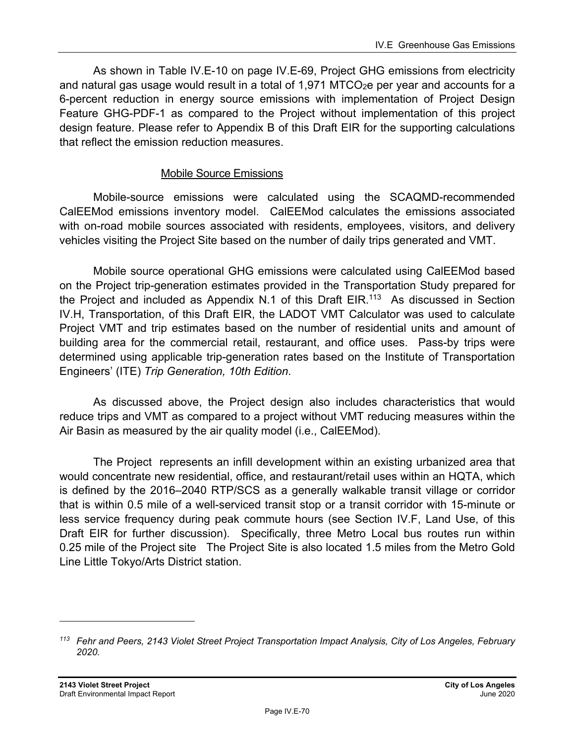As shown in Table IV.E-10 on page IV.E-69, Project GHG emissions from electricity and natural gas usage would result in a total of  $1,971$  MTCO<sub>2</sub>e per year and accounts for a 6-percent reduction in energy source emissions with implementation of Project Design Feature GHG-PDF-1 as compared to the Project without implementation of this project design feature. Please refer to Appendix B of this Draft EIR for the supporting calculations that reflect the emission reduction measures.

#### Mobile Source Emissions

Mobile-source emissions were calculated using the SCAQMD-recommended CalEEMod emissions inventory model. CalEEMod calculates the emissions associated with on-road mobile sources associated with residents, employees, visitors, and delivery vehicles visiting the Project Site based on the number of daily trips generated and VMT.

Mobile source operational GHG emissions were calculated using CalEEMod based on the Project trip-generation estimates provided in the Transportation Study prepared for the Project and included as Appendix N.1 of this Draft EIR.<sup>113</sup> As discussed in Section IV.H, Transportation, of this Draft EIR, the LADOT VMT Calculator was used to calculate Project VMT and trip estimates based on the number of residential units and amount of building area for the commercial retail, restaurant, and office uses. Pass-by trips were determined using applicable trip-generation rates based on the Institute of Transportation Engineers' (ITE) *Trip Generation, 10th Edition*.

As discussed above, the Project design also includes characteristics that would reduce trips and VMT as compared to a project without VMT reducing measures within the Air Basin as measured by the air quality model (i.e., CalEEMod).

The Project represents an infill development within an existing urbanized area that would concentrate new residential, office, and restaurant/retail uses within an HQTA, which is defined by the 2016–2040 RTP/SCS as a generally walkable transit village or corridor that is within 0.5 mile of a well-serviced transit stop or a transit corridor with 15-minute or less service frequency during peak commute hours (see Section IV.F, Land Use, of this Draft EIR for further discussion). Specifically, three Metro Local bus routes run within 0.25 mile of the Project site The Project Site is also located 1.5 miles from the Metro Gold Line Little Tokyo/Arts District station.

*<sup>113</sup> Fehr and Peers, 2143 Violet Street Project Transportation Impact Analysis, City of Los Angeles, February 2020.*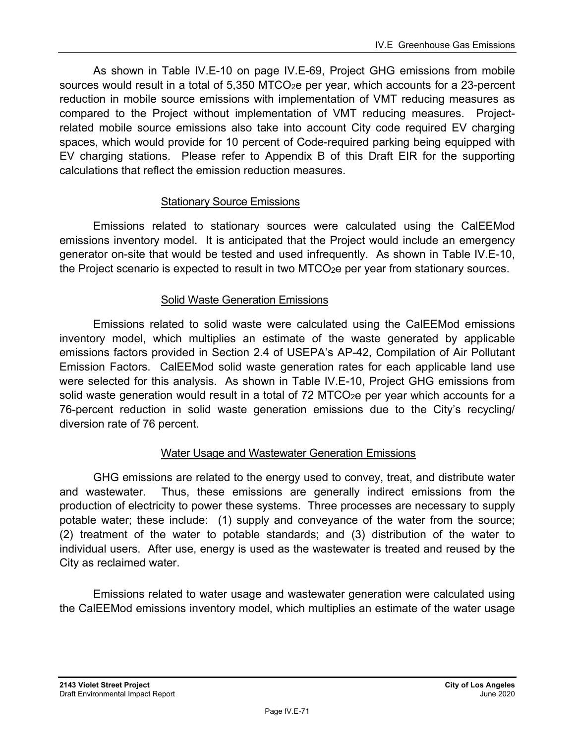As shown in Table IV.E-10 on page IV.E-69, Project GHG emissions from mobile sources would result in a total of  $5,350$  MTCO<sub>2</sub>e per year, which accounts for a 23-percent reduction in mobile source emissions with implementation of VMT reducing measures as compared to the Project without implementation of VMT reducing measures. Projectrelated mobile source emissions also take into account City code required EV charging spaces, which would provide for 10 percent of Code-required parking being equipped with EV charging stations. Please refer to Appendix B of this Draft EIR for the supporting calculations that reflect the emission reduction measures.

### Stationary Source Emissions

Emissions related to stationary sources were calculated using the CalEEMod emissions inventory model. It is anticipated that the Project would include an emergency generator on-site that would be tested and used infrequently. As shown in Table IV.E-10, the Project scenario is expected to result in two MTCO<sub>2</sub>e per year from stationary sources.

#### Solid Waste Generation Emissions

Emissions related to solid waste were calculated using the CalEEMod emissions inventory model, which multiplies an estimate of the waste generated by applicable emissions factors provided in Section 2.4 of USEPA's AP-42, Compilation of Air Pollutant Emission Factors. CalEEMod solid waste generation rates for each applicable land use were selected for this analysis. As shown in Table IV.E-10, Project GHG emissions from solid waste generation would result in a total of 72 MTCO $_2$ e per year which accounts for a 76-percent reduction in solid waste generation emissions due to the City's recycling/ diversion rate of 76 percent.

### Water Usage and Wastewater Generation Emissions

GHG emissions are related to the energy used to convey, treat, and distribute water and wastewater. Thus, these emissions are generally indirect emissions from the production of electricity to power these systems. Three processes are necessary to supply potable water; these include: (1) supply and conveyance of the water from the source; (2) treatment of the water to potable standards; and (3) distribution of the water to individual users. After use, energy is used as the wastewater is treated and reused by the City as reclaimed water.

Emissions related to water usage and wastewater generation were calculated using the CalEEMod emissions inventory model, which multiplies an estimate of the water usage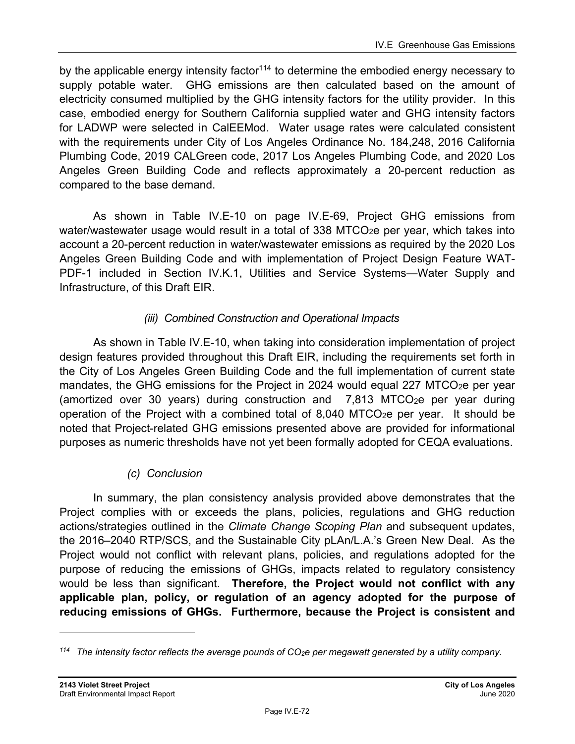by the applicable energy intensity factor<sup>114</sup> to determine the embodied energy necessary to supply potable water. GHG emissions are then calculated based on the amount of electricity consumed multiplied by the GHG intensity factors for the utility provider. In this case, embodied energy for Southern California supplied water and GHG intensity factors for LADWP were selected in CalEEMod. Water usage rates were calculated consistent with the requirements under City of Los Angeles Ordinance No. 184,248, 2016 California Plumbing Code, 2019 CALGreen code, 2017 Los Angeles Plumbing Code, and 2020 Los Angeles Green Building Code and reflects approximately a 20-percent reduction as compared to the base demand.

As shown in Table IV.E-10 on page IV.E-69, Project GHG emissions from water/wastewater usage would result in a total of 338 MTCO<sub>2</sub>e per year, which takes into account a 20-percent reduction in water/wastewater emissions as required by the 2020 Los Angeles Green Building Code and with implementation of Project Design Feature WAT-PDF-1 included in Section IV.K.1, Utilities and Service Systems—Water Supply and Infrastructure, of this Draft EIR.

# *(iii) Combined Construction and Operational Impacts*

As shown in Table IV.E-10, when taking into consideration implementation of project design features provided throughout this Draft EIR, including the requirements set forth in the City of Los Angeles Green Building Code and the full implementation of current state mandates, the GHG emissions for the Project in 2024 would equal 227 MTCO $_2$ e per year (amortized over 30 years) during construction and  $7,813$  MTCO<sub>2</sub>e per year during operation of the Project with a combined total of 8,040 MTCO<sub>2</sub>e per year. It should be noted that Project-related GHG emissions presented above are provided for informational purposes as numeric thresholds have not yet been formally adopted for CEQA evaluations.

# *(c) Conclusion*

In summary, the plan consistency analysis provided above demonstrates that the Project complies with or exceeds the plans, policies, regulations and GHG reduction actions/strategies outlined in the *Climate Change Scoping Plan* and subsequent updates, the 2016–2040 RTP/SCS, and the Sustainable City pLAn/L.A.'s Green New Deal. As the Project would not conflict with relevant plans, policies, and regulations adopted for the purpose of reducing the emissions of GHGs, impacts related to regulatory consistency would be less than significant. **Therefore, the Project would not conflict with any applicable plan, policy, or regulation of an agency adopted for the purpose of reducing emissions of GHGs. Furthermore, because the Project is consistent and** 

*<sup>114</sup> The intensity factor reflects the average pounds of CO2e per megawatt generated by a utility company.*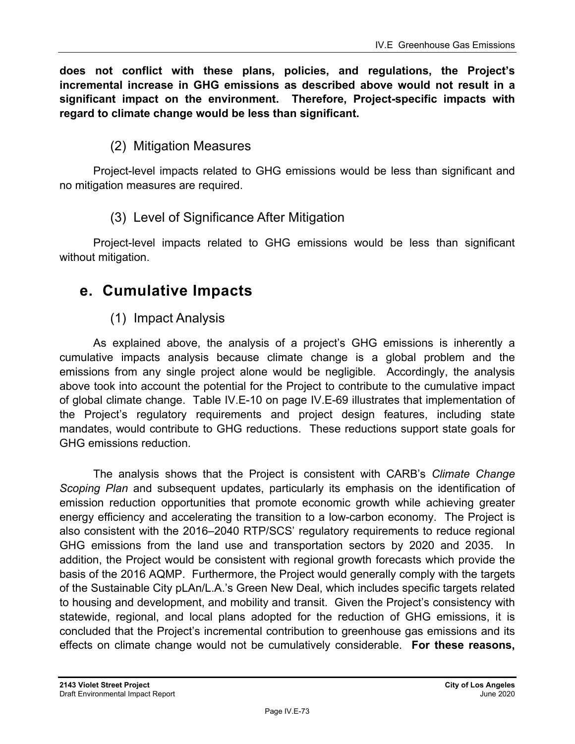**does not conflict with these plans, policies, and regulations, the Project's incremental increase in GHG emissions as described above would not result in a significant impact on the environment. Therefore, Project-specific impacts with regard to climate change would be less than significant.** 

# (2) Mitigation Measures

Project-level impacts related to GHG emissions would be less than significant and no mitigation measures are required.

## (3) Level of Significance After Mitigation

Project-level impacts related to GHG emissions would be less than significant without mitigation.

# **e. Cumulative Impacts**

# (1) Impact Analysis

As explained above, the analysis of a project's GHG emissions is inherently a cumulative impacts analysis because climate change is a global problem and the emissions from any single project alone would be negligible. Accordingly, the analysis above took into account the potential for the Project to contribute to the cumulative impact of global climate change. Table IV.E-10 on page IV.E-69 illustrates that implementation of the Project's regulatory requirements and project design features, including state mandates, would contribute to GHG reductions. These reductions support state goals for GHG emissions reduction.

The analysis shows that the Project is consistent with CARB's *Climate Change Scoping Plan* and subsequent updates, particularly its emphasis on the identification of emission reduction opportunities that promote economic growth while achieving greater energy efficiency and accelerating the transition to a low-carbon economy. The Project is also consistent with the 2016–2040 RTP/SCS' regulatory requirements to reduce regional GHG emissions from the land use and transportation sectors by 2020 and 2035. In addition, the Project would be consistent with regional growth forecasts which provide the basis of the 2016 AQMP. Furthermore, the Project would generally comply with the targets of the Sustainable City pLAn/L.A.'s Green New Deal, which includes specific targets related to housing and development, and mobility and transit. Given the Project's consistency with statewide, regional, and local plans adopted for the reduction of GHG emissions, it is concluded that the Project's incremental contribution to greenhouse gas emissions and its effects on climate change would not be cumulatively considerable. **For these reasons,**